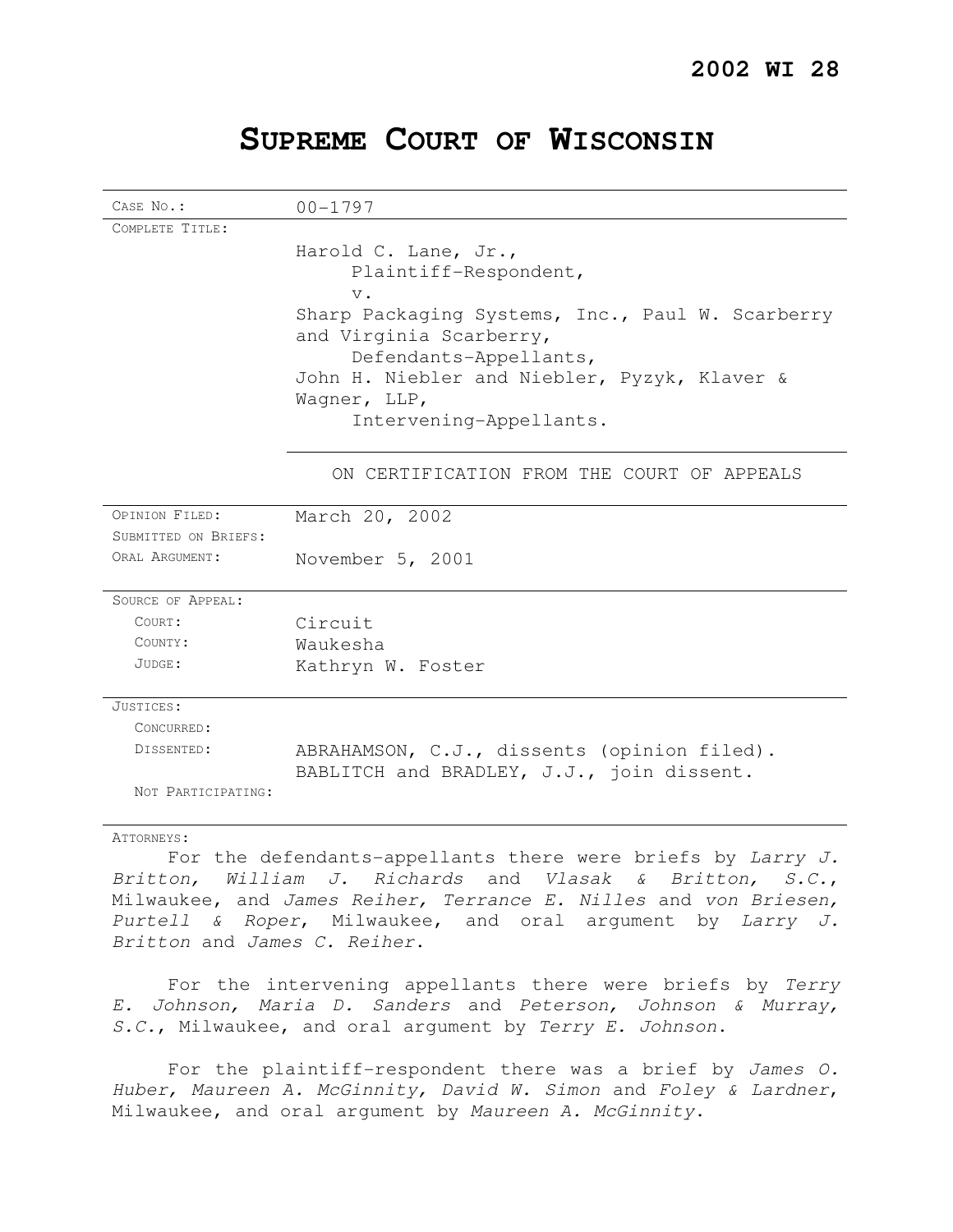## CASE No.: 00-1797 COMPLETE TITLE: Harold C. Lane, Jr., Plaintiff-Respondent,  $\overline{v}$ Sharp Packaging Systems, Inc., Paul W. Scarberry and Virginia Scarberry, Defendants-Appellants, John H. Niebler and Niebler, Pyzyk, Klaver & Wagner, LLP, Intervening-Appellants. ON CERTIFICATION FROM THE COURT OF APPEALS OPINION FILED: March 20, 2002 SUBMITTED ON BRIEFS: ORAL ARGUMENT: November 5, 2001 SOURCE OF APPEAL: COURT: Circuit COUNTY: Waukesha JUDGE: Kathryn W. Foster JUSTICES: CONCURRED: DISSENTED: ABRAHAMSON, C.J., dissents (opinion filed). BABLITCH and BRADLEY, J.J., join dissent. NOT PARTICIPATING:

# **SUPREME COURT OF WISCONSIN**

#### ATTORNEYS:

For the defendants-appellants there were briefs by  $Lary J$ . Britton, William J. Richards and Vlasak & Britton, S.C., Milwaukee, and James Reiher, Terrance E. Nilles and von Briesen, Purtell & Roper, Milwaukee, and oral argument by Larry J. Britton and James C. Reiher.

For the intervening appellants there were briefs by Terry E. Johnson, Maria D. Sanders and Peterson, Johnson & Murray, S.C., Milwaukee, and oral argument by Terry E. Johnson.

For the plaintiff-respondent there was a brief by James O. Huber, Maureen A. McGinnity, David W. Simon and Foley & Lardner, Milwaukee, and oral argument by Maureen A. McGinnity.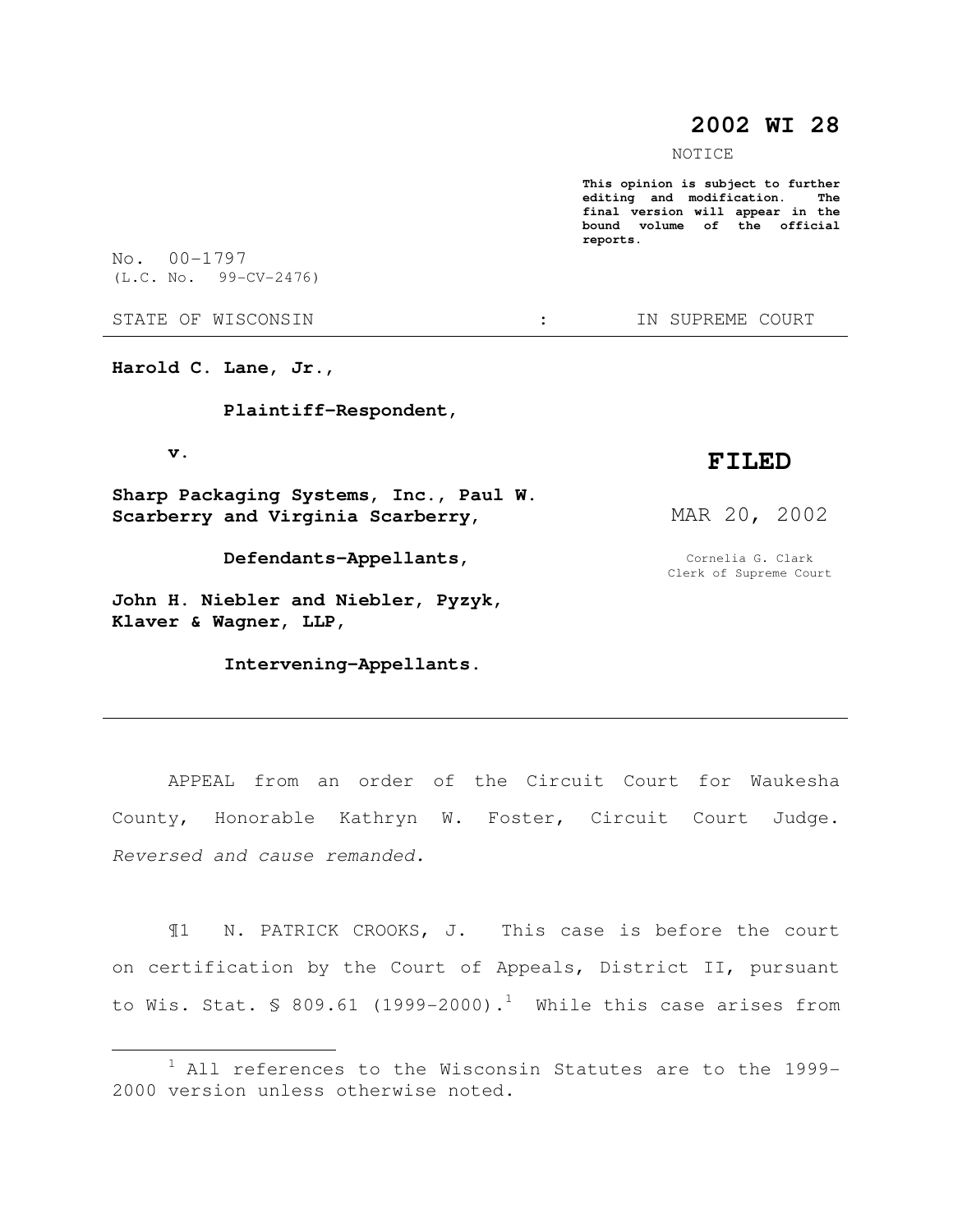## **2002 WI 28**

NOTICE

**This opinion is subject to further editing and modification. The final version will appear in the bound volume of the official reports.** 

No. 00-1797 (L.C. No. 99-CV-2476)

STATE OF WISCONSIN  $\cdot$   $\cdot$  in SUPREME COURT

**Harold C. Lane, Jr.,** 

 **Plaintiff-Respondent,** 

 **v.** 

 $\overline{a}$ 

**Sharp Packaging Systems, Inc., Paul W. Scarberry and Virginia Scarberry,** 

 **Defendants-Appellants,** 

**John H. Niebler and Niebler, Pyzyk, Klaver & Wagner, LLP,** 

 **Intervening-Appellants.** 

## **FILED**

MAR 20, 2002

Cornelia G. Clark Clerk of Supreme Court

APPEAL from an order of the Circuit Court for Waukesha County, Honorable Kathryn W. Foster, Circuit Court Judge. Reversed and cause remanded.

¶1 N. PATRICK CROOKS, J. This case is before the court on certification by the Court of Appeals, District II, pursuant to Wis. Stat. § 809.61 (1999-2000).<sup>1</sup> While this case arises from

 $1$  All references to the Wisconsin Statutes are to the 1999-2000 version unless otherwise noted.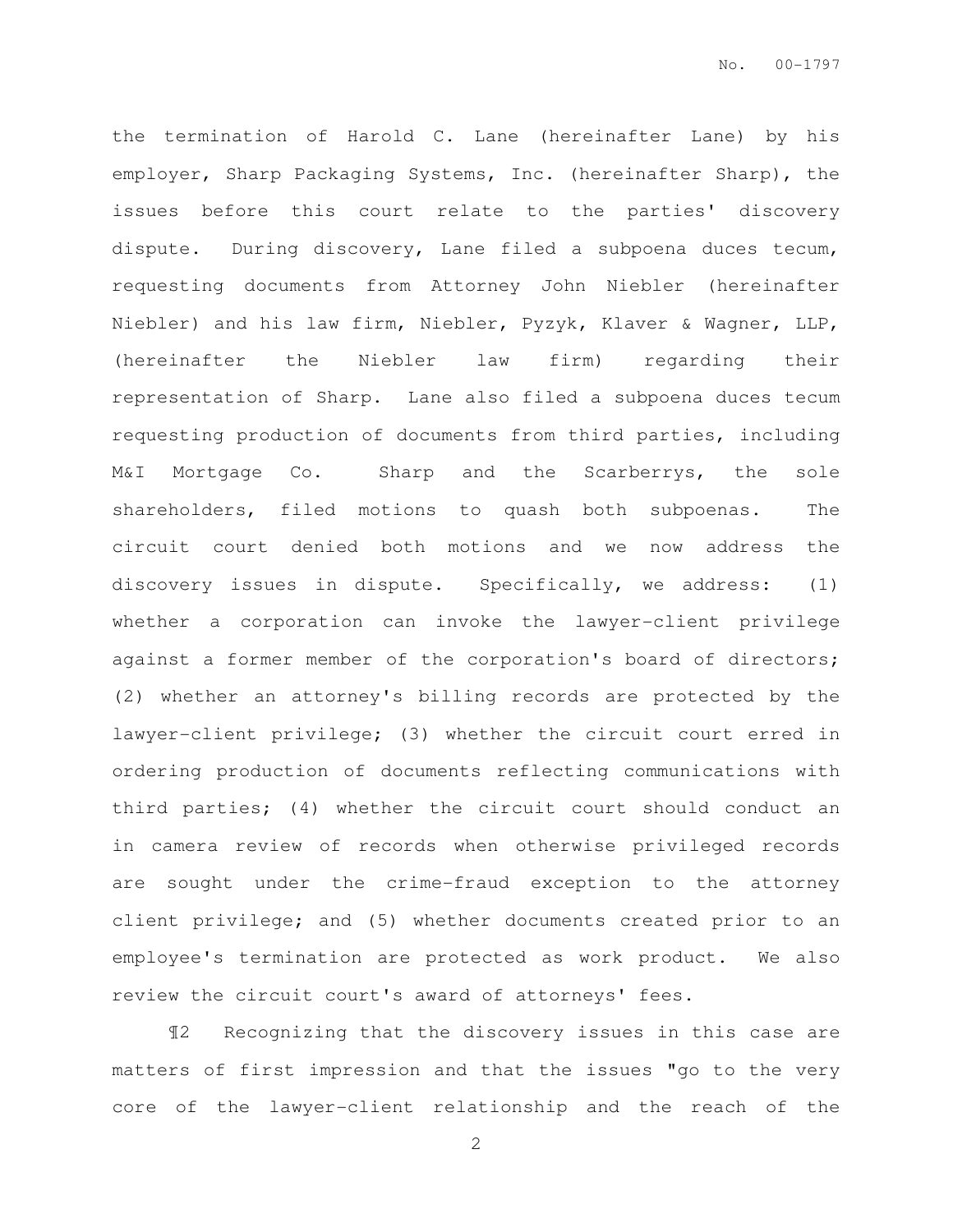the termination of Harold C. Lane (hereinafter Lane) by his employer, Sharp Packaging Systems, Inc. (hereinafter Sharp), the issues before this court relate to the parties' discovery dispute. During discovery, Lane filed a subpoena duces tecum, requesting documents from Attorney John Niebler (hereinafter Niebler) and his law firm, Niebler, Pyzyk, Klaver & Wagner, LLP, (hereinafter the Niebler law firm) regarding their representation of Sharp. Lane also filed a subpoena duces tecum requesting production of documents from third parties, including M&I Mortgage Co. Sharp and the Scarberrys, the sole shareholders, filed motions to quash both subpoenas. The circuit court denied both motions and we now address the discovery issues in dispute. Specifically, we address: (1) whether a corporation can invoke the lawyer-client privilege against a former member of the corporation's board of directors; (2) whether an attorney's billing records are protected by the lawyer-client privilege; (3) whether the circuit court erred in ordering production of documents reflecting communications with third parties; (4) whether the circuit court should conduct an in camera review of records when otherwise privileged records are sought under the crime-fraud exception to the attorney client privilege; and (5) whether documents created prior to an employee's termination are protected as work product. We also review the circuit court's award of attorneys' fees.

¶2 Recognizing that the discovery issues in this case are matters of first impression and that the issues "go to the very core of the lawyer-client relationship and the reach of the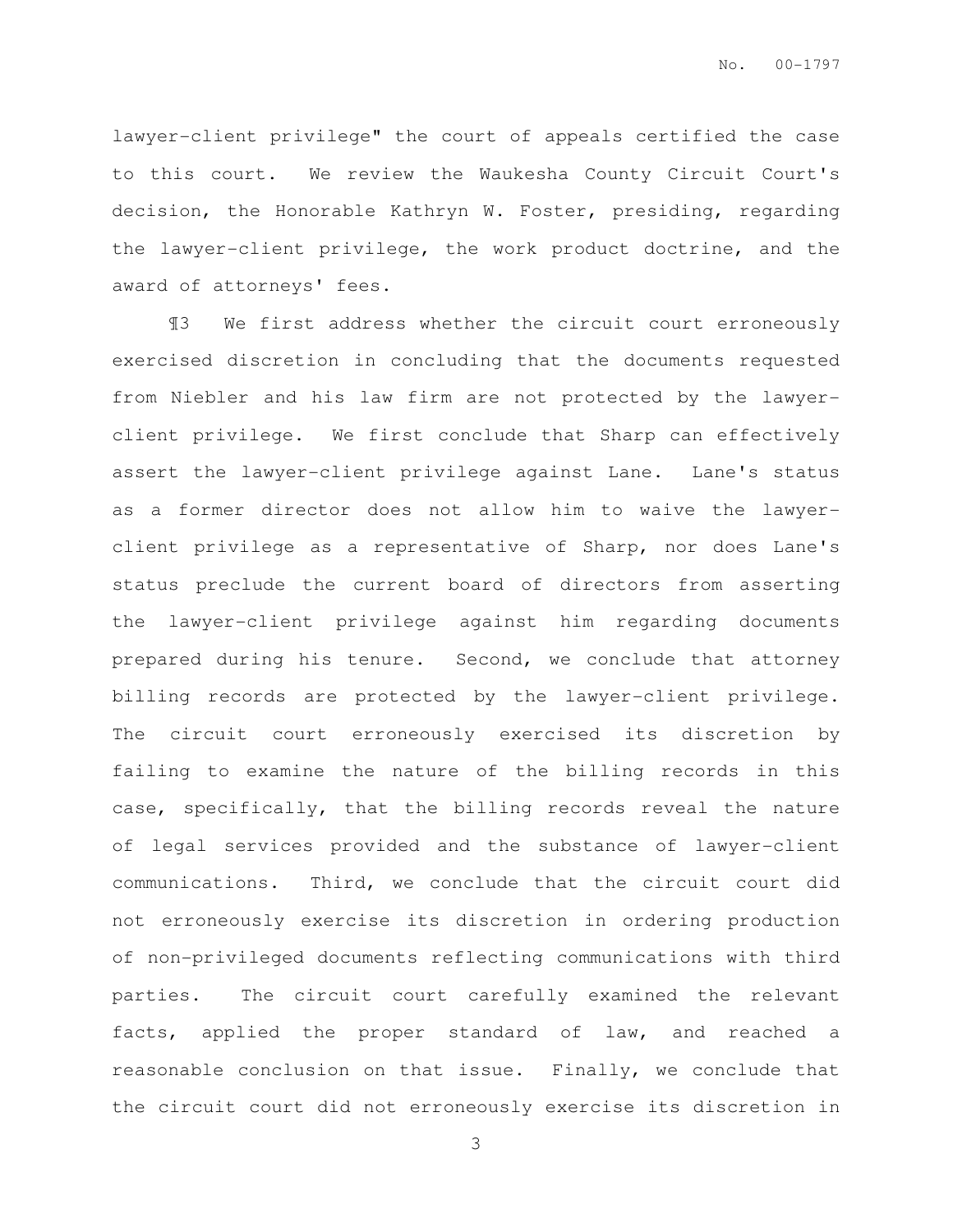lawyer-client privilege" the court of appeals certified the case to this court. We review the Waukesha County Circuit Court's decision, the Honorable Kathryn W. Foster, presiding, regarding the lawyer-client privilege, the work product doctrine, and the award of attorneys' fees.

¶3 We first address whether the circuit court erroneously exercised discretion in concluding that the documents requested from Niebler and his law firm are not protected by the lawyerclient privilege. We first conclude that Sharp can effectively assert the lawyer-client privilege against Lane. Lane's status as a former director does not allow him to waive the lawyerclient privilege as a representative of Sharp, nor does Lane's status preclude the current board of directors from asserting the lawyer-client privilege against him regarding documents prepared during his tenure. Second, we conclude that attorney billing records are protected by the lawyer-client privilege. The circuit court erroneously exercised its discretion by failing to examine the nature of the billing records in this case, specifically, that the billing records reveal the nature of legal services provided and the substance of lawyer-client communications. Third, we conclude that the circuit court did not erroneously exercise its discretion in ordering production of non-privileged documents reflecting communications with third parties. The circuit court carefully examined the relevant facts, applied the proper standard of law, and reached a reasonable conclusion on that issue. Finally, we conclude that the circuit court did not erroneously exercise its discretion in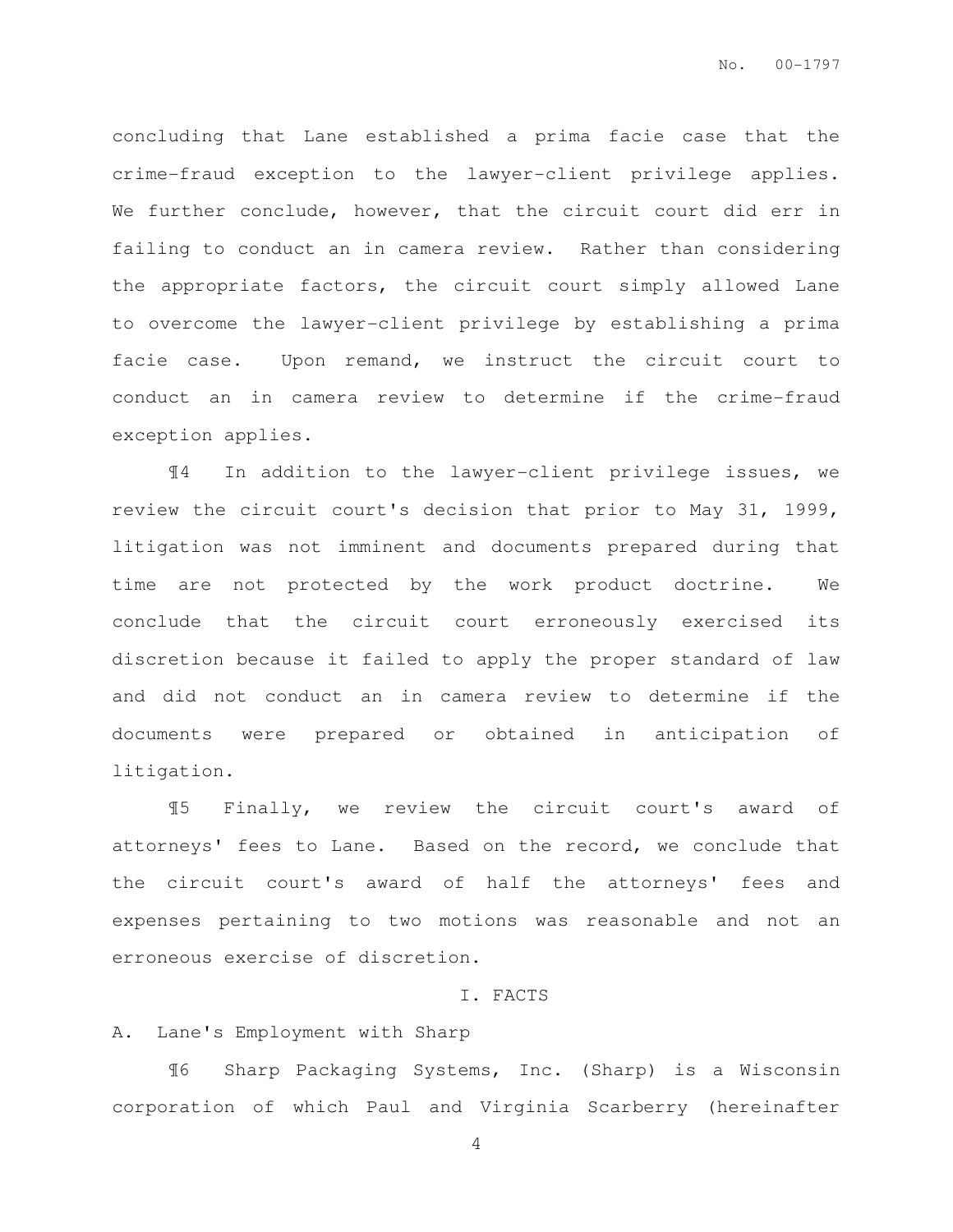concluding that Lane established a prima facie case that the crime-fraud exception to the lawyer-client privilege applies. We further conclude, however, that the circuit court did err in failing to conduct an in camera review. Rather than considering the appropriate factors, the circuit court simply allowed Lane to overcome the lawyer-client privilege by establishing a prima facie case. Upon remand, we instruct the circuit court to conduct an in camera review to determine if the crime-fraud exception applies.

¶4 In addition to the lawyer-client privilege issues, we review the circuit court's decision that prior to May 31, 1999, litigation was not imminent and documents prepared during that time are not protected by the work product doctrine. We conclude that the circuit court erroneously exercised its discretion because it failed to apply the proper standard of law and did not conduct an in camera review to determine if the documents were prepared or obtained in anticipation of litigation.

¶5 Finally, we review the circuit court's award of attorneys' fees to Lane. Based on the record, we conclude that the circuit court's award of half the attorneys' fees and expenses pertaining to two motions was reasonable and not an erroneous exercise of discretion.

#### I. FACTS

#### A. Lane's Employment with Sharp

¶6 Sharp Packaging Systems, Inc. (Sharp) is a Wisconsin corporation of which Paul and Virginia Scarberry (hereinafter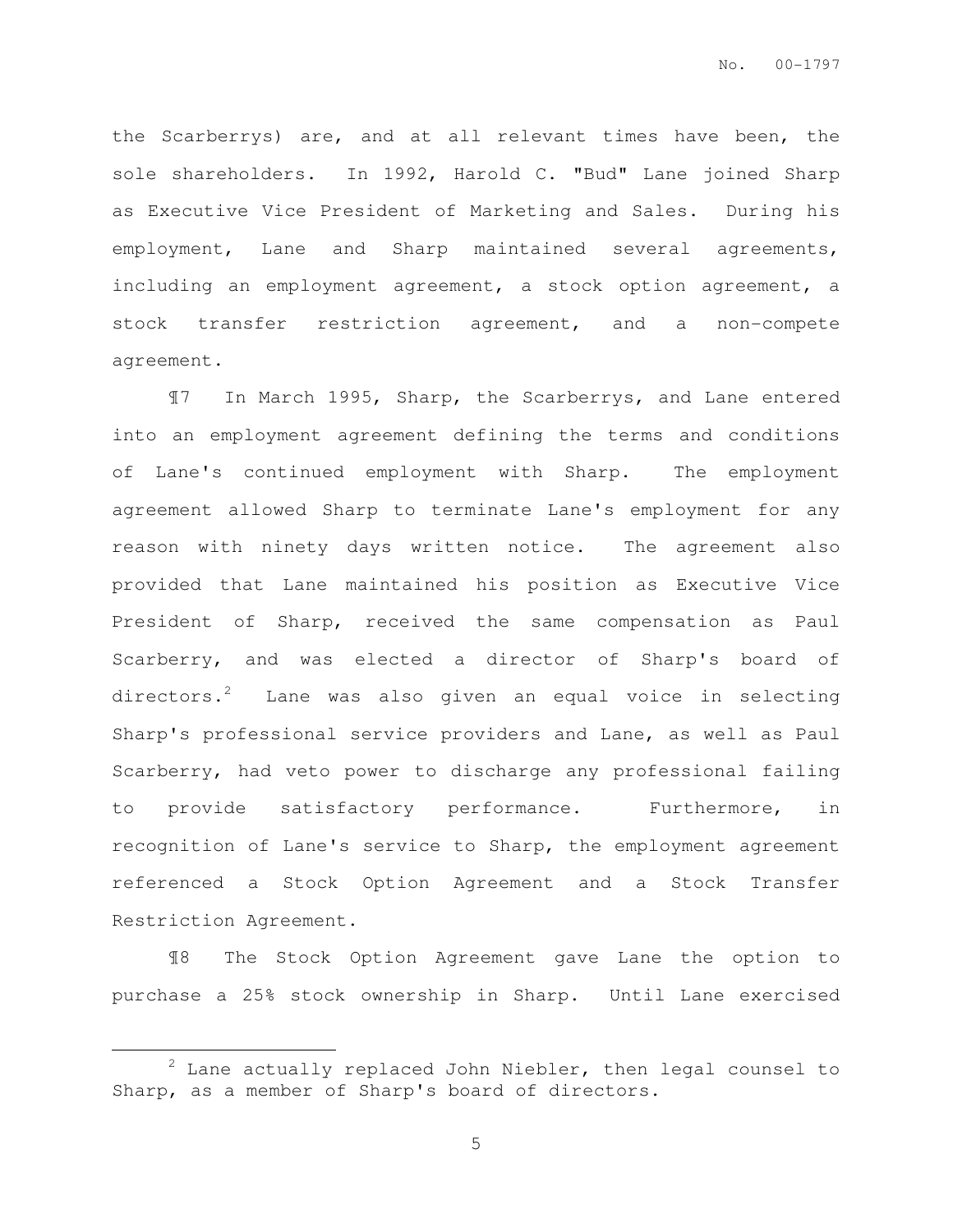the Scarberrys) are, and at all relevant times have been, the sole shareholders. In 1992, Harold C. "Bud" Lane joined Sharp as Executive Vice President of Marketing and Sales. During his employment, Lane and Sharp maintained several agreements, including an employment agreement, a stock option agreement, a stock transfer restriction agreement, and a non-compete agreement.

¶7 In March 1995, Sharp, the Scarberrys, and Lane entered into an employment agreement defining the terms and conditions of Lane's continued employment with Sharp. The employment agreement allowed Sharp to terminate Lane's employment for any reason with ninety days written notice. The agreement also provided that Lane maintained his position as Executive Vice President of Sharp, received the same compensation as Paul Scarberry, and was elected a director of Sharp's board of directors.<sup>2</sup> Lane was also given an equal voice in selecting Sharp's professional service providers and Lane, as well as Paul Scarberry, had veto power to discharge any professional failing to provide satisfactory performance. Furthermore, in recognition of Lane's service to Sharp, the employment agreement referenced a Stock Option Agreement and a Stock Transfer Restriction Agreement.

¶8 The Stock Option Agreement gave Lane the option to purchase a 25% stock ownership in Sharp. Until Lane exercised

 $\overline{a}$ 

 $2$  Lane actually replaced John Niebler, then legal counsel to Sharp, as a member of Sharp's board of directors.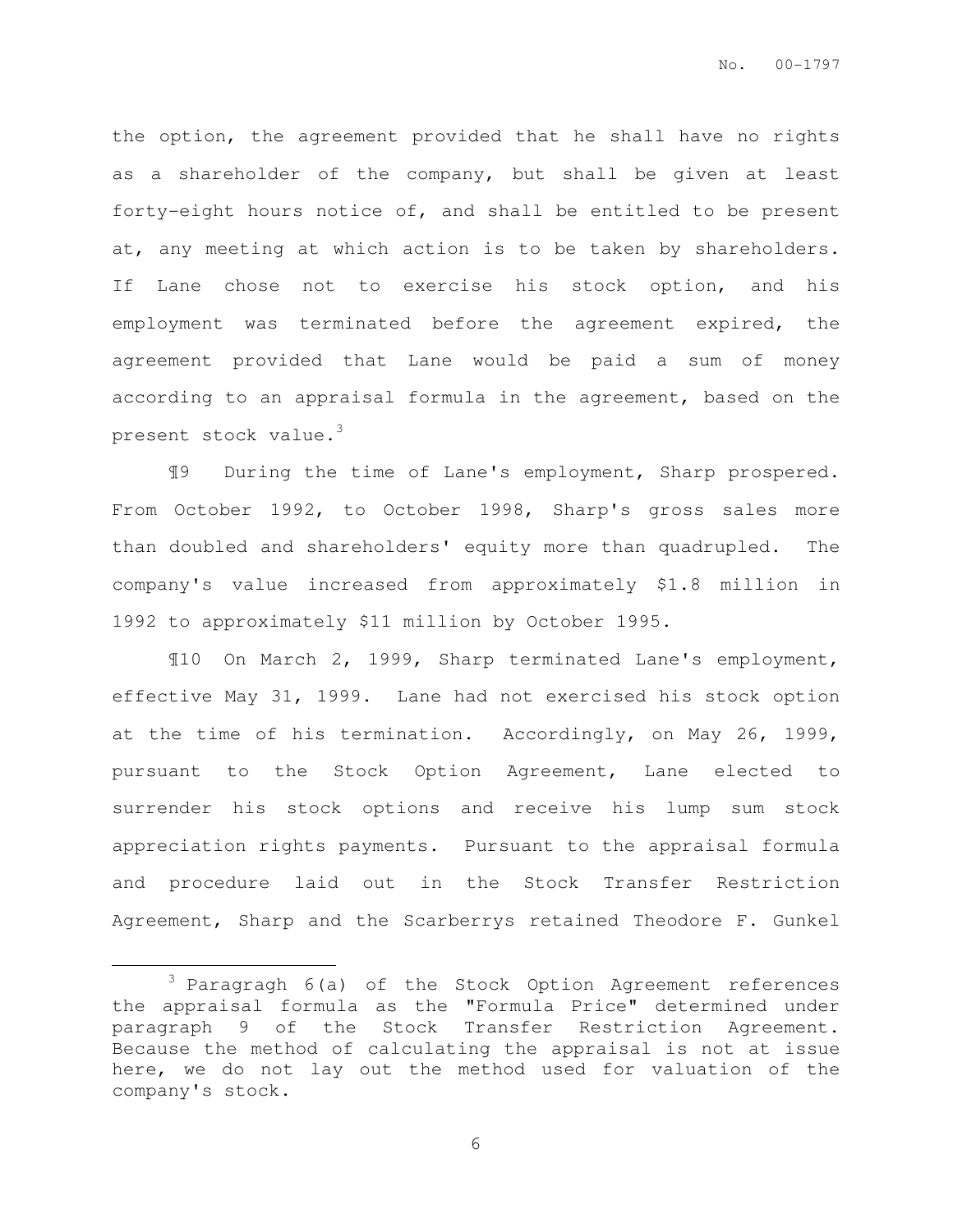the option, the agreement provided that he shall have no rights as a shareholder of the company, but shall be given at least forty-eight hours notice of, and shall be entitled to be present at, any meeting at which action is to be taken by shareholders. If Lane chose not to exercise his stock option, and his employment was terminated before the agreement expired, the agreement provided that Lane would be paid a sum of money according to an appraisal formula in the agreement, based on the present stock value.<sup>3</sup>

¶9 During the time of Lane's employment, Sharp prospered. From October 1992, to October 1998, Sharp's gross sales more than doubled and shareholders' equity more than quadrupled. The company's value increased from approximately \$1.8 million in 1992 to approximately \$11 million by October 1995.

¶10 On March 2, 1999, Sharp terminated Lane's employment, effective May 31, 1999. Lane had not exercised his stock option at the time of his termination. Accordingly, on May 26, 1999, pursuant to the Stock Option Agreement, Lane elected to surrender his stock options and receive his lump sum stock appreciation rights payments. Pursuant to the appraisal formula and procedure laid out in the Stock Transfer Restriction Agreement, Sharp and the Scarberrys retained Theodore F. Gunkel

 $\overline{a}$ 

 $3$  Paragragh  $6(a)$  of the Stock Option Agreement references the appraisal formula as the "Formula Price" determined under paragraph 9 of the Stock Transfer Restriction Agreement. Because the method of calculating the appraisal is not at issue here, we do not lay out the method used for valuation of the company's stock.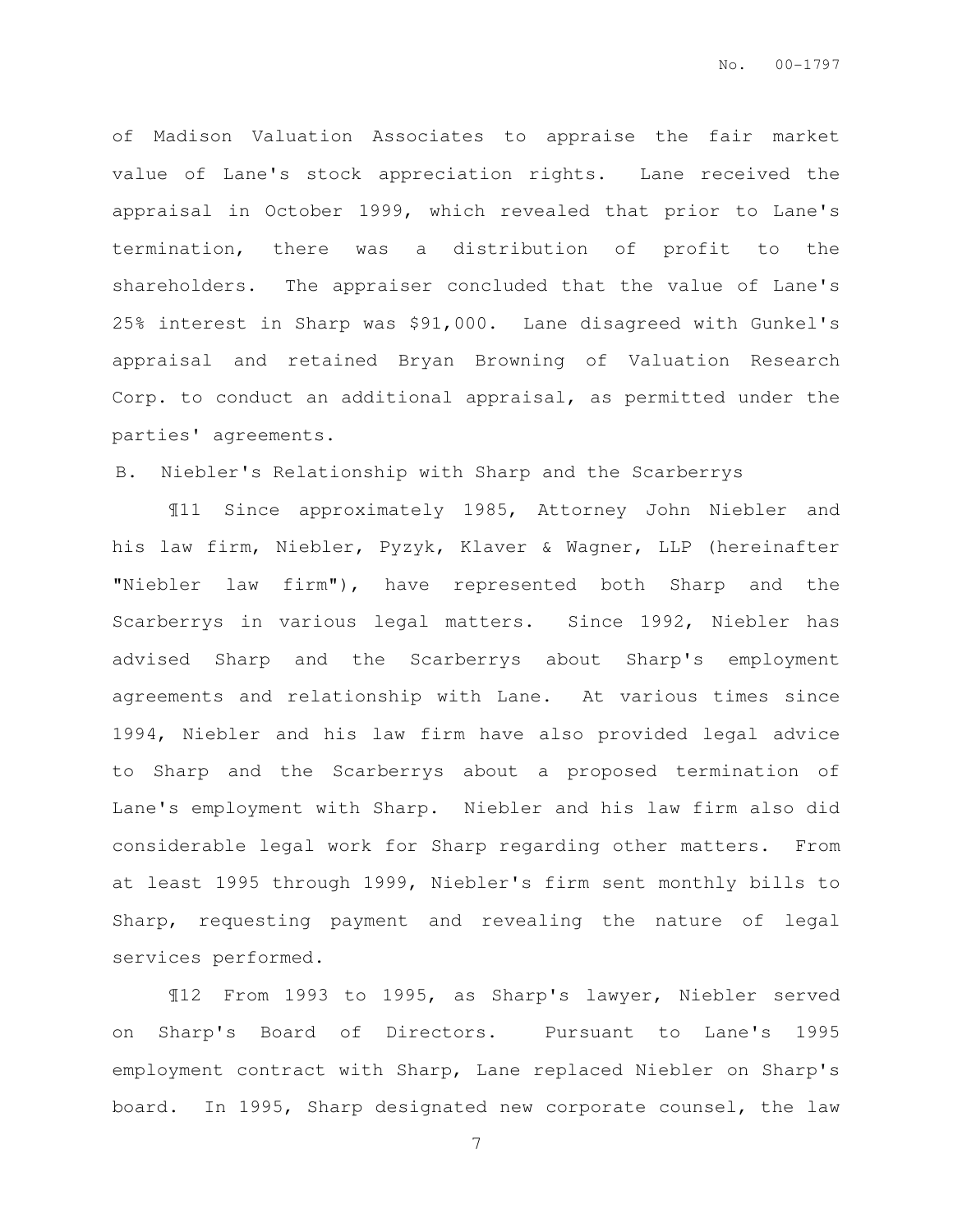of Madison Valuation Associates to appraise the fair market value of Lane's stock appreciation rights. Lane received the appraisal in October 1999, which revealed that prior to Lane's termination, there was a distribution of profit to the shareholders. The appraiser concluded that the value of Lane's 25% interest in Sharp was \$91,000. Lane disagreed with Gunkel's appraisal and retained Bryan Browning of Valuation Research Corp. to conduct an additional appraisal, as permitted under the parties' agreements.

### B. Niebler's Relationship with Sharp and the Scarberrys

¶11 Since approximately 1985, Attorney John Niebler and his law firm, Niebler, Pyzyk, Klaver & Wagner, LLP (hereinafter "Niebler law firm"), have represented both Sharp and the Scarberrys in various legal matters. Since 1992, Niebler has advised Sharp and the Scarberrys about Sharp's employment agreements and relationship with Lane. At various times since 1994, Niebler and his law firm have also provided legal advice to Sharp and the Scarberrys about a proposed termination of Lane's employment with Sharp. Niebler and his law firm also did considerable legal work for Sharp regarding other matters. From at least 1995 through 1999, Niebler's firm sent monthly bills to Sharp, requesting payment and revealing the nature of legal services performed.

¶12 From 1993 to 1995, as Sharp's lawyer, Niebler served on Sharp's Board of Directors. Pursuant to Lane's 1995 employment contract with Sharp, Lane replaced Niebler on Sharp's board. In 1995, Sharp designated new corporate counsel, the law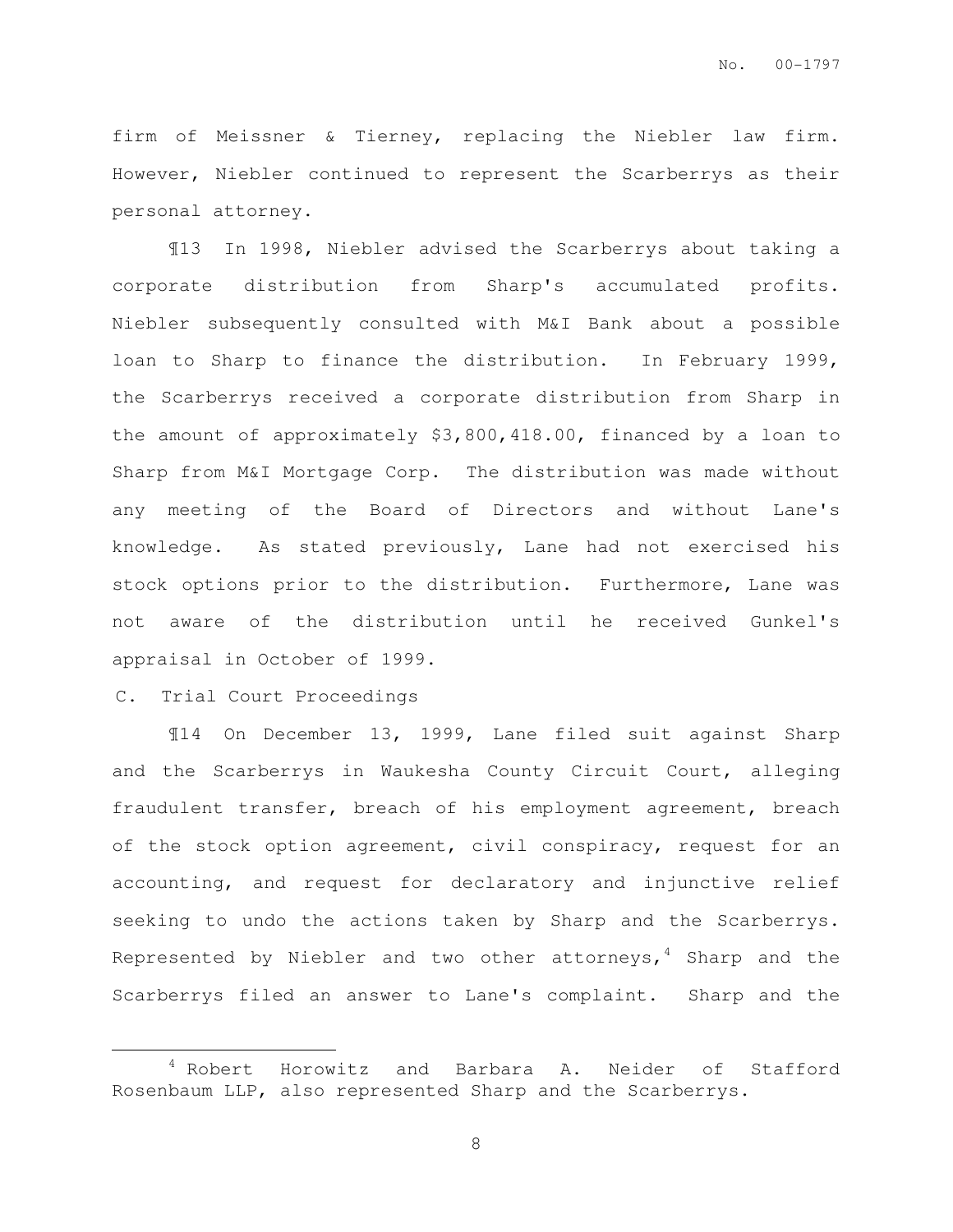firm of Meissner & Tierney, replacing the Niebler law firm. However, Niebler continued to represent the Scarberrys as their personal attorney.

¶13 In 1998, Niebler advised the Scarberrys about taking a corporate distribution from Sharp's accumulated profits. Niebler subsequently consulted with M&I Bank about a possible loan to Sharp to finance the distribution. In February 1999, the Scarberrys received a corporate distribution from Sharp in the amount of approximately \$3,800,418.00, financed by a loan to Sharp from M&I Mortgage Corp. The distribution was made without any meeting of the Board of Directors and without Lane's knowledge. As stated previously, Lane had not exercised his stock options prior to the distribution. Furthermore, Lane was not aware of the distribution until he received Gunkel's appraisal in October of 1999.

#### C. Trial Court Proceedings

 $\overline{a}$ 

¶14 On December 13, 1999, Lane filed suit against Sharp and the Scarberrys in Waukesha County Circuit Court, alleging fraudulent transfer, breach of his employment agreement, breach of the stock option agreement, civil conspiracy, request for an accounting, and request for declaratory and injunctive relief seeking to undo the actions taken by Sharp and the Scarberrys. Represented by Niebler and two other attorneys,  $4$  Sharp and the Scarberrys filed an answer to Lane's complaint. Sharp and the

<sup>4</sup> Robert Horowitz and Barbara A. Neider of Stafford Rosenbaum LLP, also represented Sharp and the Scarberrys.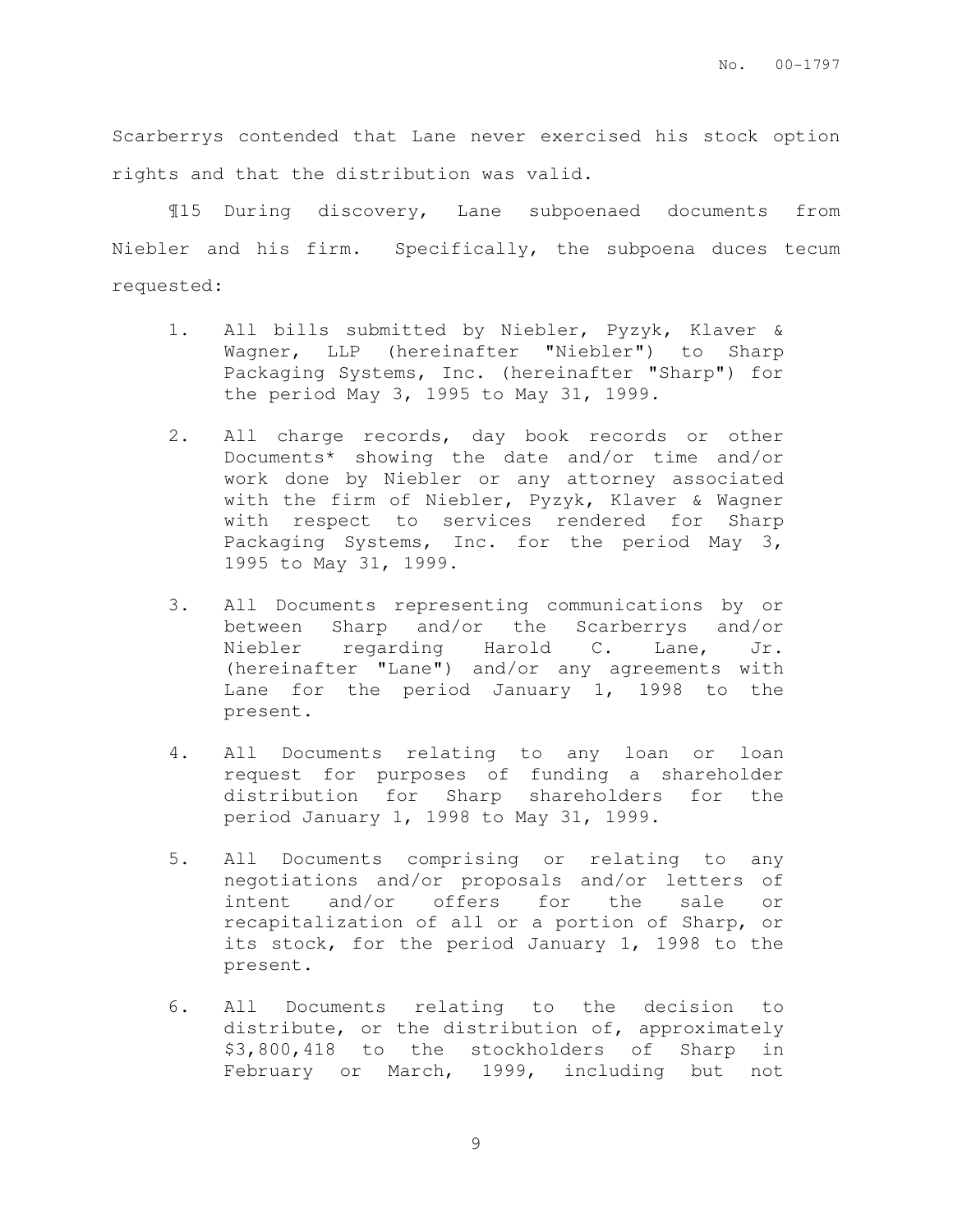Scarberrys contended that Lane never exercised his stock option rights and that the distribution was valid.

¶15 During discovery, Lane subpoenaed documents from Niebler and his firm. Specifically, the subpoena duces tecum requested:

- 1. All bills submitted by Niebler, Pyzyk, Klaver & Wagner, LLP (hereinafter "Niebler") to Sharp Packaging Systems, Inc. (hereinafter "Sharp") for the period May 3, 1995 to May 31, 1999.
- 2. All charge records, day book records or other Documents\* showing the date and/or time and/or work done by Niebler or any attorney associated with the firm of Niebler, Pyzyk, Klaver & Wagner with respect to services rendered for Sharp Packaging Systems, Inc. for the period May 3, 1995 to May 31, 1999.
- 3. All Documents representing communications by or between Sharp and/or the Scarberrys and/or Niebler regarding Harold C. Lane, Jr. (hereinafter "Lane") and/or any agreements with Lane for the period January 1, 1998 to the present.
- 4. All Documents relating to any loan or loan request for purposes of funding a shareholder distribution for Sharp shareholders for the period January 1, 1998 to May 31, 1999.
- 5. All Documents comprising or relating to any negotiations and/or proposals and/or letters of intent and/or offers for the sale or recapitalization of all or a portion of Sharp, or its stock, for the period January 1, 1998 to the present.
- 6. All Documents relating to the decision to distribute, or the distribution of, approximately \$3,800,418 to the stockholders of Sharp in February or March, 1999, including but not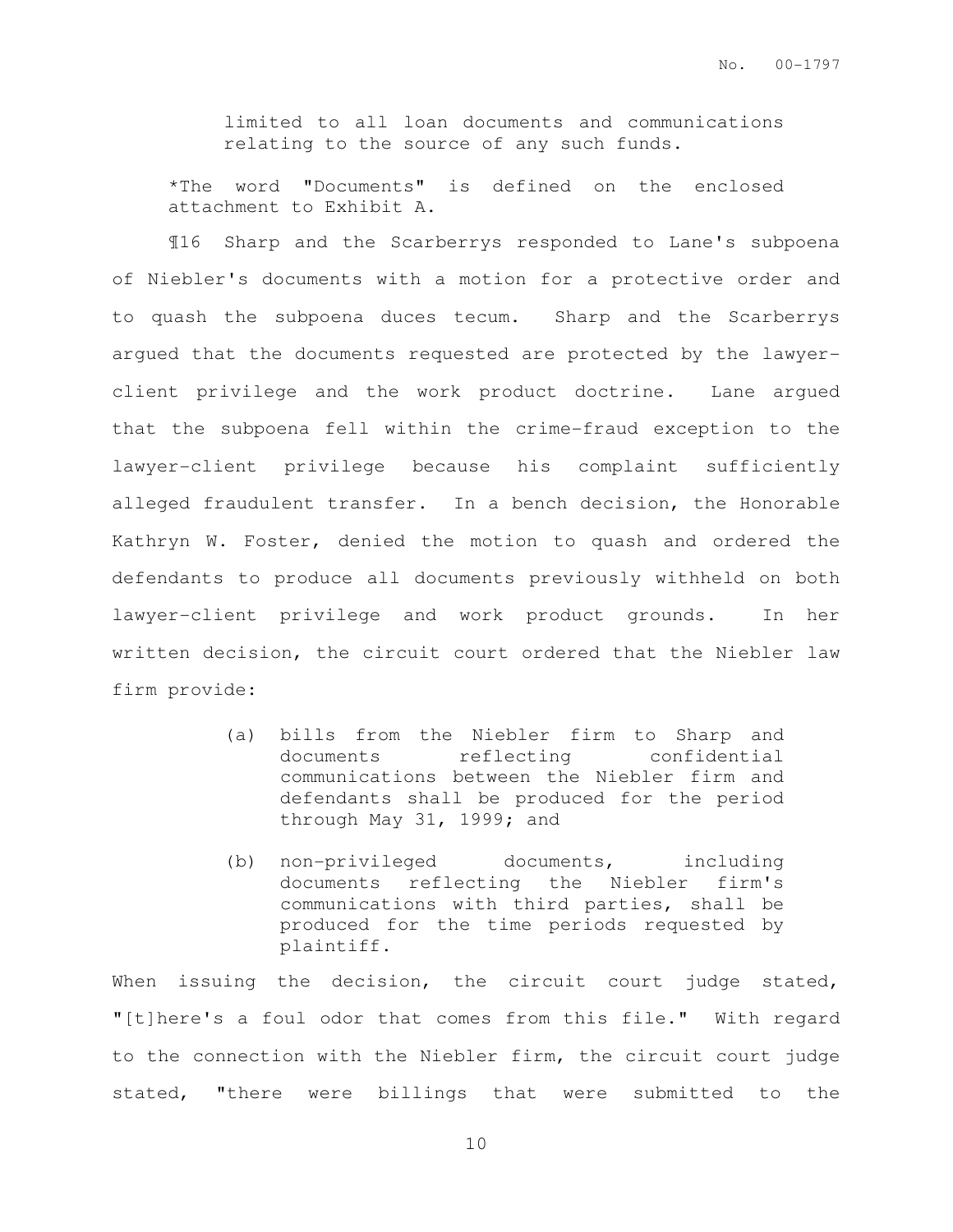limited to all loan documents and communications relating to the source of any such funds.

\*The word "Documents" is defined on the enclosed attachment to Exhibit A.

¶16 Sharp and the Scarberrys responded to Lane's subpoena of Niebler's documents with a motion for a protective order and to quash the subpoena duces tecum. Sharp and the Scarberrys argued that the documents requested are protected by the lawyerclient privilege and the work product doctrine. Lane argued that the subpoena fell within the crime-fraud exception to the lawyer-client privilege because his complaint sufficiently alleged fraudulent transfer. In a bench decision, the Honorable Kathryn W. Foster, denied the motion to quash and ordered the defendants to produce all documents previously withheld on both lawyer-client privilege and work product grounds. In her written decision, the circuit court ordered that the Niebler law firm provide:

- (a) bills from the Niebler firm to Sharp and documents reflecting confidential communications between the Niebler firm and defendants shall be produced for the period through May 31, 1999; and
- (b) non-privileged documents, including documents reflecting the Niebler firm's communications with third parties, shall be produced for the time periods requested by plaintiff.

When issuing the decision, the circuit court judge stated, "[t]here's a foul odor that comes from this file." With regard to the connection with the Niebler firm, the circuit court judge stated, "there were billings that were submitted to the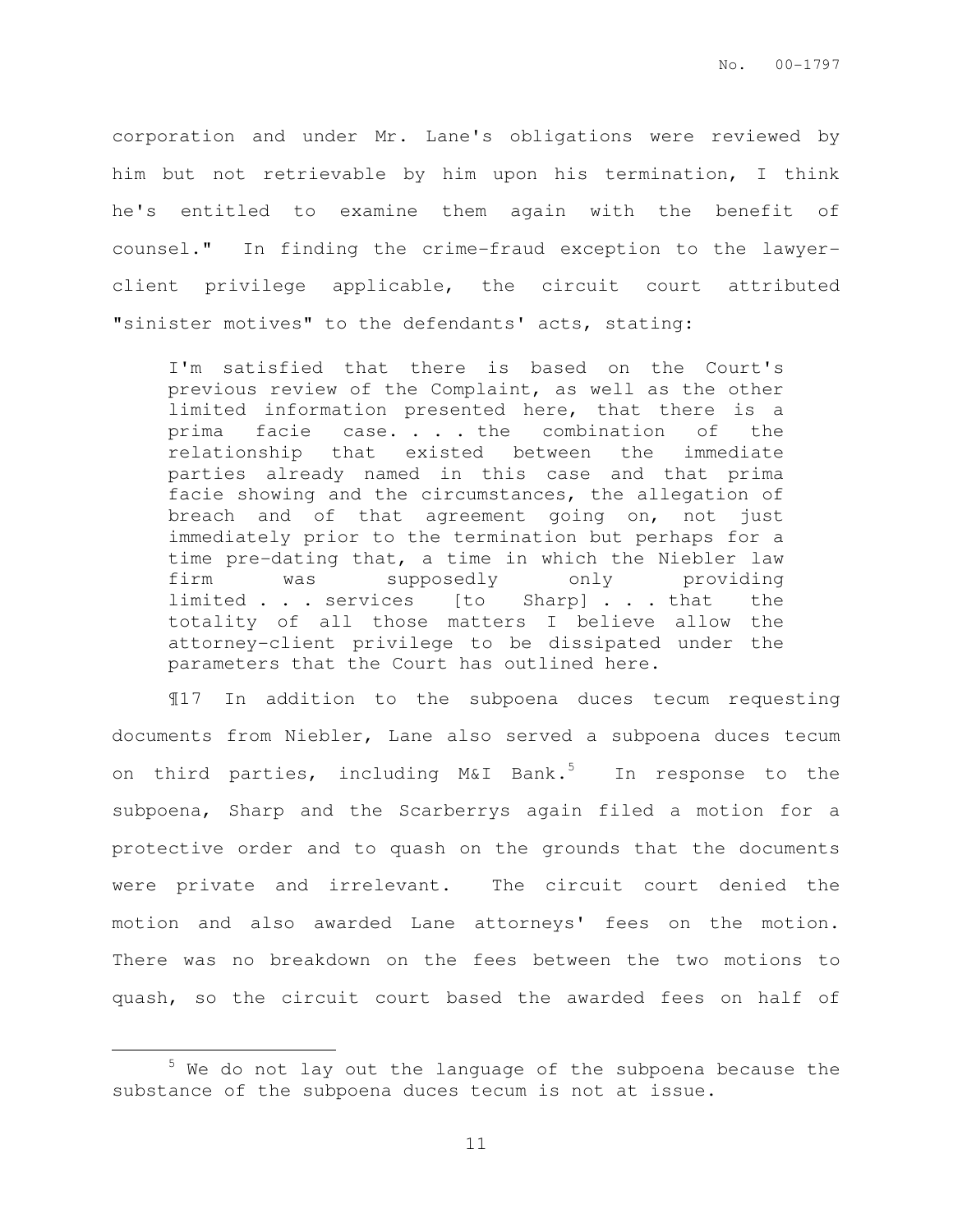corporation and under Mr. Lane's obligations were reviewed by him but not retrievable by him upon his termination, I think he's entitled to examine them again with the benefit of counsel." In finding the crime-fraud exception to the lawyerclient privilege applicable, the circuit court attributed "sinister motives" to the defendants' acts, stating:

I'm satisfied that there is based on the Court's previous review of the Complaint, as well as the other limited information presented here, that there is a prima facie case. . . the combination of the relationship that existed between the immediate parties already named in this case and that prima facie showing and the circumstances, the allegation of breach and of that agreement going on, not just immediately prior to the termination but perhaps for a time pre-dating that, a time in which the Niebler law firm was supposedly only providing limited . . . services [to Sharp] . . . that the totality of all those matters I believe allow the attorney-client privilege to be dissipated under the parameters that the Court has outlined here.

¶17 In addition to the subpoena duces tecum requesting documents from Niebler, Lane also served a subpoena duces tecum on third parties, including  $M\&I$  Bank.<sup>5</sup> In response to the subpoena, Sharp and the Scarberrys again filed a motion for a protective order and to quash on the grounds that the documents were private and irrelevant. The circuit court denied the motion and also awarded Lane attorneys' fees on the motion. There was no breakdown on the fees between the two motions to quash, so the circuit court based the awarded fees on half of

<sup>&</sup>lt;sup>5</sup> We do not lay out the language of the subpoena because the substance of the subpoena duces tecum is not at issue.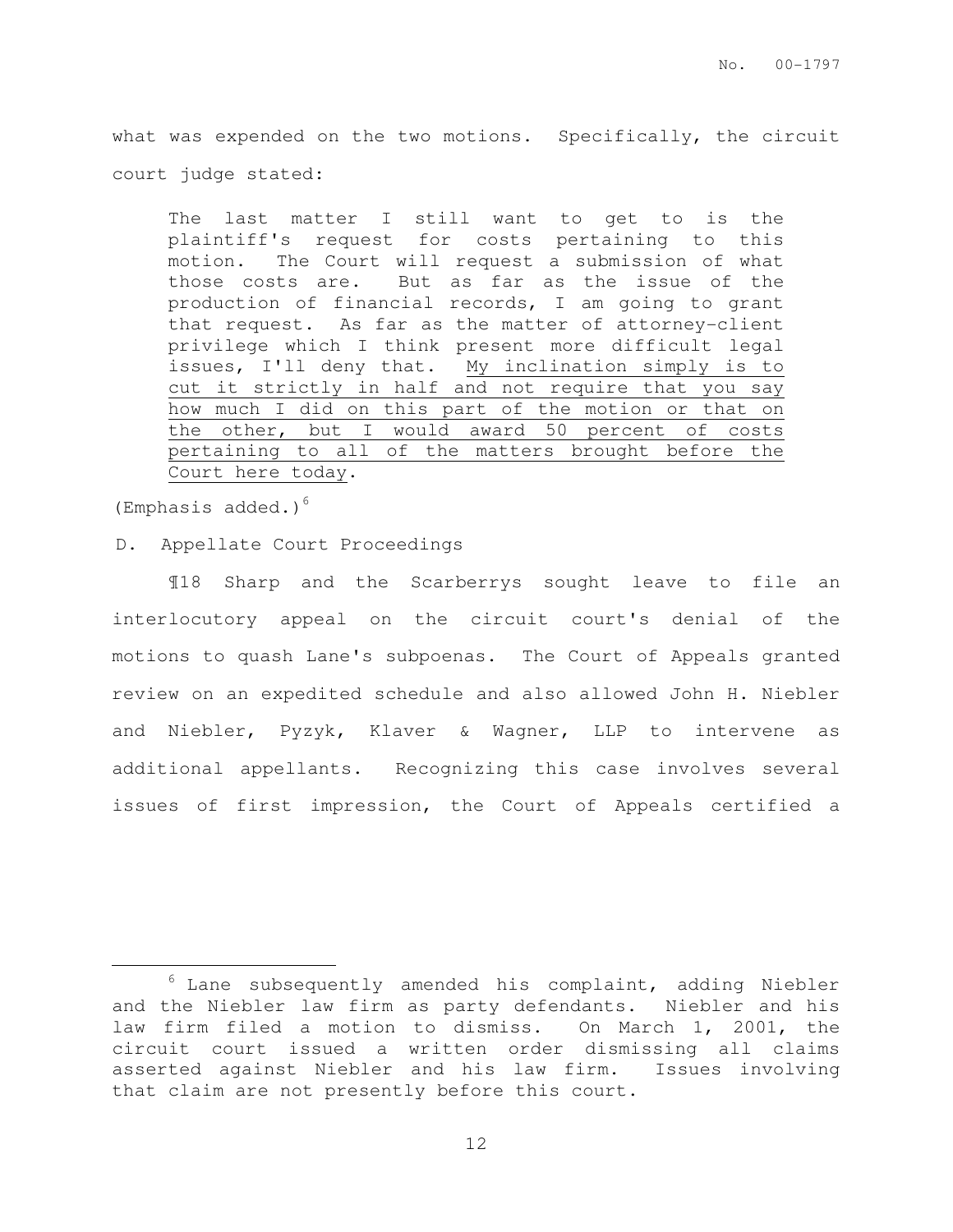what was expended on the two motions. Specifically, the circuit court judge stated:

The last matter I still want to get to is the plaintiff's request for costs pertaining to this motion. The Court will request a submission of what those costs are. But as far as the issue of the production of financial records, I am going to grant that request. As far as the matter of attorney-client privilege which I think present more difficult legal issues, I'll deny that. My inclination simply is to cut it strictly in half and not require that you say how much I did on this part of the motion or that on the other, but I would award 50 percent of costs pertaining to all of the matters brought before the Court here today.

(Emphasis added.) $<sup>6</sup>$ </sup>

 $\overline{a}$ 

D. Appellate Court Proceedings

¶18 Sharp and the Scarberrys sought leave to file an interlocutory appeal on the circuit court's denial of the motions to quash Lane's subpoenas. The Court of Appeals granted review on an expedited schedule and also allowed John H. Niebler and Niebler, Pyzyk, Klaver & Wagner, LLP to intervene as additional appellants. Recognizing this case involves several issues of first impression, the Court of Appeals certified a

 $6$  Lane subsequently amended his complaint, adding Niebler and the Niebler law firm as party defendants. Niebler and his law firm filed a motion to dismiss. On March 1, 2001, the circuit court issued a written order dismissing all claims asserted against Niebler and his law firm. Issues involving that claim are not presently before this court.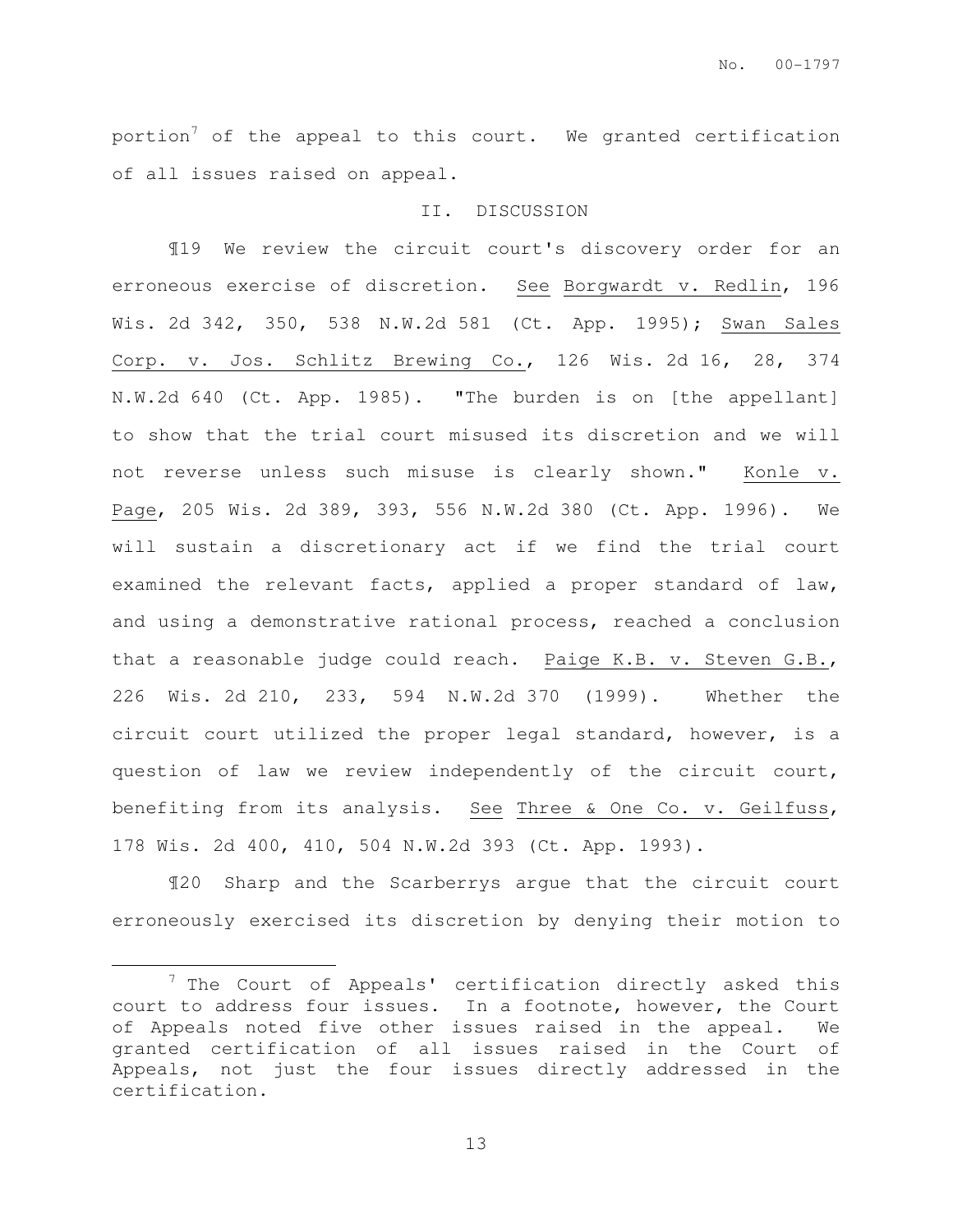portion<sup>7</sup> of the appeal to this court. We granted certification of all issues raised on appeal.

### II. DISCUSSION

¶19 We review the circuit court's discovery order for an erroneous exercise of discretion. See Borgwardt v. Redlin, 196 Wis. 2d 342, 350, 538 N.W.2d 581 (Ct. App. 1995); Swan Sales Corp. v. Jos. Schlitz Brewing Co., 126 Wis. 2d 16, 28, 374 N.W.2d 640 (Ct. App. 1985). "The burden is on [the appellant] to show that the trial court misused its discretion and we will not reverse unless such misuse is clearly shown." Konle v. Page, 205 Wis. 2d 389, 393, 556 N.W.2d 380 (Ct. App. 1996). We will sustain a discretionary act if we find the trial court examined the relevant facts, applied a proper standard of law, and using a demonstrative rational process, reached a conclusion that a reasonable judge could reach. Paige K.B. v. Steven G.B., 226 Wis. 2d 210, 233, 594 N.W.2d 370 (1999). Whether the circuit court utilized the proper legal standard, however, is a question of law we review independently of the circuit court, benefiting from its analysis. See Three & One Co. v. Geilfuss, 178 Wis. 2d 400, 410, 504 N.W.2d 393 (Ct. App. 1993).

¶20 Sharp and the Scarberrys argue that the circuit court erroneously exercised its discretion by denying their motion to

 $\overline{a}$ 

 $7$  The Court of Appeals' certification directly asked this court to address four issues. In a footnote, however, the Court of Appeals noted five other issues raised in the appeal. We granted certification of all issues raised in the Court of Appeals, not just the four issues directly addressed in the certification.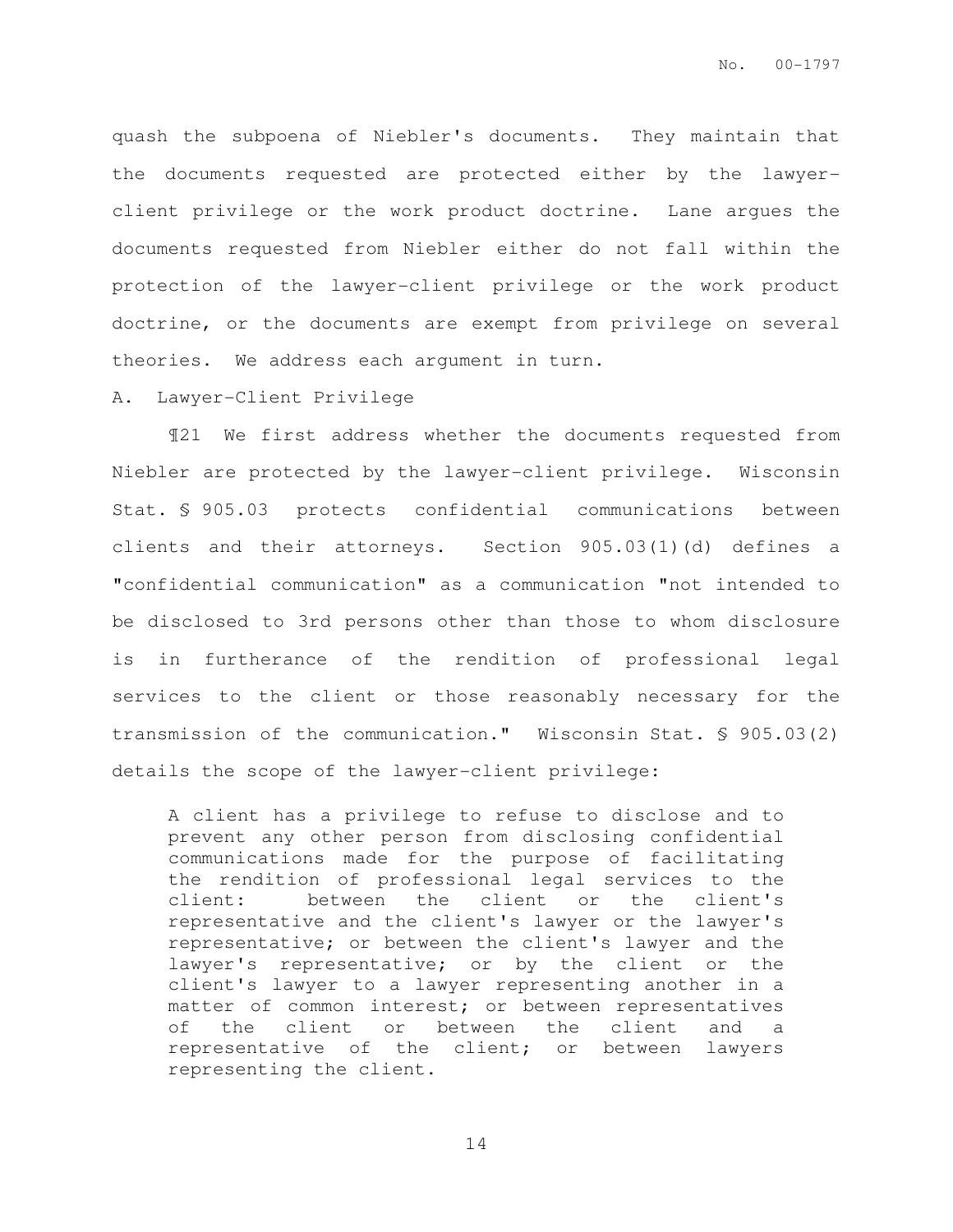quash the subpoena of Niebler's documents. They maintain that the documents requested are protected either by the lawyerclient privilege or the work product doctrine. Lane argues the documents requested from Niebler either do not fall within the protection of the lawyer-client privilege or the work product doctrine, or the documents are exempt from privilege on several theories. We address each argument in turn.

#### A. Lawyer-Client Privilege

¶21 We first address whether the documents requested from Niebler are protected by the lawyer-client privilege. Wisconsin Stat. § 905.03 protects confidential communications between clients and their attorneys. Section 905.03(1)(d) defines a "confidential communication" as a communication "not intended to be disclosed to 3rd persons other than those to whom disclosure is in furtherance of the rendition of professional legal services to the client or those reasonably necessary for the transmission of the communication." Wisconsin Stat. § 905.03(2) details the scope of the lawyer-client privilege:

A client has a privilege to refuse to disclose and to prevent any other person from disclosing confidential communications made for the purpose of facilitating the rendition of professional legal services to the client: between the client or the client's representative and the client's lawyer or the lawyer's representative; or between the client's lawyer and the lawyer's representative; or by the client or the client's lawyer to a lawyer representing another in a matter of common interest; or between representatives of the client or between the client and a representative of the client; or between lawyers representing the client.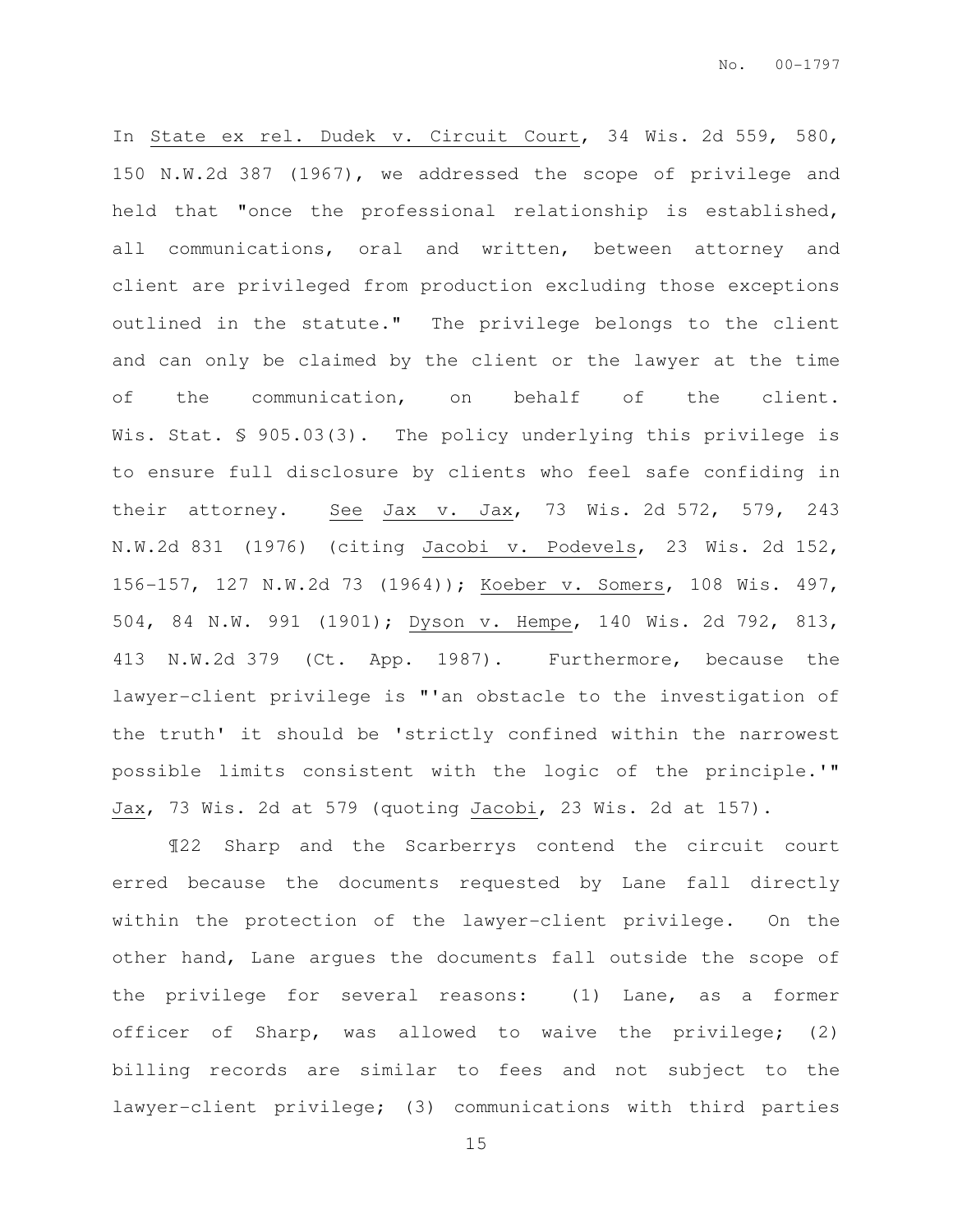In State ex rel. Dudek v. Circuit Court, 34 Wis. 2d 559, 580, 150 N.W.2d 387 (1967), we addressed the scope of privilege and held that "once the professional relationship is established, all communications, oral and written, between attorney and client are privileged from production excluding those exceptions outlined in the statute." The privilege belongs to the client and can only be claimed by the client or the lawyer at the time of the communication, on behalf of the client. Wis. Stat. § 905.03(3). The policy underlying this privilege is to ensure full disclosure by clients who feel safe confiding in their attorney. See Jax v. Jax, 73 Wis. 2d 572, 579, 243 N.W.2d 831 (1976) (citing Jacobi v. Podevels, 23 Wis. 2d 152, 156-157, 127 N.W.2d 73 (1964)); Koeber v. Somers, 108 Wis. 497, 504, 84 N.W. 991 (1901); Dyson v. Hempe, 140 Wis. 2d 792, 813, 413 N.W.2d 379 (Ct. App. 1987). Furthermore, because the lawyer-client privilege is "'an obstacle to the investigation of the truth' it should be 'strictly confined within the narrowest possible limits consistent with the logic of the principle.'" Jax, 73 Wis. 2d at 579 (quoting Jacobi, 23 Wis. 2d at 157).

¶22 Sharp and the Scarberrys contend the circuit court erred because the documents requested by Lane fall directly within the protection of the lawyer-client privilege. On the other hand, Lane argues the documents fall outside the scope of the privilege for several reasons: (1) Lane, as a former officer of Sharp, was allowed to waive the privilege; (2) billing records are similar to fees and not subject to the lawyer-client privilege; (3) communications with third parties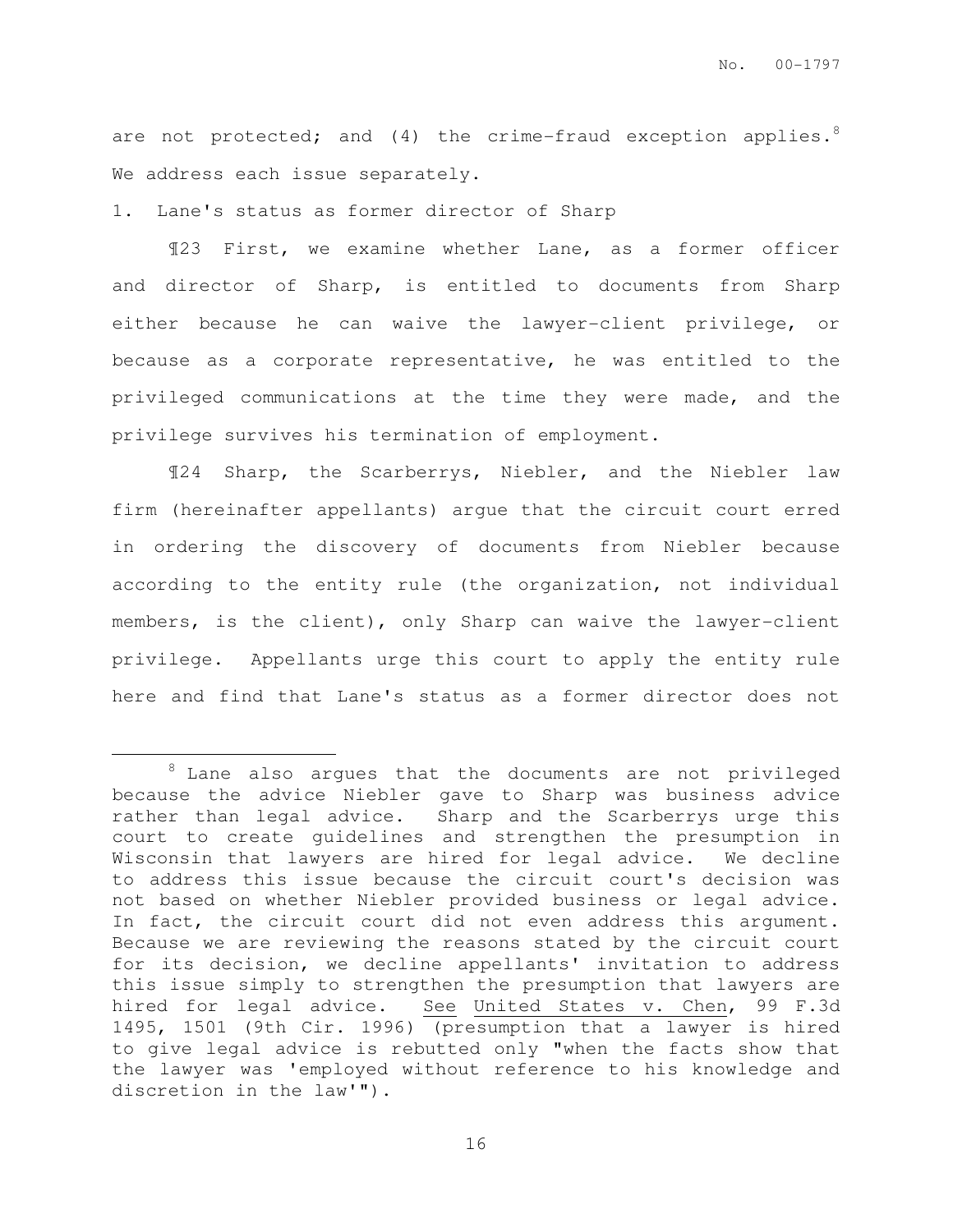are not protected; and  $(4)$  the crime-fraud exception applies.<sup>8</sup> We address each issue separately.

1. Lane's status as former director of Sharp

 $\overline{a}$ 

¶23 First, we examine whether Lane, as a former officer and director of Sharp, is entitled to documents from Sharp either because he can waive the lawyer-client privilege, or because as a corporate representative, he was entitled to the privileged communications at the time they were made, and the privilege survives his termination of employment.

¶24 Sharp, the Scarberrys, Niebler, and the Niebler law firm (hereinafter appellants) argue that the circuit court erred in ordering the discovery of documents from Niebler because according to the entity rule (the organization, not individual members, is the client), only Sharp can waive the lawyer-client privilege. Appellants urge this court to apply the entity rule here and find that Lane's status as a former director does not

 $8$  Lane also argues that the documents are not privileged because the advice Niebler gave to Sharp was business advice rather than legal advice. Sharp and the Scarberrys urge this court to create guidelines and strengthen the presumption in Wisconsin that lawyers are hired for legal advice. We decline to address this issue because the circuit court's decision was not based on whether Niebler provided business or legal advice. In fact, the circuit court did not even address this argument. Because we are reviewing the reasons stated by the circuit court for its decision, we decline appellants' invitation to address this issue simply to strengthen the presumption that lawyers are hired for legal advice. See United States v. Chen, 99 F.3d 1495, 1501 (9th Cir. 1996) (presumption that a lawyer is hired to give legal advice is rebutted only "when the facts show that the lawyer was 'employed without reference to his knowledge and discretion in the law'").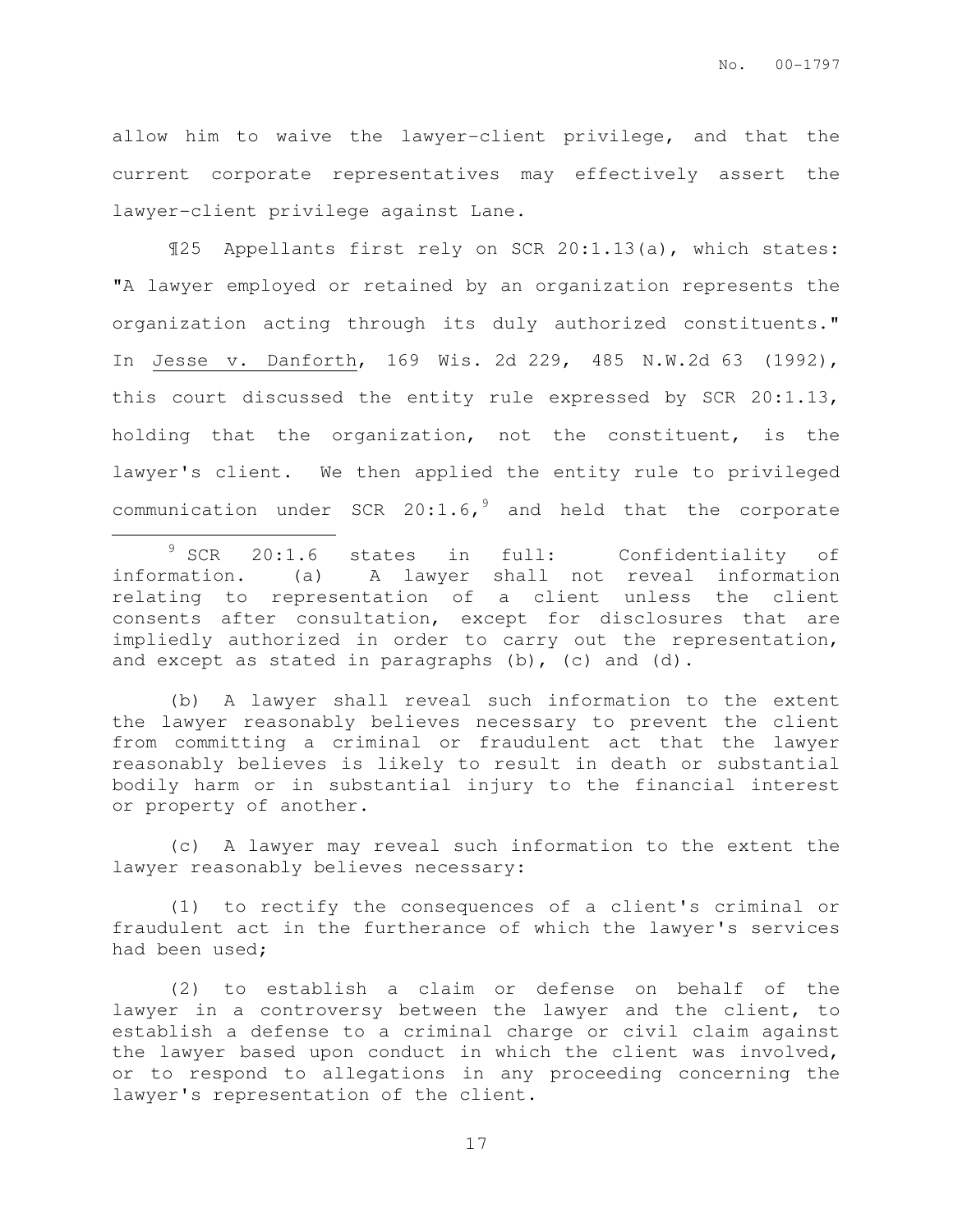allow him to waive the lawyer-client privilege, and that the current corporate representatives may effectively assert the lawyer-client privilege against Lane.

¶25 Appellants first rely on SCR 20:1.13(a), which states: "A lawyer employed or retained by an organization represents the organization acting through its duly authorized constituents." In Jesse v. Danforth, 169 Wis. 2d 229, 485 N.W.2d 63 (1992), this court discussed the entity rule expressed by SCR 20:1.13, holding that the organization, not the constituent, is the lawyer's client. We then applied the entity rule to privileged communication under SCR  $20:1.6,$ <sup>9</sup> and held that the corporate  $\overline{a}$ 

(b) A lawyer shall reveal such information to the extent the lawyer reasonably believes necessary to prevent the client from committing a criminal or fraudulent act that the lawyer reasonably believes is likely to result in death or substantial bodily harm or in substantial injury to the financial interest or property of another.

(c) A lawyer may reveal such information to the extent the lawyer reasonably believes necessary:

(1) to rectify the consequences of a client's criminal or fraudulent act in the furtherance of which the lawyer's services had been used;

(2) to establish a claim or defense on behalf of the lawyer in a controversy between the lawyer and the client, to establish a defense to a criminal charge or civil claim against the lawyer based upon conduct in which the client was involved, or to respond to allegations in any proceeding concerning the lawyer's representation of the client.

<sup>&</sup>lt;sup>9</sup> SCR 20:1.6 states in full: Confidentiality of information. (a) A lawyer shall not reveal information relating to representation of a client unless the client consents after consultation, except for disclosures that are impliedly authorized in order to carry out the representation, and except as stated in paragraphs (b), (c) and (d).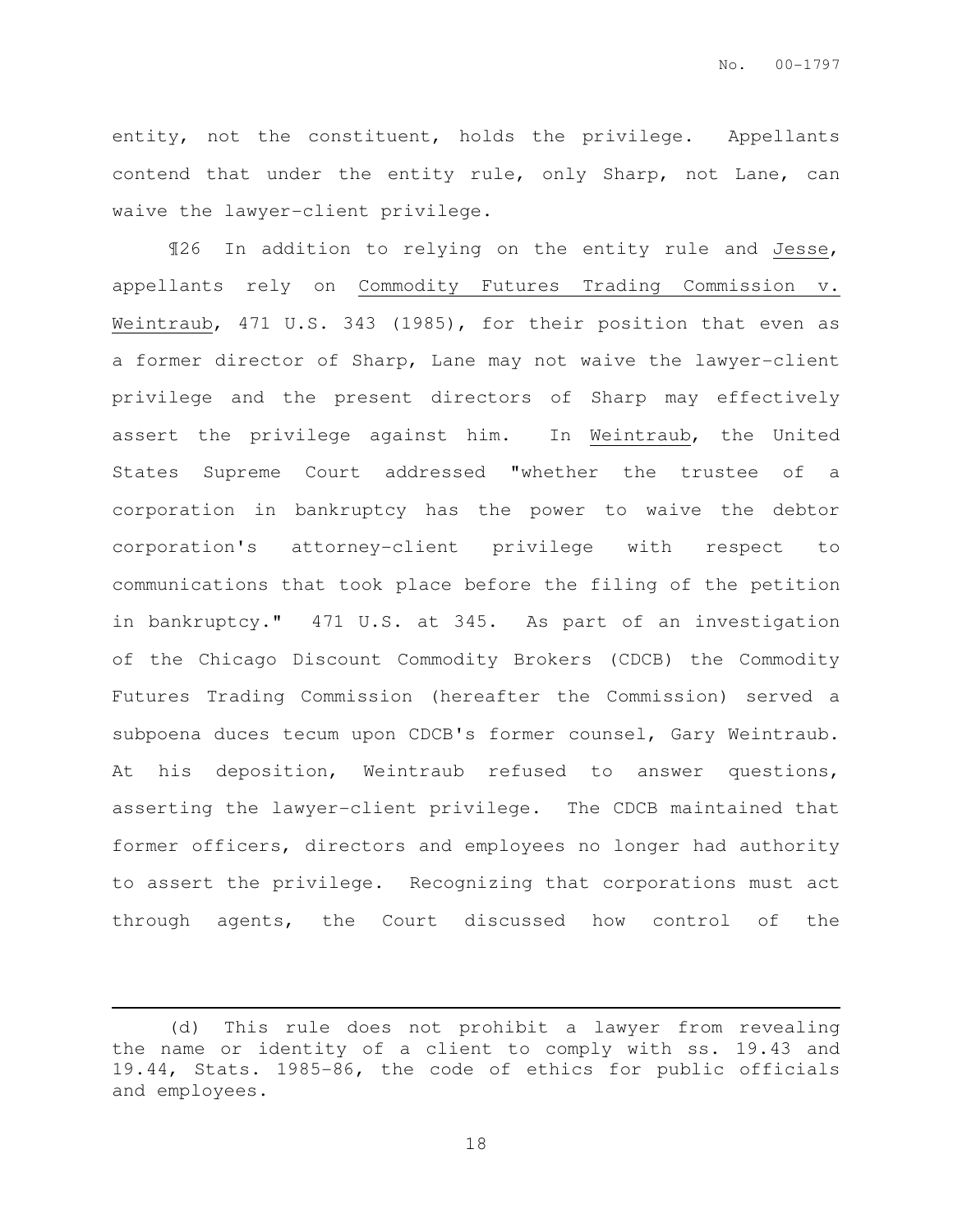entity, not the constituent, holds the privilege. Appellants contend that under the entity rule, only Sharp, not Lane, can waive the lawyer-client privilege.

¶26 In addition to relying on the entity rule and Jesse, appellants rely on Commodity Futures Trading Commission v. Weintraub, 471 U.S. 343 (1985), for their position that even as a former director of Sharp, Lane may not waive the lawyer-client privilege and the present directors of Sharp may effectively assert the privilege against him. In Weintraub, the United States Supreme Court addressed "whether the trustee of a corporation in bankruptcy has the power to waive the debtor corporation's attorney-client privilege with respect to communications that took place before the filing of the petition in bankruptcy." 471 U.S. at 345. As part of an investigation of the Chicago Discount Commodity Brokers (CDCB) the Commodity Futures Trading Commission (hereafter the Commission) served a subpoena duces tecum upon CDCB's former counsel, Gary Weintraub. At his deposition, Weintraub refused to answer questions, asserting the lawyer-client privilege. The CDCB maintained that former officers, directors and employees no longer had authority to assert the privilege. Recognizing that corporations must act through agents, the Court discussed how control of the

 $\overline{a}$ 

<sup>(</sup>d) This rule does not prohibit a lawyer from revealing the name or identity of a client to comply with ss. 19.43 and 19.44, Stats. 1985-86, the code of ethics for public officials and employees.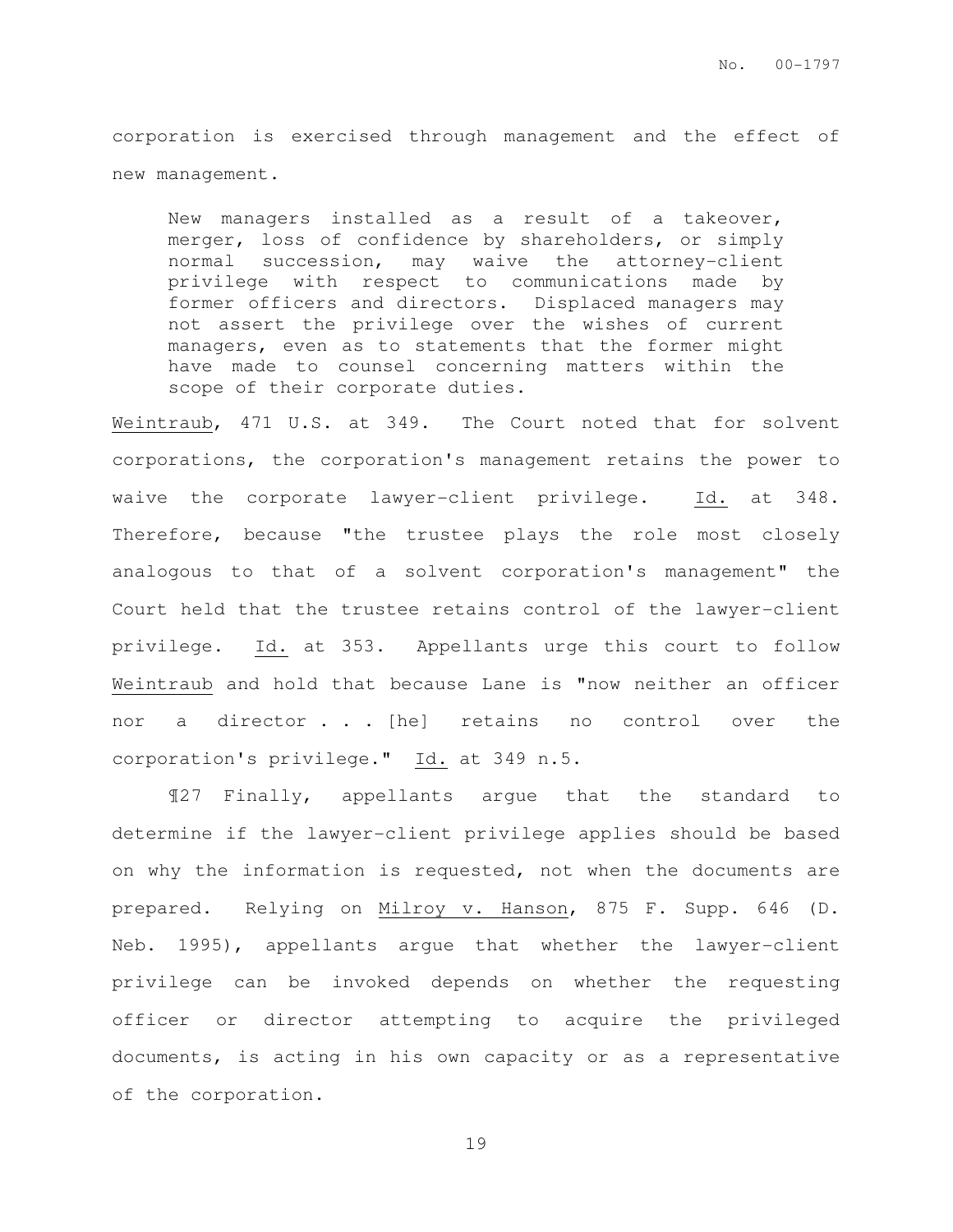corporation is exercised through management and the effect of new management.

New managers installed as a result of a takeover, merger, loss of confidence by shareholders, or simply normal succession, may waive the attorney-client privilege with respect to communications made by former officers and directors. Displaced managers may not assert the privilege over the wishes of current managers, even as to statements that the former might have made to counsel concerning matters within the scope of their corporate duties.

Weintraub, 471 U.S. at 349. The Court noted that for solvent corporations, the corporation's management retains the power to waive the corporate lawyer-client privilege. Id. at 348. Therefore, because "the trustee plays the role most closely analogous to that of a solvent corporation's management" the Court held that the trustee retains control of the lawyer-client privilege. Id. at 353. Appellants urge this court to follow Weintraub and hold that because Lane is "now neither an officer nor a director . . [he] retains no control over the corporation's privilege." Id. at 349 n.5.

¶27 Finally, appellants argue that the standard to determine if the lawyer-client privilege applies should be based on why the information is requested, not when the documents are prepared. Relying on Milroy v. Hanson, 875 F. Supp. 646 (D. Neb. 1995), appellants argue that whether the lawyer-client privilege can be invoked depends on whether the requesting officer or director attempting to acquire the privileged documents, is acting in his own capacity or as a representative of the corporation.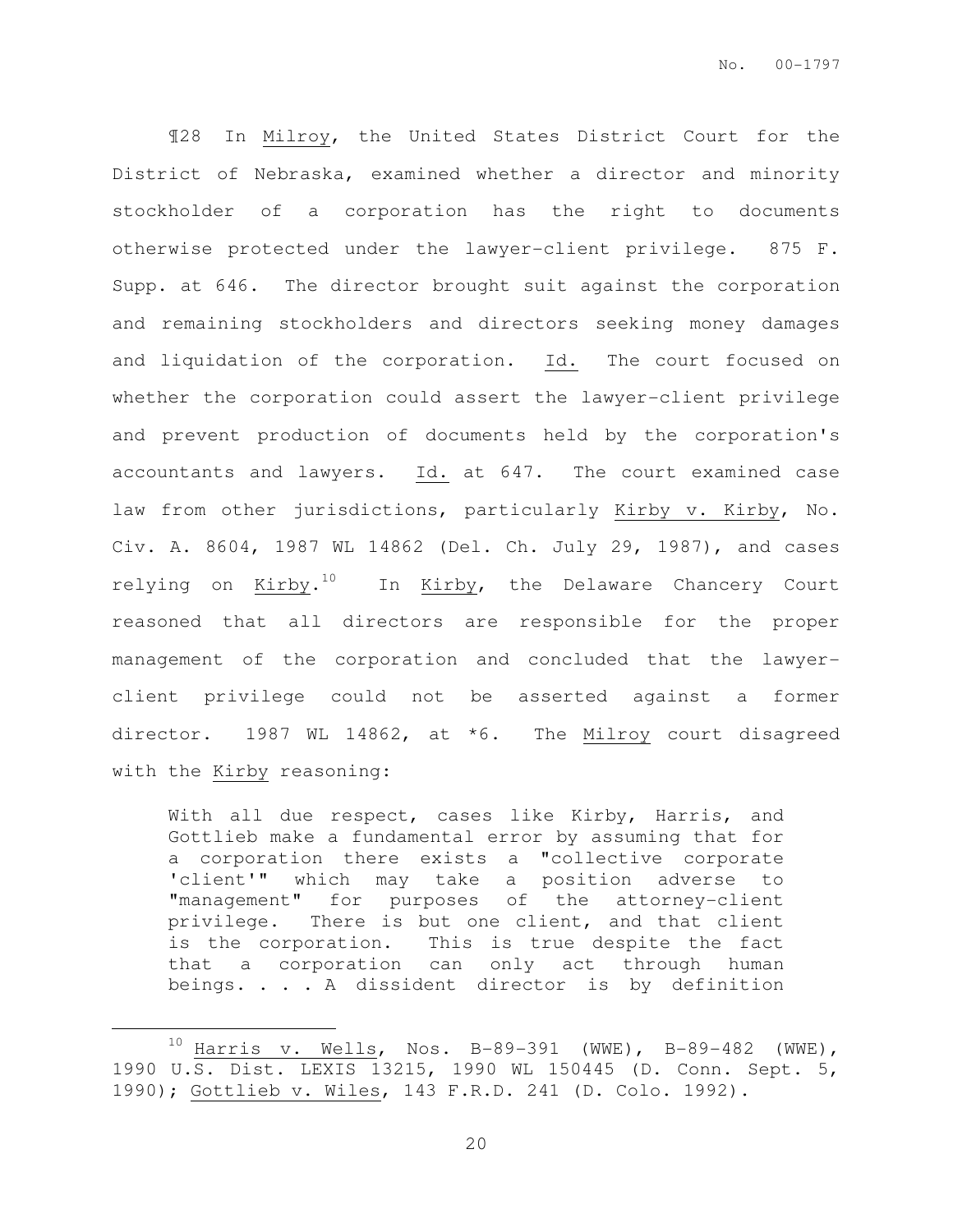¶28 In Milroy, the United States District Court for the District of Nebraska, examined whether a director and minority stockholder of a corporation has the right to documents otherwise protected under the lawyer-client privilege. 875 F. Supp. at 646. The director brought suit against the corporation and remaining stockholders and directors seeking money damages and liquidation of the corporation. Id. The court focused on whether the corporation could assert the lawyer-client privilege and prevent production of documents held by the corporation's accountants and lawyers. Id. at 647. The court examined case law from other jurisdictions, particularly Kirby v. Kirby, No. Civ. A. 8604, 1987 WL 14862 (Del. Ch. July 29, 1987), and cases relying on Kirby. $^{10}$  . In Kirby, the Delaware Chancery Court reasoned that all directors are responsible for the proper management of the corporation and concluded that the lawyerclient privilege could not be asserted against a former director. 1987 WL 14862, at \*6. The Milroy court disagreed with the Kirby reasoning:

With all due respect, cases like Kirby, Harris, and Gottlieb make a fundamental error by assuming that for a corporation there exists a "collective corporate 'client'" which may take a position adverse to "management" for purposes of the attorney-client privilege. There is but one client, and that client is the corporation. This is true despite the fact that a corporation can only act through human beings. . . . A dissident director is by definition

 $10$  Harris v. Wells, Nos. B-89-391 (WWE), B-89-482 (WWE), 1990 U.S. Dist. LEXIS 13215, 1990 WL 150445 (D. Conn. Sept. 5, 1990); Gottlieb v. Wiles, 143 F.R.D. 241 (D. Colo. 1992).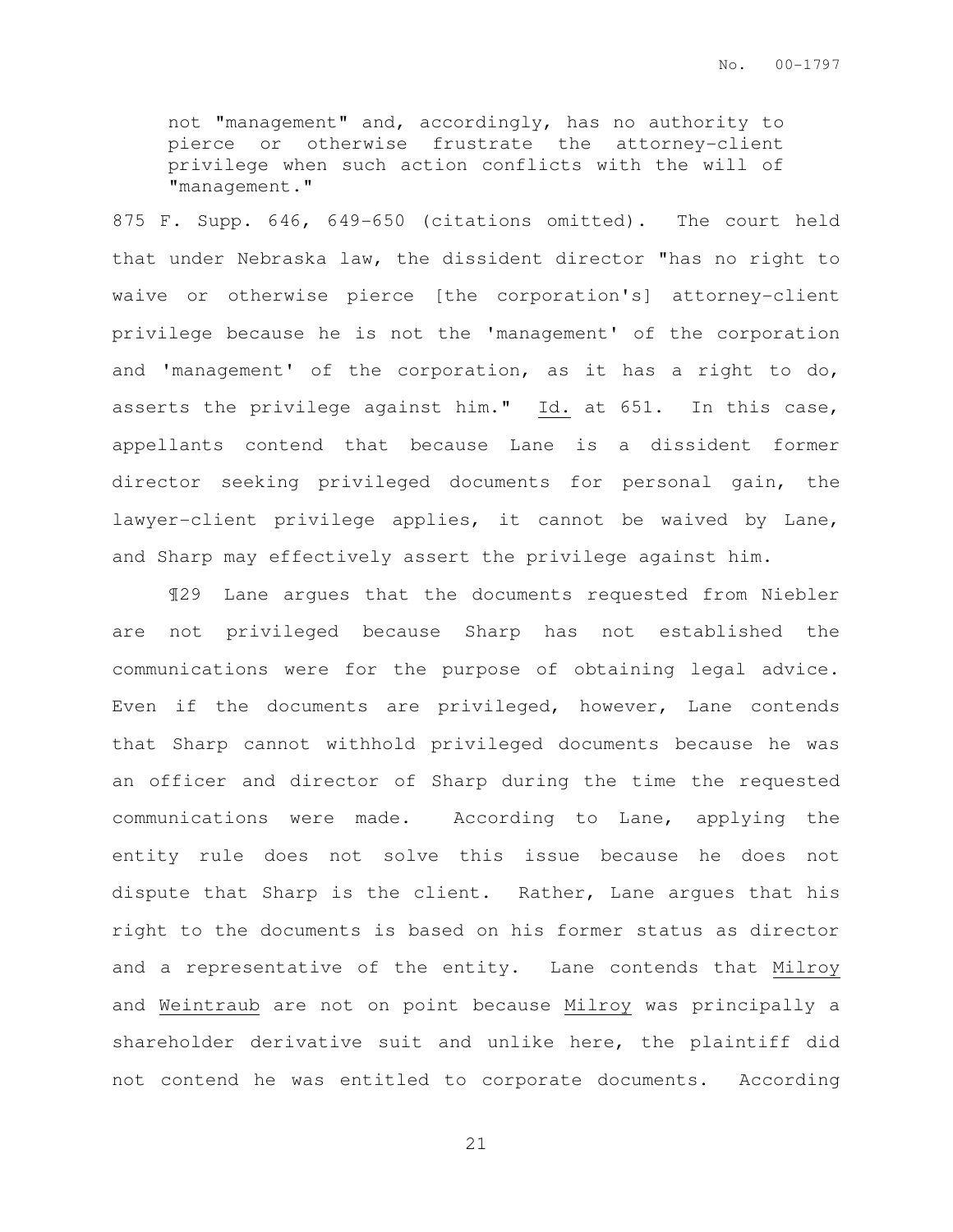not "management" and, accordingly, has no authority to pierce or otherwise frustrate the attorney-client privilege when such action conflicts with the will of "management."

875 F. Supp. 646, 649-650 (citations omitted). The court held that under Nebraska law, the dissident director "has no right to waive or otherwise pierce [the corporation's] attorney-client privilege because he is not the 'management' of the corporation and 'management' of the corporation, as it has a right to do, asserts the privilege against him." Id. at 651. In this case, appellants contend that because Lane is a dissident former director seeking privileged documents for personal gain, the lawyer-client privilege applies, it cannot be waived by Lane, and Sharp may effectively assert the privilege against him.

¶29 Lane argues that the documents requested from Niebler are not privileged because Sharp has not established the communications were for the purpose of obtaining legal advice. Even if the documents are privileged, however, Lane contends that Sharp cannot withhold privileged documents because he was an officer and director of Sharp during the time the requested communications were made. According to Lane, applying the entity rule does not solve this issue because he does not dispute that Sharp is the client. Rather, Lane argues that his right to the documents is based on his former status as director and a representative of the entity. Lane contends that Milroy and Weintraub are not on point because Milroy was principally a shareholder derivative suit and unlike here, the plaintiff did not contend he was entitled to corporate documents. According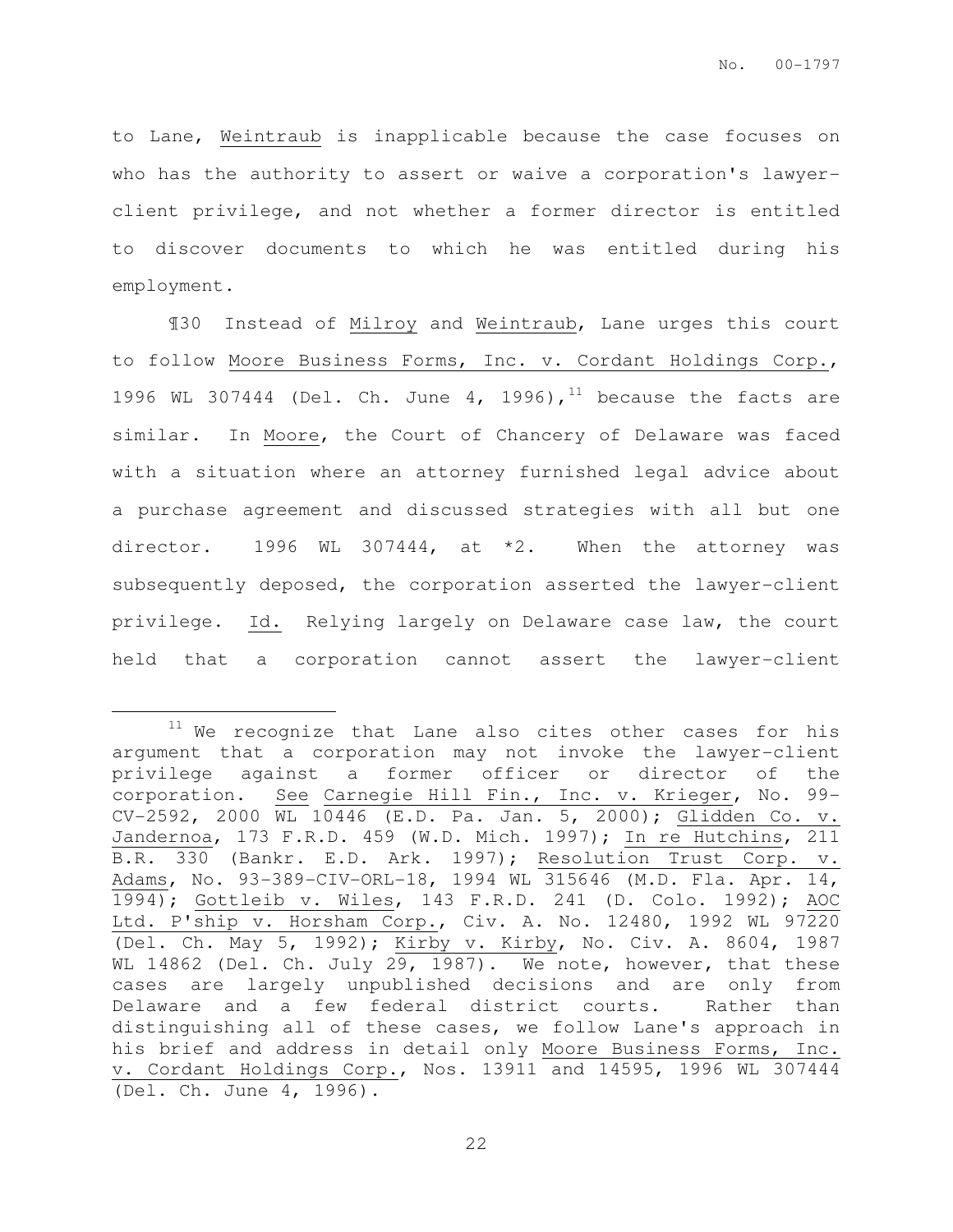to Lane, Weintraub is inapplicable because the case focuses on who has the authority to assert or waive a corporation's lawyerclient privilege, and not whether a former director is entitled to discover documents to which he was entitled during his employment.

¶30 Instead of Milroy and Weintraub, Lane urges this court to follow Moore Business Forms, Inc. v. Cordant Holdings Corp., 1996 WL 307444 (Del. Ch. June 4, 1996),<sup>11</sup> because the facts are similar. In Moore, the Court of Chancery of Delaware was faced with a situation where an attorney furnished legal advice about a purchase agreement and discussed strategies with all but one director. 1996 WL 307444, at  $*2$ . When the attorney was subsequently deposed, the corporation asserted the lawyer-client privilege. Id. Relying largely on Delaware case law, the court held that a corporation cannot assert the lawyer-client

 $11$  We recognize that Lane also cites other cases for his argument that a corporation may not invoke the lawyer-client privilege against a former officer or director of the corporation. See Carnegie Hill Fin., Inc. v. Krieger, No. 99- CV-2592, 2000 WL 10446 (E.D. Pa. Jan. 5, 2000); Glidden Co. v. Jandernoa, 173 F.R.D. 459 (W.D. Mich. 1997); In re Hutchins, 211 B.R. 330 (Bankr. E.D. Ark. 1997); Resolution Trust Corp. v. Adams, No. 93-389-CIV-ORL-18, 1994 WL 315646 (M.D. Fla. Apr. 14, 1994); Gottleib v. Wiles, 143 F.R.D. 241 (D. Colo. 1992); AOC Ltd. P'ship v. Horsham Corp., Civ. A. No. 12480, 1992 WL 97220 (Del. Ch. May 5, 1992); Kirby v. Kirby, No. Civ. A. 8604, 1987 WL 14862 (Del. Ch. July 29, 1987). We note, however, that these cases are largely unpublished decisions and are only from Delaware and a few federal district courts. Rather than distinguishing all of these cases, we follow Lane's approach in his brief and address in detail only Moore Business Forms, Inc. v. Cordant Holdings Corp., Nos. 13911 and 14595, 1996 WL 307444 (Del. Ch. June 4, 1996).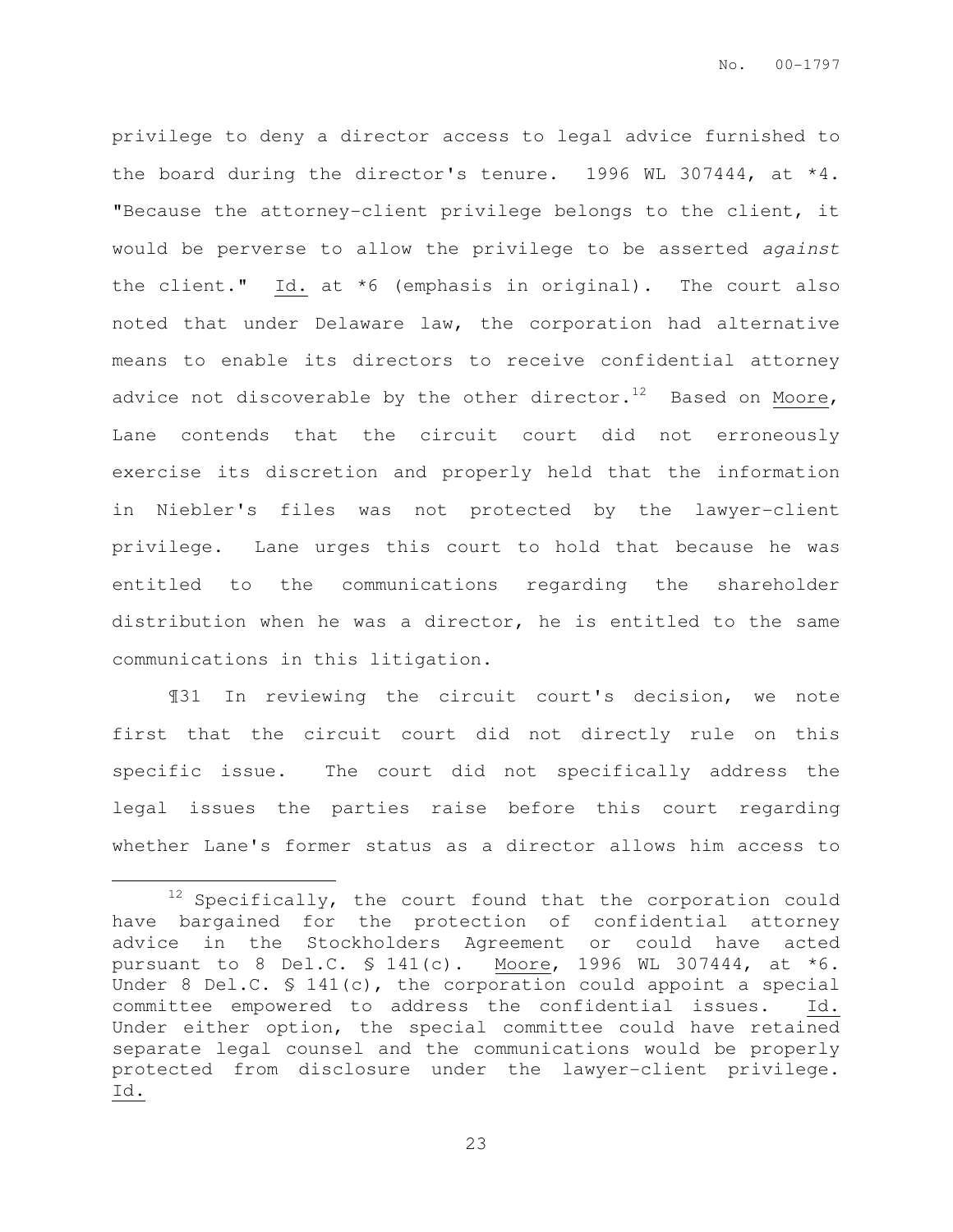privilege to deny a director access to legal advice furnished to the board during the director's tenure. 1996 WL 307444, at \*4. "Because the attorney-client privilege belongs to the client, it would be perverse to allow the privilege to be asserted against the client." Id. at \*6 (emphasis in original). The court also noted that under Delaware law, the corporation had alternative means to enable its directors to receive confidential attorney advice not discoverable by the other director.<sup>12</sup> Based on Moore, Lane contends that the circuit court did not erroneously exercise its discretion and properly held that the information in Niebler's files was not protected by the lawyer-client privilege. Lane urges this court to hold that because he was entitled to the communications regarding the shareholder distribution when he was a director, he is entitled to the same communications in this litigation.

¶31 In reviewing the circuit court's decision, we note first that the circuit court did not directly rule on this specific issue. The court did not specifically address the legal issues the parties raise before this court regarding whether Lane's former status as a director allows him access to

 $\overline{a}$ 

 $12$  Specifically, the court found that the corporation could have bargained for the protection of confidential attorney advice in the Stockholders Agreement or could have acted pursuant to 8 Del.C. § 141(c). Moore, 1996 WL 307444, at \*6. Under 8 Del.C. § 141(c), the corporation could appoint a special committee empowered to address the confidential issues. Id. Under either option, the special committee could have retained separate legal counsel and the communications would be properly protected from disclosure under the lawyer-client privilege. Id.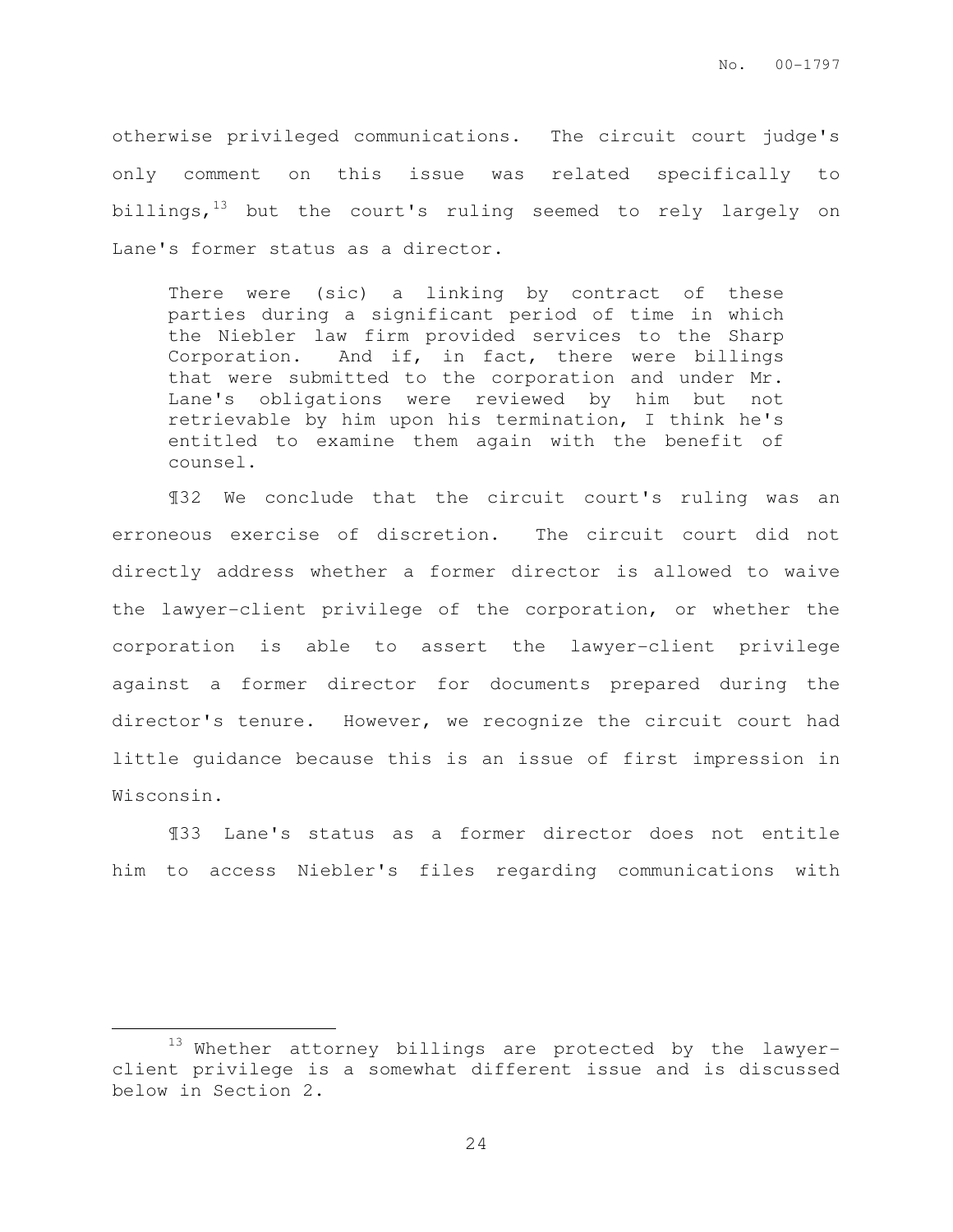otherwise privileged communications. The circuit court judge's only comment on this issue was related specifically to billings,<sup>13</sup> but the court's ruling seemed to rely largely on Lane's former status as a director.

There were (sic) a linking by contract of these parties during a significant period of time in which the Niebler law firm provided services to the Sharp Corporation. And if, in fact, there were billings that were submitted to the corporation and under Mr. Lane's obligations were reviewed by him but not retrievable by him upon his termination, I think he's entitled to examine them again with the benefit of counsel.

¶32 We conclude that the circuit court's ruling was an erroneous exercise of discretion. The circuit court did not directly address whether a former director is allowed to waive the lawyer-client privilege of the corporation, or whether the corporation is able to assert the lawyer-client privilege against a former director for documents prepared during the director's tenure. However, we recognize the circuit court had little guidance because this is an issue of first impression in Wisconsin.

¶33 Lane's status as a former director does not entitle him to access Niebler's files regarding communications with

<sup>13</sup> Whether attorney billings are protected by the lawyerclient privilege is a somewhat different issue and is discussed below in Section 2.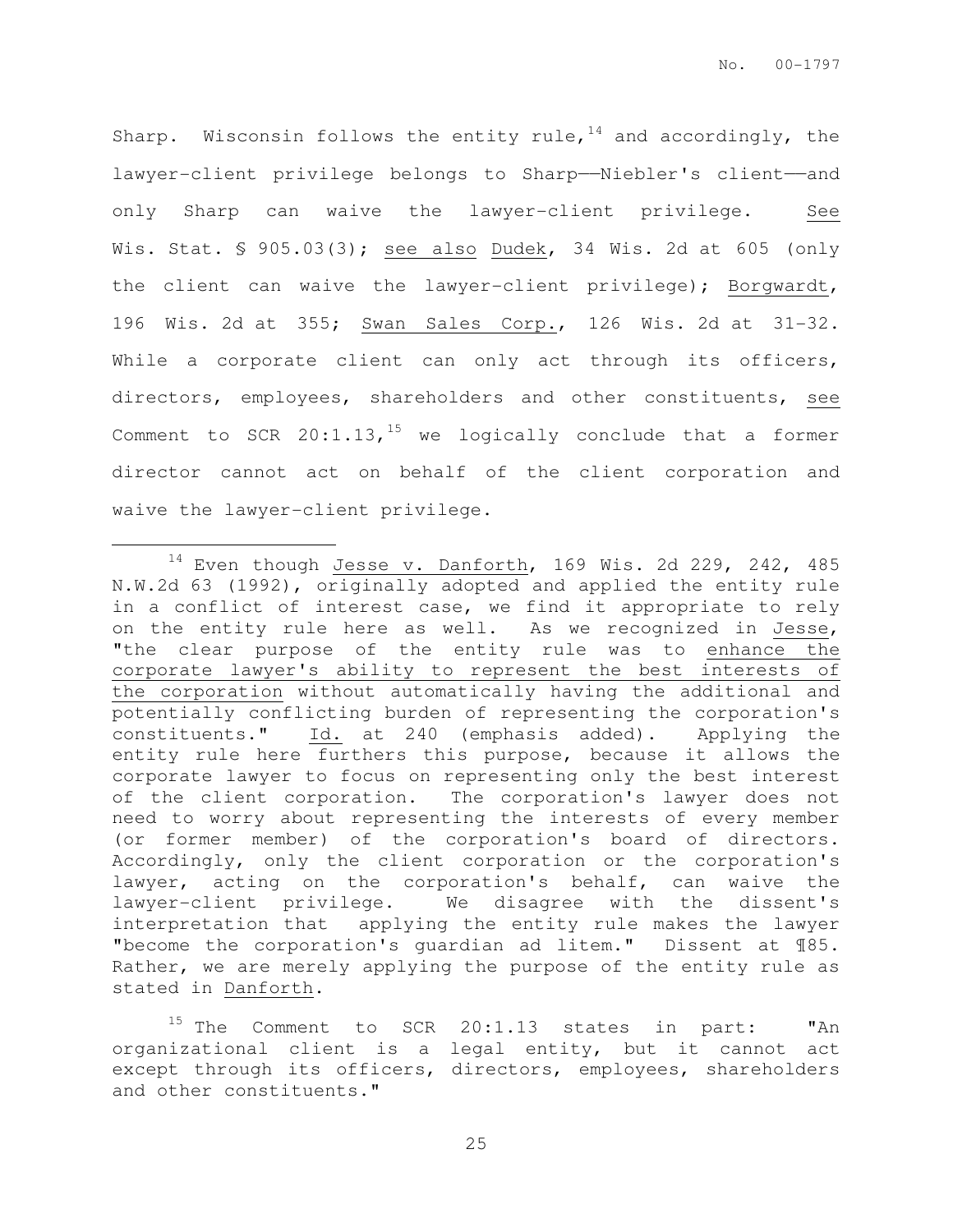Sharp. Wisconsin follows the entity rule,  $14$  and accordingly, the lawyer-client privilege belongs to Sharp——Niebler's client——and only Sharp can waive the lawyer-client privilege. See Wis. Stat. § 905.03(3); see also Dudek, 34 Wis. 2d at 605 (only the client can waive the lawyer-client privilege); Borgwardt, 196 Wis. 2d at 355; Swan Sales Corp., 126 Wis. 2d at 31-32. While a corporate client can only act through its officers, directors, employees, shareholders and other constituents, see Comment to SCR  $20:1.13$ , <sup>15</sup> we logically conclude that a former director cannot act on behalf of the client corporation and waive the lawyer-client privilege.

 $14$  Even though Jesse v. Danforth, 169 Wis. 2d 229, 242, 485 N.W.2d 63 (1992), originally adopted and applied the entity rule in a conflict of interest case, we find it appropriate to rely on the entity rule here as well. As we recognized in Jesse, "the clear purpose of the entity rule was to enhance the corporate lawyer's ability to represent the best interests of the corporation without automatically having the additional and potentially conflicting burden of representing the corporation's constituents." Id. at 240 (emphasis added). Applying the entity rule here furthers this purpose, because it allows the corporate lawyer to focus on representing only the best interest of the client corporation. The corporation's lawyer does not need to worry about representing the interests of every member (or former member) of the corporation's board of directors. Accordingly, only the client corporation or the corporation's lawyer, acting on the corporation's behalf, can waive the lawyer-client privilege. We disagree with the dissent's interpretation that applying the entity rule makes the lawyer "become the corporation's guardian ad litem." Dissent at ¶85. Rather, we are merely applying the purpose of the entity rule as stated in Danforth.

<sup>&</sup>lt;sup>15</sup> The Comment to SCR 20:1.13 states in part: "An organizational client is a legal entity, but it cannot act except through its officers, directors, employees, shareholders and other constituents."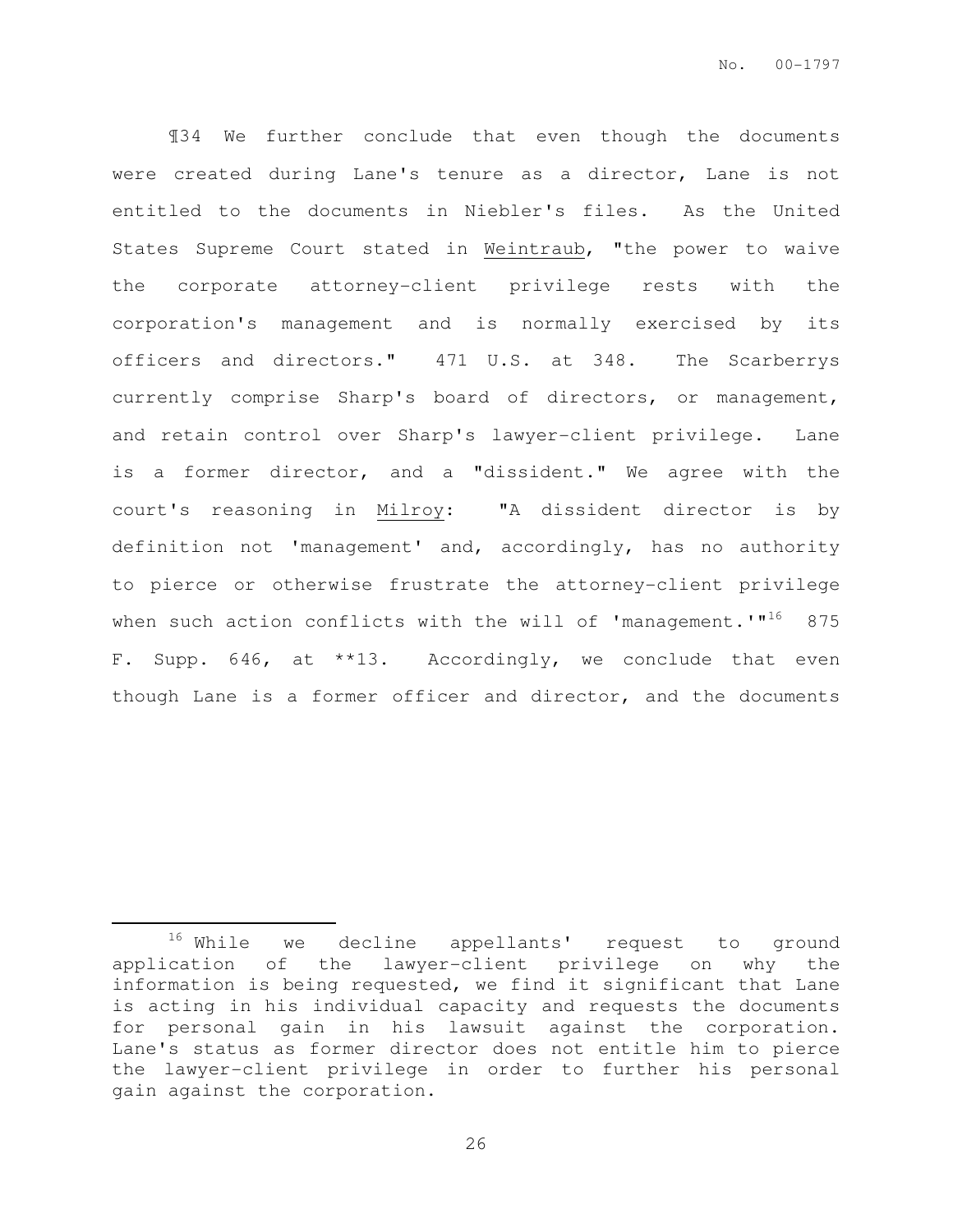¶34 We further conclude that even though the documents were created during Lane's tenure as a director, Lane is not entitled to the documents in Niebler's files. As the United States Supreme Court stated in Weintraub, "the power to waive the corporate attorney-client privilege rests with the corporation's management and is normally exercised by its officers and directors." 471 U.S. at 348. The Scarberrys currently comprise Sharp's board of directors, or management, and retain control over Sharp's lawyer-client privilege. Lane is a former director, and a "dissident." We agree with the court's reasoning in Milroy: "A dissident director is by definition not 'management' and, accordingly, has no authority to pierce or otherwise frustrate the attorney-client privilege when such action conflicts with the will of 'management.'"<sup>16</sup> 875 F. Supp. 646, at \*\*13. Accordingly, we conclude that even though Lane is a former officer and director, and the documents

<sup>&</sup>lt;sup>16</sup> While we decline appellants' request to ground application of the lawyer-client privilege on why the information is being requested, we find it significant that Lane is acting in his individual capacity and requests the documents for personal gain in his lawsuit against the corporation. Lane's status as former director does not entitle him to pierce the lawyer-client privilege in order to further his personal gain against the corporation.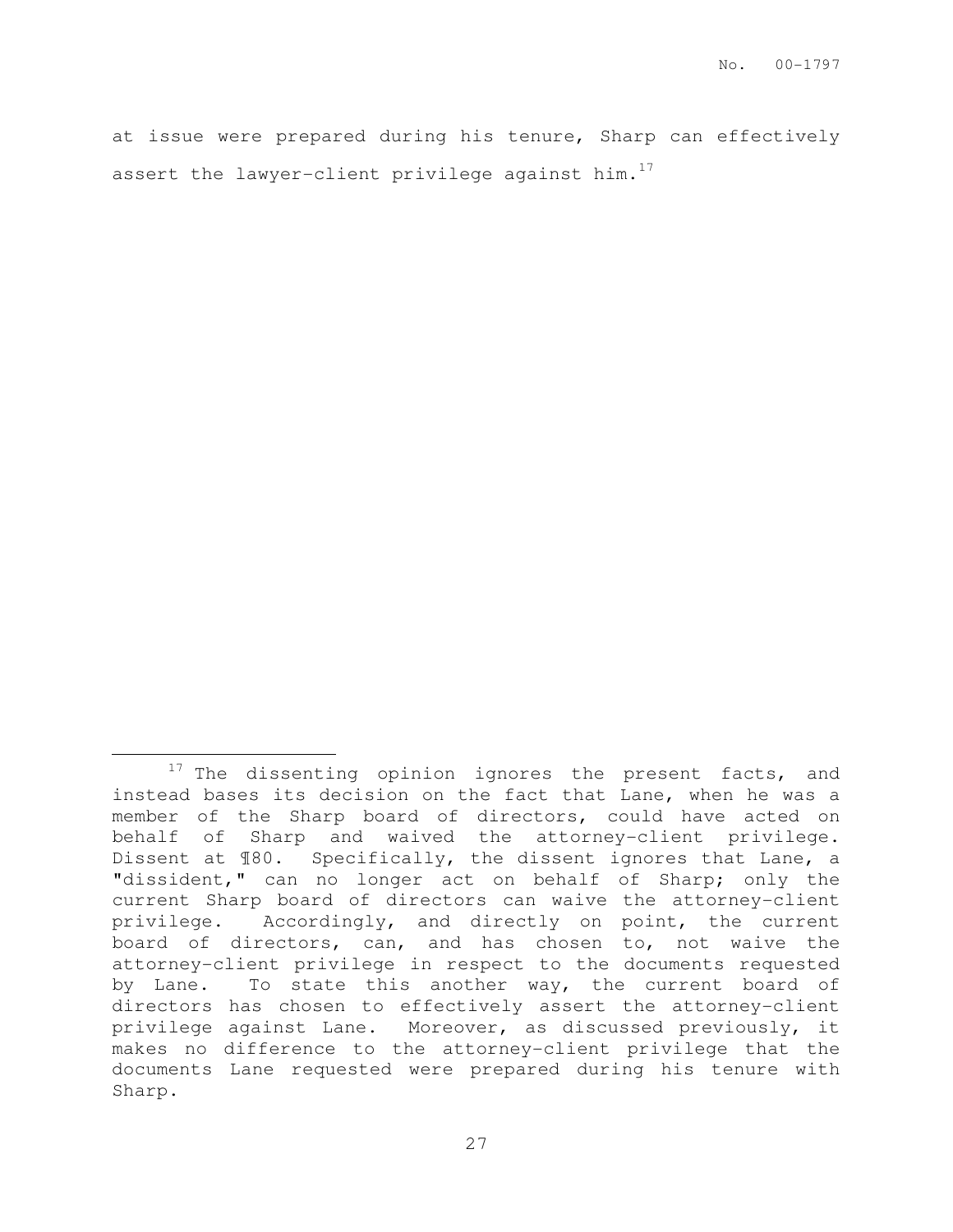at issue were prepared during his tenure, Sharp can effectively assert the lawyer-client privilege against him.<sup>17</sup>

 $17$  The dissenting opinion ignores the present facts, and instead bases its decision on the fact that Lane, when he was a member of the Sharp board of directors, could have acted on behalf of Sharp and waived the attorney-client privilege. Dissent at ¶80. Specifically, the dissent ignores that Lane, a "dissident," can no longer act on behalf of Sharp; only the current Sharp board of directors can waive the attorney-client privilege. Accordingly, and directly on point, the current board of directors, can, and has chosen to, not waive the attorney-client privilege in respect to the documents requested by Lane. To state this another way, the current board of directors has chosen to effectively assert the attorney-client privilege against Lane. Moreover, as discussed previously, it makes no difference to the attorney-client privilege that the documents Lane requested were prepared during his tenure with Sharp.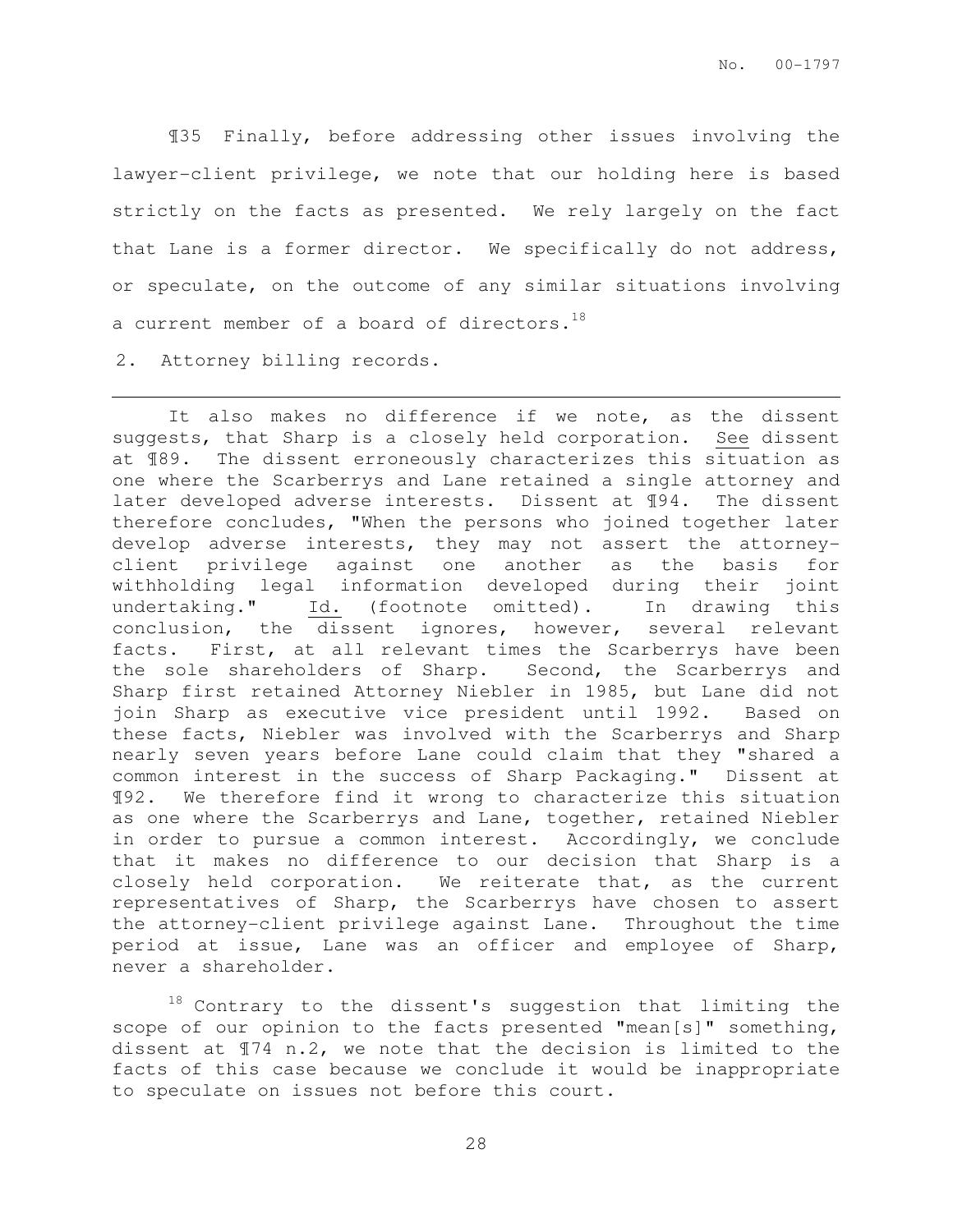¶35 Finally, before addressing other issues involving the lawyer-client privilege, we note that our holding here is based strictly on the facts as presented. We rely largely on the fact that Lane is a former director. We specifically do not address, or speculate, on the outcome of any similar situations involving a current member of a board of directors.<sup>18</sup>

2. Attorney billing records.

l.

It also makes no difference if we note, as the dissent suggests, that Sharp is a closely held corporation. See dissent at ¶89. The dissent erroneously characterizes this situation as one where the Scarberrys and Lane retained a single attorney and later developed adverse interests. Dissent at ¶94. The dissent therefore concludes, "When the persons who joined together later develop adverse interests, they may not assert the attorneyclient privilege against one another as the basis for withholding legal information developed during their joint undertaking." Id. (footnote omitted). In drawing this conclusion, the dissent ignores, however, several relevant facts. First, at all relevant times the Scarberrys have been the sole shareholders of Sharp. Second, the Scarberrys and Sharp first retained Attorney Niebler in 1985, but Lane did not join Sharp as executive vice president until 1992. Based on these facts, Niebler was involved with the Scarberrys and Sharp nearly seven years before Lane could claim that they "shared a common interest in the success of Sharp Packaging." Dissent at ¶92. We therefore find it wrong to characterize this situation as one where the Scarberrys and Lane, together, retained Niebler in order to pursue a common interest. Accordingly, we conclude that it makes no difference to our decision that Sharp is a closely held corporation. We reiterate that, as the current representatives of Sharp, the Scarberrys have chosen to assert the attorney-client privilege against Lane. Throughout the time period at issue, Lane was an officer and employee of Sharp, never a shareholder.

 $18$  Contrary to the dissent's suggestion that limiting the scope of our opinion to the facts presented "mean[s]" something, dissent at ¶74 n.2, we note that the decision is limited to the facts of this case because we conclude it would be inappropriate to speculate on issues not before this court.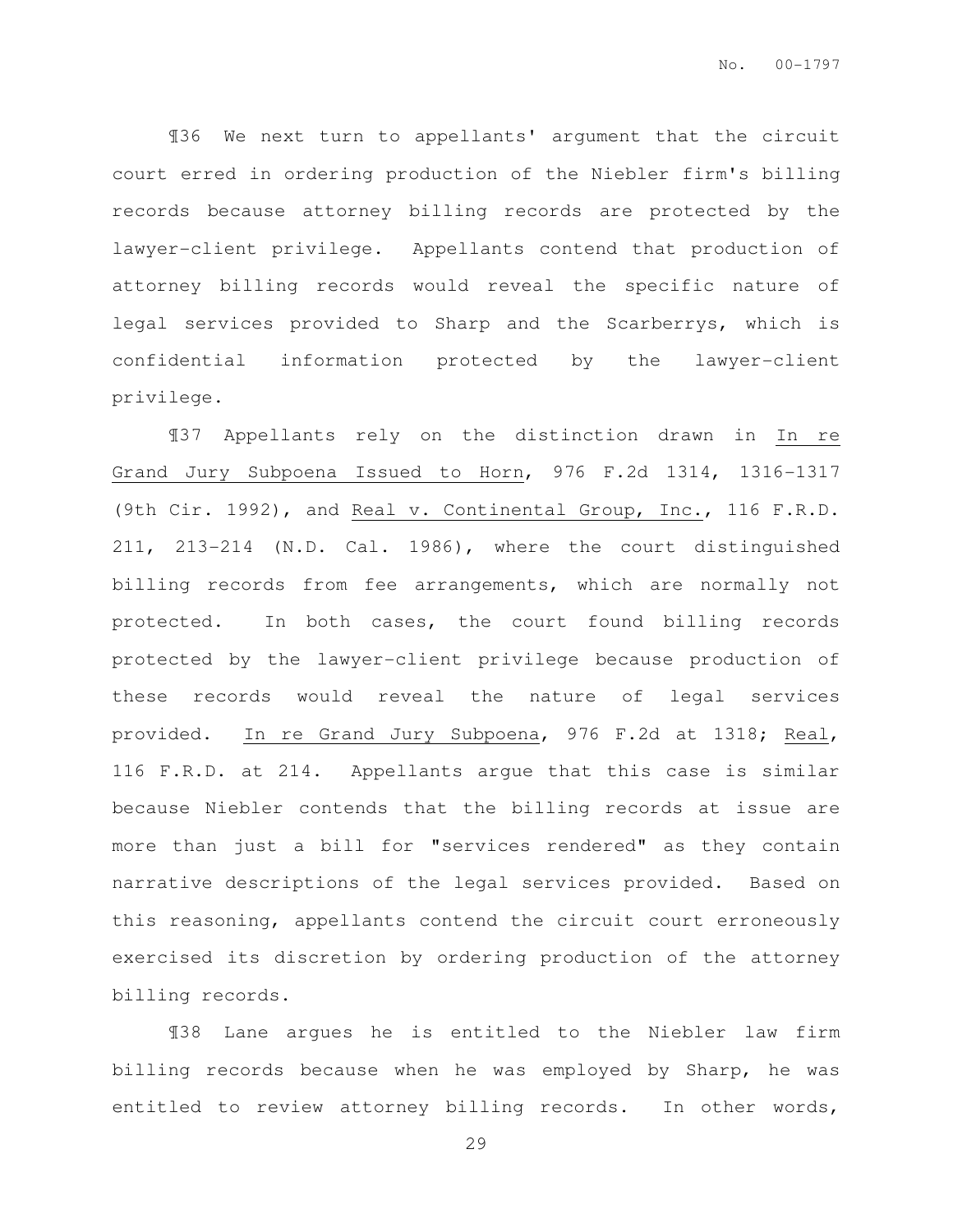¶36 We next turn to appellants' argument that the circuit court erred in ordering production of the Niebler firm's billing records because attorney billing records are protected by the lawyer-client privilege. Appellants contend that production of attorney billing records would reveal the specific nature of legal services provided to Sharp and the Scarberrys, which is confidential information protected by the lawyer-client privilege.

¶37 Appellants rely on the distinction drawn in In re Grand Jury Subpoena Issued to Horn, 976 F.2d 1314, 1316-1317 (9th Cir. 1992), and Real v. Continental Group, Inc., 116 F.R.D. 211, 213-214 (N.D. Cal. 1986), where the court distinguished billing records from fee arrangements, which are normally not protected. In both cases, the court found billing records protected by the lawyer-client privilege because production of these records would reveal the nature of legal services provided. In re Grand Jury Subpoena, 976 F.2d at 1318; Real, 116 F.R.D. at 214. Appellants argue that this case is similar because Niebler contends that the billing records at issue are more than just a bill for "services rendered" as they contain narrative descriptions of the legal services provided. Based on this reasoning, appellants contend the circuit court erroneously exercised its discretion by ordering production of the attorney billing records.

¶38 Lane argues he is entitled to the Niebler law firm billing records because when he was employed by Sharp, he was entitled to review attorney billing records. In other words,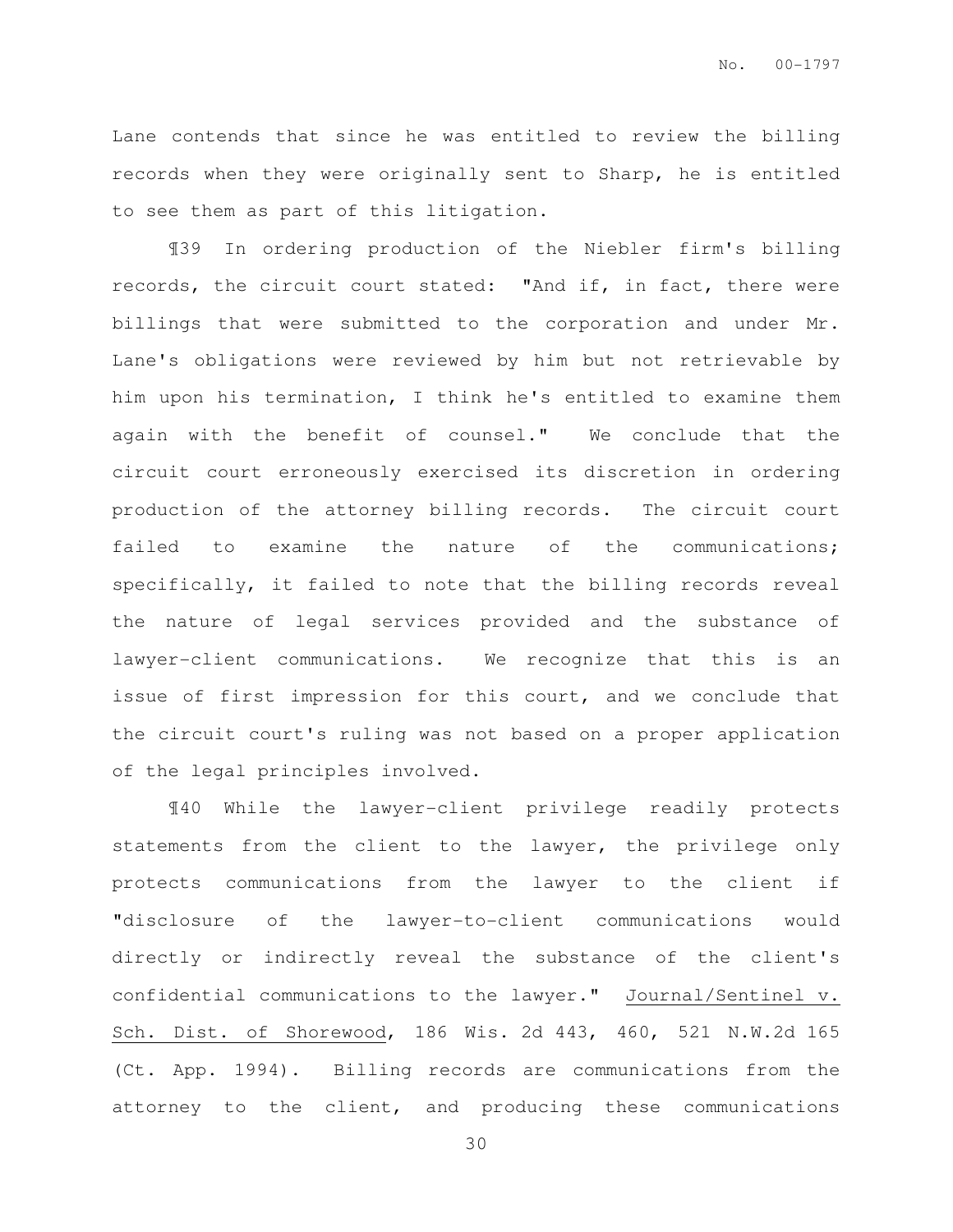Lane contends that since he was entitled to review the billing records when they were originally sent to Sharp, he is entitled to see them as part of this litigation.

¶39 In ordering production of the Niebler firm's billing records, the circuit court stated: "And if, in fact, there were billings that were submitted to the corporation and under Mr. Lane's obligations were reviewed by him but not retrievable by him upon his termination, I think he's entitled to examine them again with the benefit of counsel." We conclude that the circuit court erroneously exercised its discretion in ordering production of the attorney billing records. The circuit court failed to examine the nature of the communications; specifically, it failed to note that the billing records reveal the nature of legal services provided and the substance of lawyer-client communications. We recognize that this is an issue of first impression for this court, and we conclude that the circuit court's ruling was not based on a proper application of the legal principles involved.

¶40 While the lawyer-client privilege readily protects statements from the client to the lawyer, the privilege only protects communications from the lawyer to the client if "disclosure of the lawyer-to-client communications would directly or indirectly reveal the substance of the client's confidential communications to the lawyer." Journal/Sentinel v. Sch. Dist. of Shorewood, 186 Wis. 2d 443, 460, 521 N.W.2d 165 (Ct. App. 1994). Billing records are communications from the attorney to the client, and producing these communications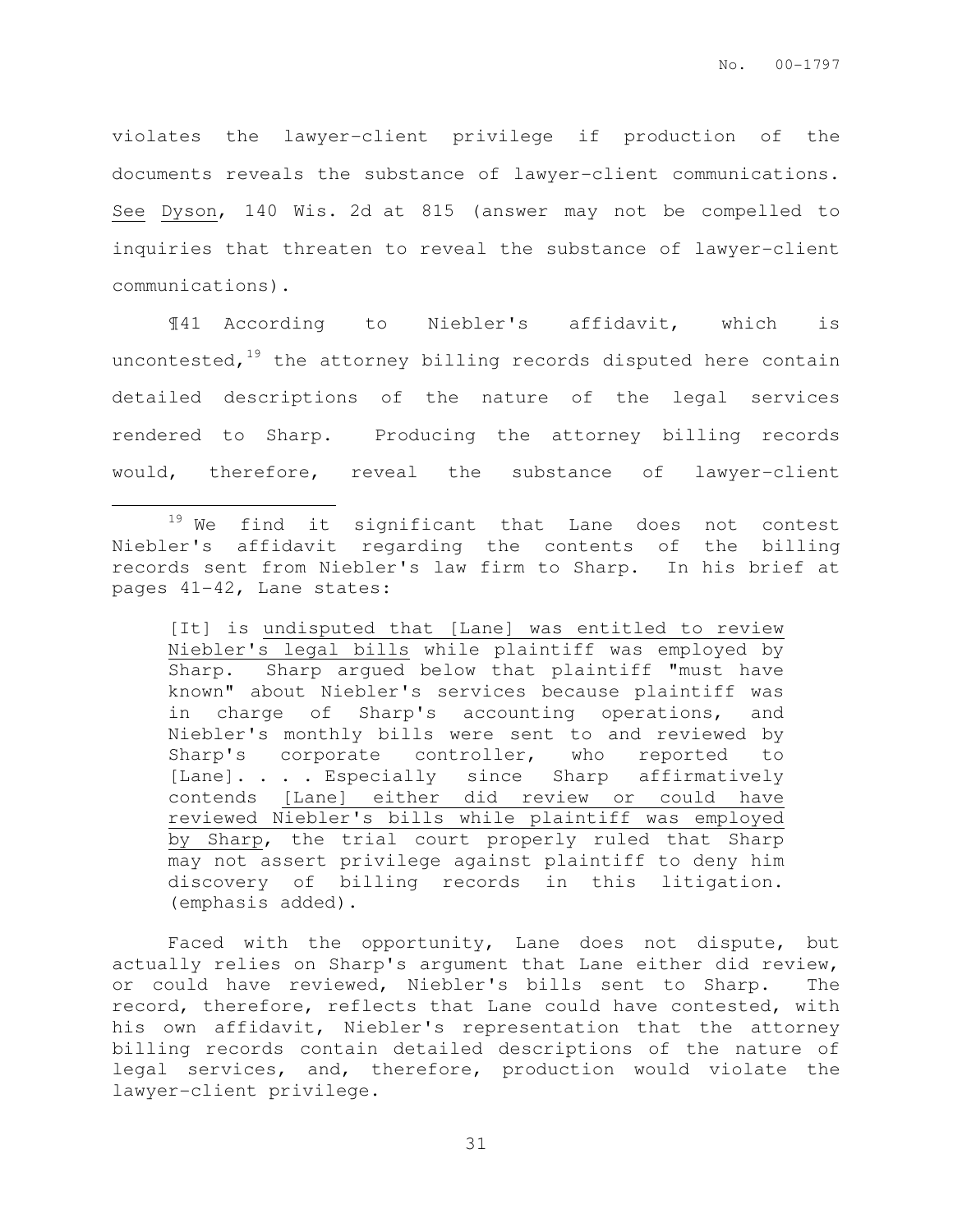violates the lawyer-client privilege if production of the documents reveals the substance of lawyer-client communications. See Dyson, 140 Wis. 2d at 815 (answer may not be compelled to inquiries that threaten to reveal the substance of lawyer-client communications).

¶41 According to Niebler's affidavit, which is uncontested, $19$  the attorney billing records disputed here contain detailed descriptions of the nature of the legal services rendered to Sharp. Producing the attorney billing records would, therefore, reveal the substance of lawyer-client

 $\overline{a}$ 

[It] is undisputed that [Lane] was entitled to review Niebler's legal bills while plaintiff was employed by Sharp. Sharp argued below that plaintiff "must have known" about Niebler's services because plaintiff was in charge of Sharp's accounting operations, and Niebler's monthly bills were sent to and reviewed by Sharp's corporate controller, who reported to [Lane]. . . . Especially since Sharp affirmatively contends [Lane] either did review or could have reviewed Niebler's bills while plaintiff was employed by Sharp, the trial court properly ruled that Sharp may not assert privilege against plaintiff to deny him discovery of billing records in this litigation. (emphasis added).

Faced with the opportunity, Lane does not dispute, but actually relies on Sharp's argument that Lane either did review, or could have reviewed, Niebler's bills sent to Sharp. The record, therefore, reflects that Lane could have contested, with his own affidavit, Niebler's representation that the attorney billing records contain detailed descriptions of the nature of legal services, and, therefore, production would violate the lawyer-client privilege.

<sup>&</sup>lt;sup>19</sup> We find it significant that Lane does not contest Niebler's affidavit regarding the contents of the billing records sent from Niebler's law firm to Sharp. In his brief at pages 41-42, Lane states: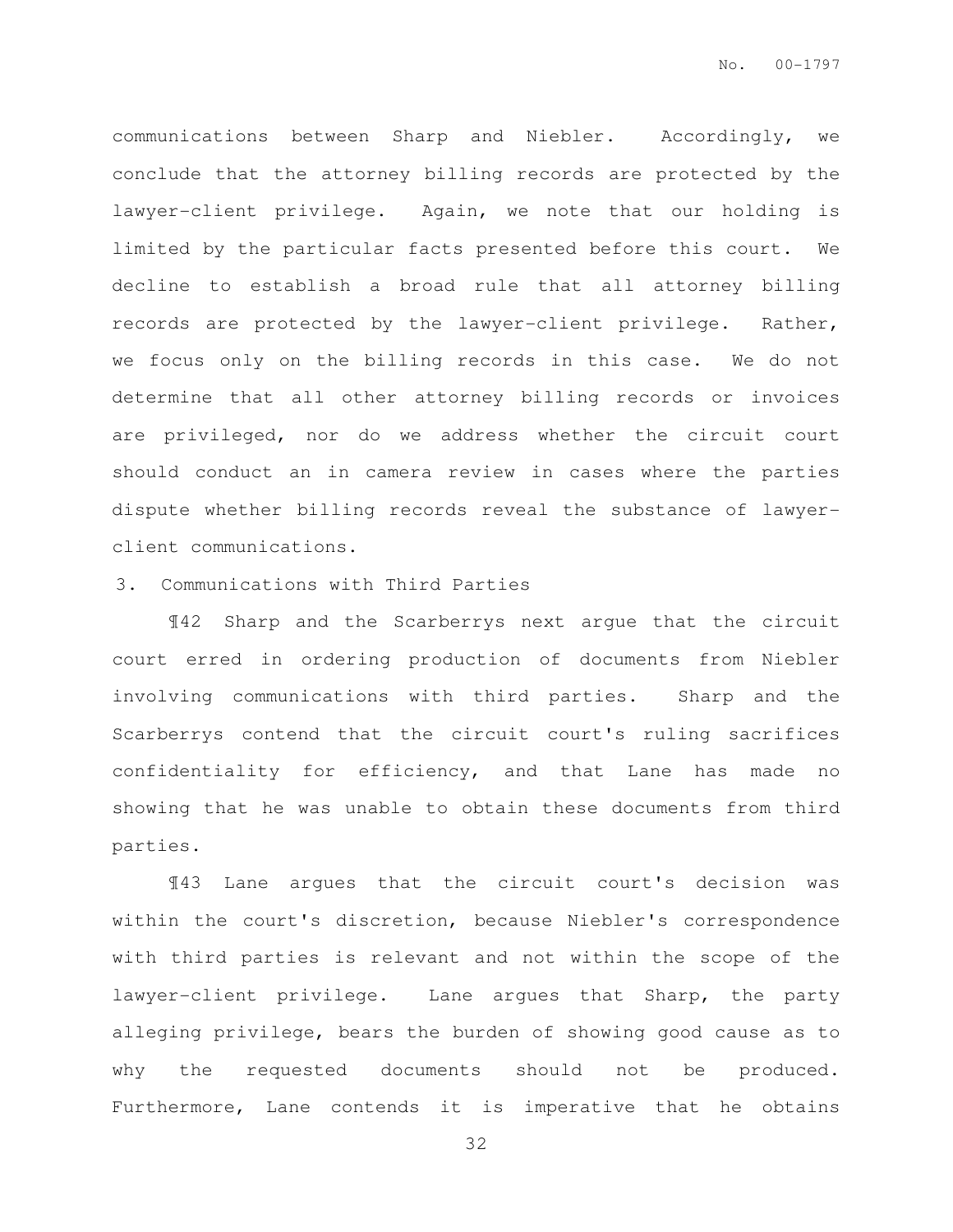communications between Sharp and Niebler. Accordingly, we conclude that the attorney billing records are protected by the lawyer-client privilege. Again, we note that our holding is limited by the particular facts presented before this court. We decline to establish a broad rule that all attorney billing records are protected by the lawyer-client privilege. Rather, we focus only on the billing records in this case. We do not determine that all other attorney billing records or invoices are privileged, nor do we address whether the circuit court should conduct an in camera review in cases where the parties dispute whether billing records reveal the substance of lawyerclient communications.

#### 3. Communications with Third Parties

¶42 Sharp and the Scarberrys next argue that the circuit court erred in ordering production of documents from Niebler involving communications with third parties. Sharp and the Scarberrys contend that the circuit court's ruling sacrifices confidentiality for efficiency, and that Lane has made no showing that he was unable to obtain these documents from third parties.

¶43 Lane argues that the circuit court's decision was within the court's discretion, because Niebler's correspondence with third parties is relevant and not within the scope of the lawyer-client privilege. Lane argues that Sharp, the party alleging privilege, bears the burden of showing good cause as to why the requested documents should not be produced. Furthermore, Lane contends it is imperative that he obtains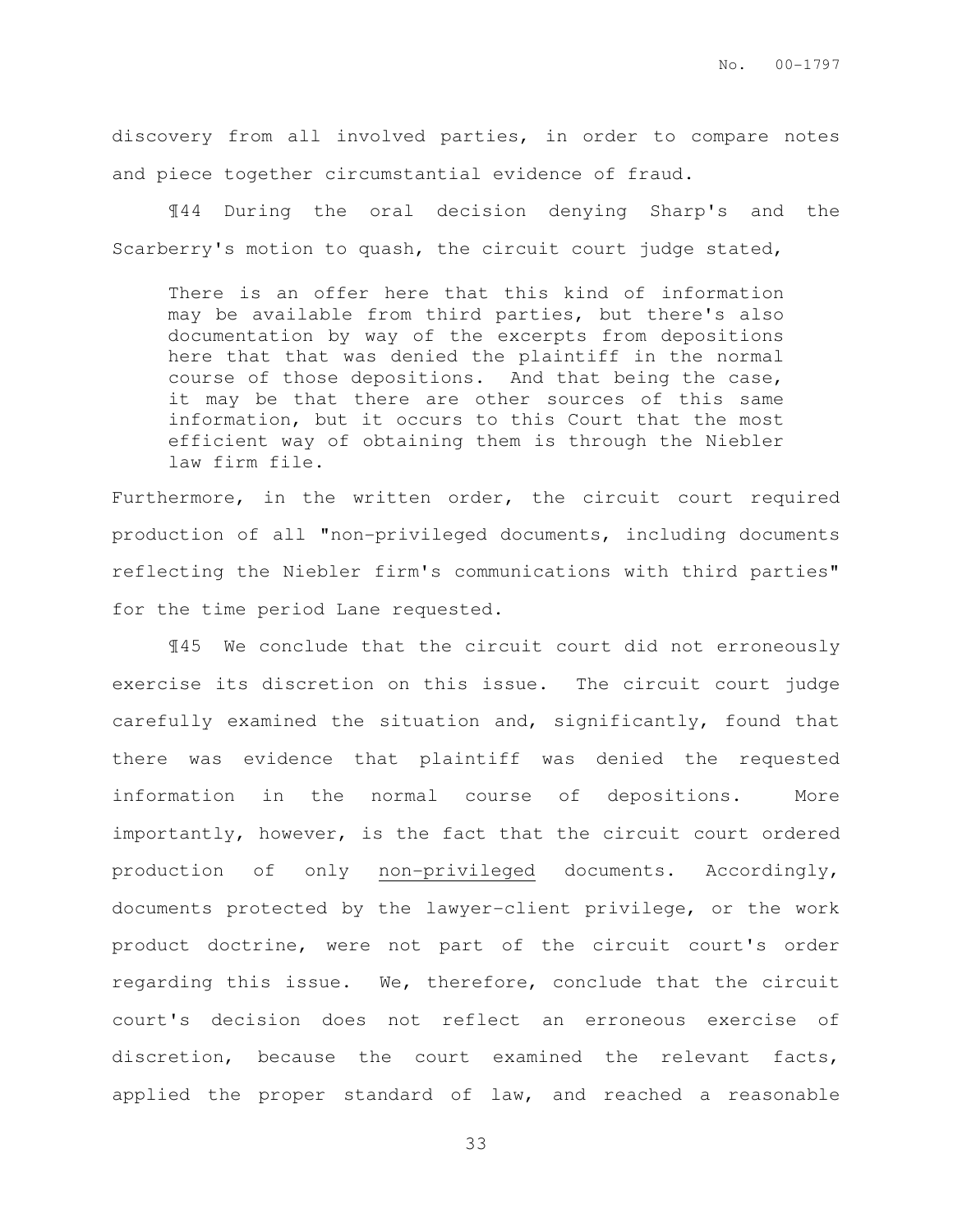discovery from all involved parties, in order to compare notes and piece together circumstantial evidence of fraud.

¶44 During the oral decision denying Sharp's and the Scarberry's motion to quash, the circuit court judge stated,

There is an offer here that this kind of information may be available from third parties, but there's also documentation by way of the excerpts from depositions here that that was denied the plaintiff in the normal course of those depositions. And that being the case, it may be that there are other sources of this same information, but it occurs to this Court that the most efficient way of obtaining them is through the Niebler law firm file.

Furthermore, in the written order, the circuit court required production of all "non-privileged documents, including documents reflecting the Niebler firm's communications with third parties" for the time period Lane requested.

¶45 We conclude that the circuit court did not erroneously exercise its discretion on this issue. The circuit court judge carefully examined the situation and, significantly, found that there was evidence that plaintiff was denied the requested information in the normal course of depositions. More importantly, however, is the fact that the circuit court ordered production of only non-privileged documents. Accordingly, documents protected by the lawyer-client privilege, or the work product doctrine, were not part of the circuit court's order regarding this issue. We, therefore, conclude that the circuit court's decision does not reflect an erroneous exercise of discretion, because the court examined the relevant facts, applied the proper standard of law, and reached a reasonable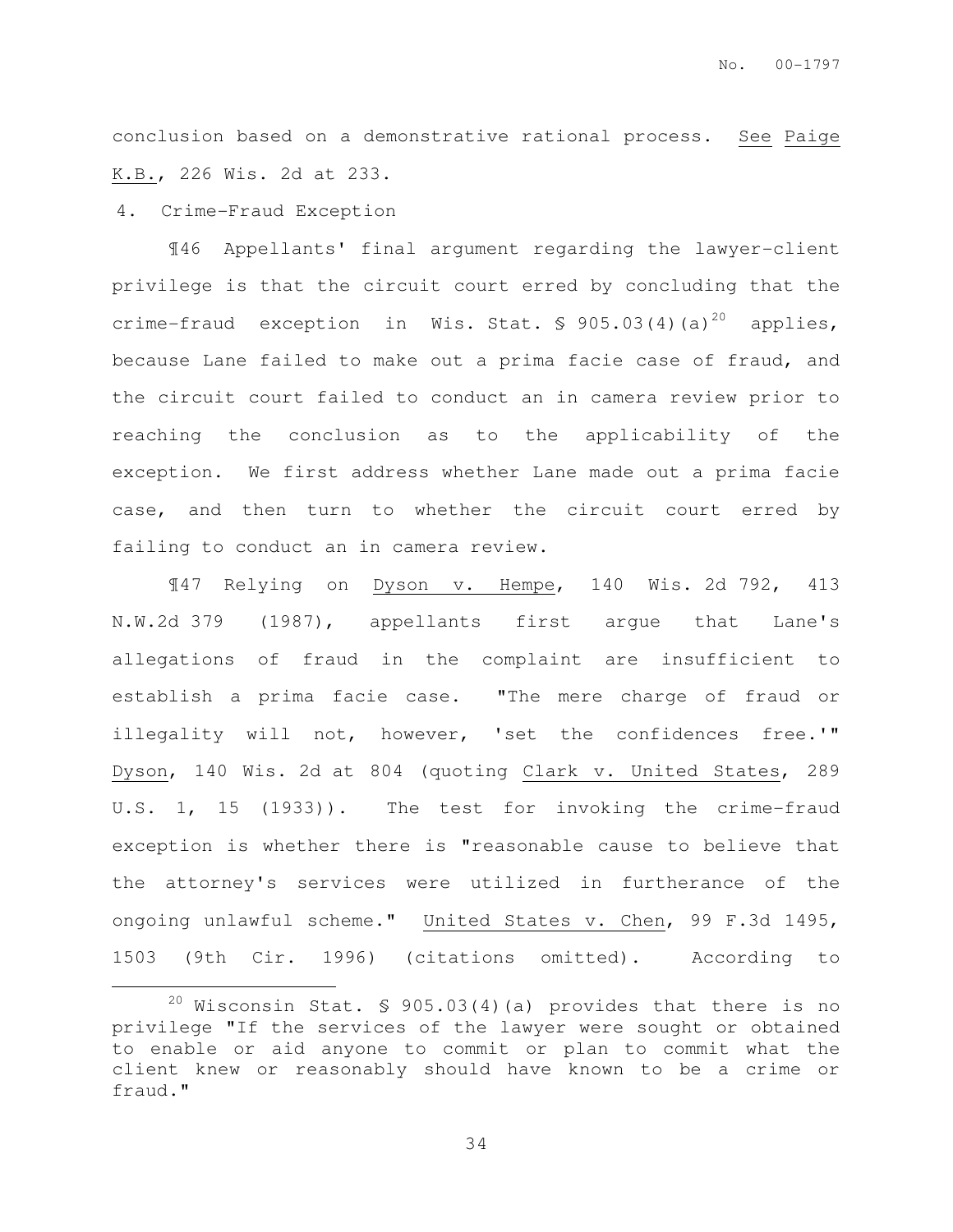conclusion based on a demonstrative rational process. See Paige K.B., 226 Wis. 2d at 233.

#### 4. Crime-Fraud Exception

 $\overline{a}$ 

¶46 Appellants' final argument regarding the lawyer-client privilege is that the circuit court erred by concluding that the crime-fraud exception in Wis. Stat.  $\frac{1}{5}$  905.03(4)(a)<sup>20</sup> applies, because Lane failed to make out a prima facie case of fraud, and the circuit court failed to conduct an in camera review prior to reaching the conclusion as to the applicability of the exception. We first address whether Lane made out a prima facie case, and then turn to whether the circuit court erred by failing to conduct an in camera review.

¶47 Relying on Dyson v. Hempe, 140 Wis. 2d 792, 413 N.W.2d 379 (1987), appellants first argue that Lane's allegations of fraud in the complaint are insufficient to establish a prima facie case. "The mere charge of fraud or illegality will not, however, 'set the confidences free.'" Dyson, 140 Wis. 2d at 804 (quoting Clark v. United States, 289 U.S. 1, 15 (1933)). The test for invoking the crime-fraud exception is whether there is "reasonable cause to believe that the attorney's services were utilized in furtherance of the ongoing unlawful scheme." United States v. Chen, 99 F.3d 1495, 1503 (9th Cir. 1996) (citations omitted). According to

<sup>&</sup>lt;sup>20</sup> Wisconsin Stat.  $$ 905.03(4)(a)$  provides that there is no privilege "If the services of the lawyer were sought or obtained to enable or aid anyone to commit or plan to commit what the client knew or reasonably should have known to be a crime or fraud."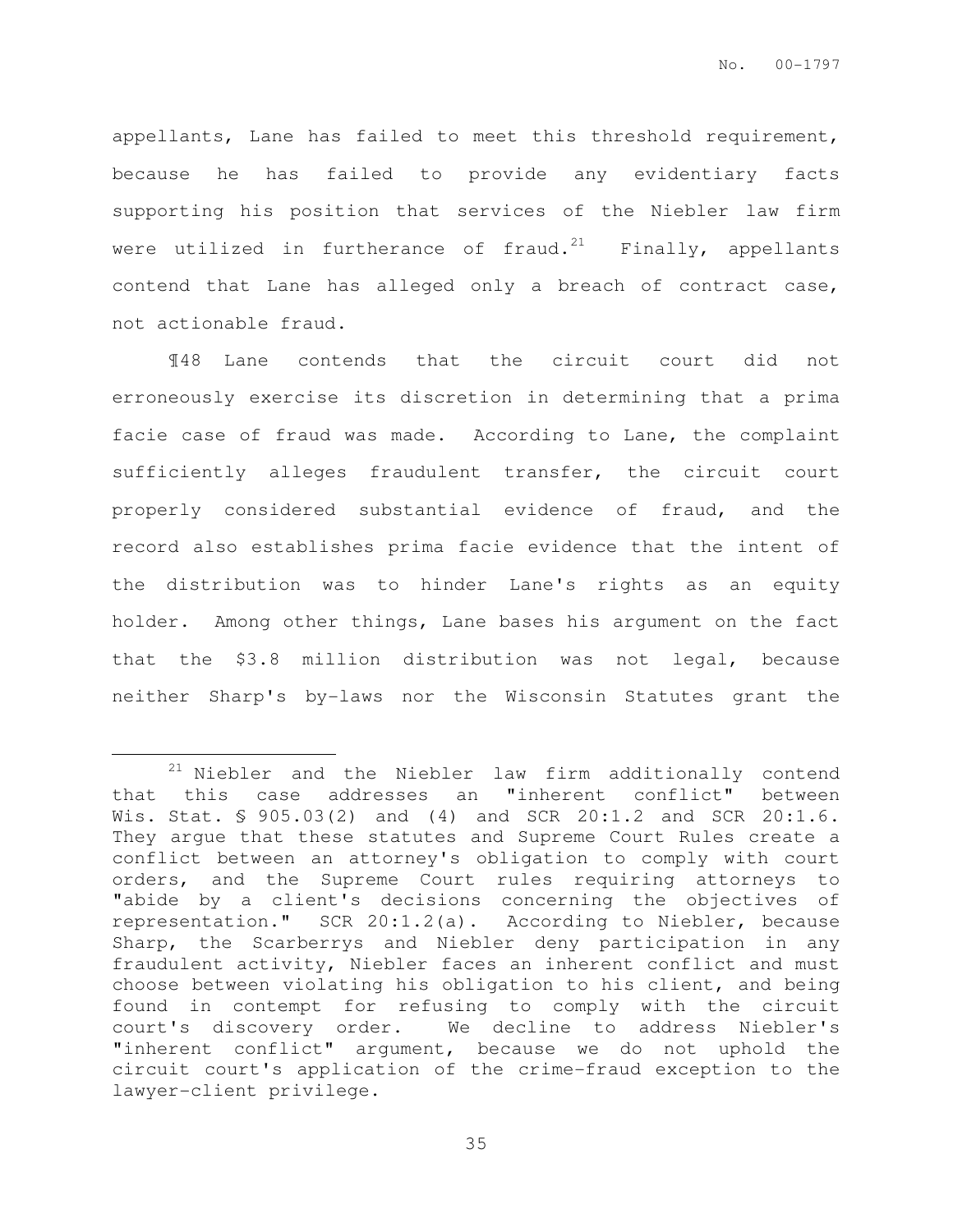appellants, Lane has failed to meet this threshold requirement, because he has failed to provide any evidentiary facts supporting his position that services of the Niebler law firm were utilized in furtherance of fraud. $21$  Finally, appellants contend that Lane has alleged only a breach of contract case, not actionable fraud.

¶48 Lane contends that the circuit court did not erroneously exercise its discretion in determining that a prima facie case of fraud was made. According to Lane, the complaint sufficiently alleges fraudulent transfer, the circuit court properly considered substantial evidence of fraud, and the record also establishes prima facie evidence that the intent of the distribution was to hinder Lane's rights as an equity holder. Among other things, Lane bases his argument on the fact that the \$3.8 million distribution was not legal, because neither Sharp's by-laws nor the Wisconsin Statutes grant the

 $\overline{a}$ 

 $21$  Niebler and the Niebler law firm additionally contend that this case addresses an "inherent conflict" between Wis. Stat. § 905.03(2) and (4) and SCR 20:1.2 and SCR 20:1.6. They argue that these statutes and Supreme Court Rules create a conflict between an attorney's obligation to comply with court orders, and the Supreme Court rules requiring attorneys to "abide by a client's decisions concerning the objectives of representation." SCR 20:1.2(a). According to Niebler, because Sharp, the Scarberrys and Niebler deny participation in any fraudulent activity, Niebler faces an inherent conflict and must choose between violating his obligation to his client, and being found in contempt for refusing to comply with the circuit court's discovery order. We decline to address Niebler's "inherent conflict" argument, because we do not uphold the circuit court's application of the crime-fraud exception to the lawyer-client privilege.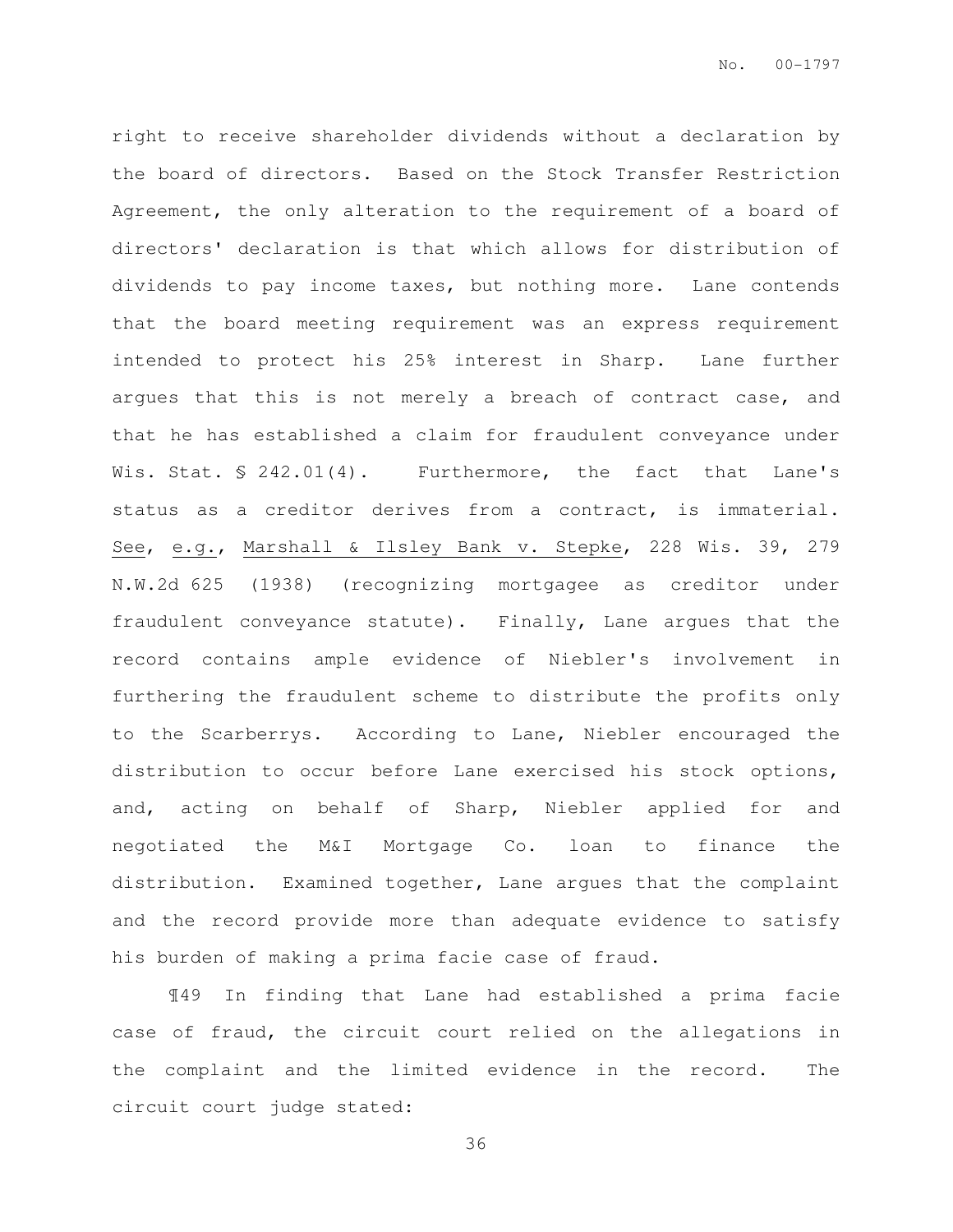right to receive shareholder dividends without a declaration by the board of directors. Based on the Stock Transfer Restriction Agreement, the only alteration to the requirement of a board of directors' declaration is that which allows for distribution of dividends to pay income taxes, but nothing more. Lane contends that the board meeting requirement was an express requirement intended to protect his 25% interest in Sharp. Lane further argues that this is not merely a breach of contract case, and that he has established a claim for fraudulent conveyance under Wis. Stat. § 242.01(4). Furthermore, the fact that Lane's status as a creditor derives from a contract, is immaterial. See, e.g., Marshall & Ilsley Bank v. Stepke, 228 Wis. 39, 279 N.W.2d 625 (1938) (recognizing mortgagee as creditor under fraudulent conveyance statute). Finally, Lane argues that the record contains ample evidence of Niebler's involvement in furthering the fraudulent scheme to distribute the profits only to the Scarberrys. According to Lane, Niebler encouraged the distribution to occur before Lane exercised his stock options, and, acting on behalf of Sharp, Niebler applied for and negotiated the M&I Mortgage Co. loan to finance the distribution. Examined together, Lane argues that the complaint and the record provide more than adequate evidence to satisfy his burden of making a prima facie case of fraud.

¶49 In finding that Lane had established a prima facie case of fraud, the circuit court relied on the allegations in the complaint and the limited evidence in the record. The circuit court judge stated: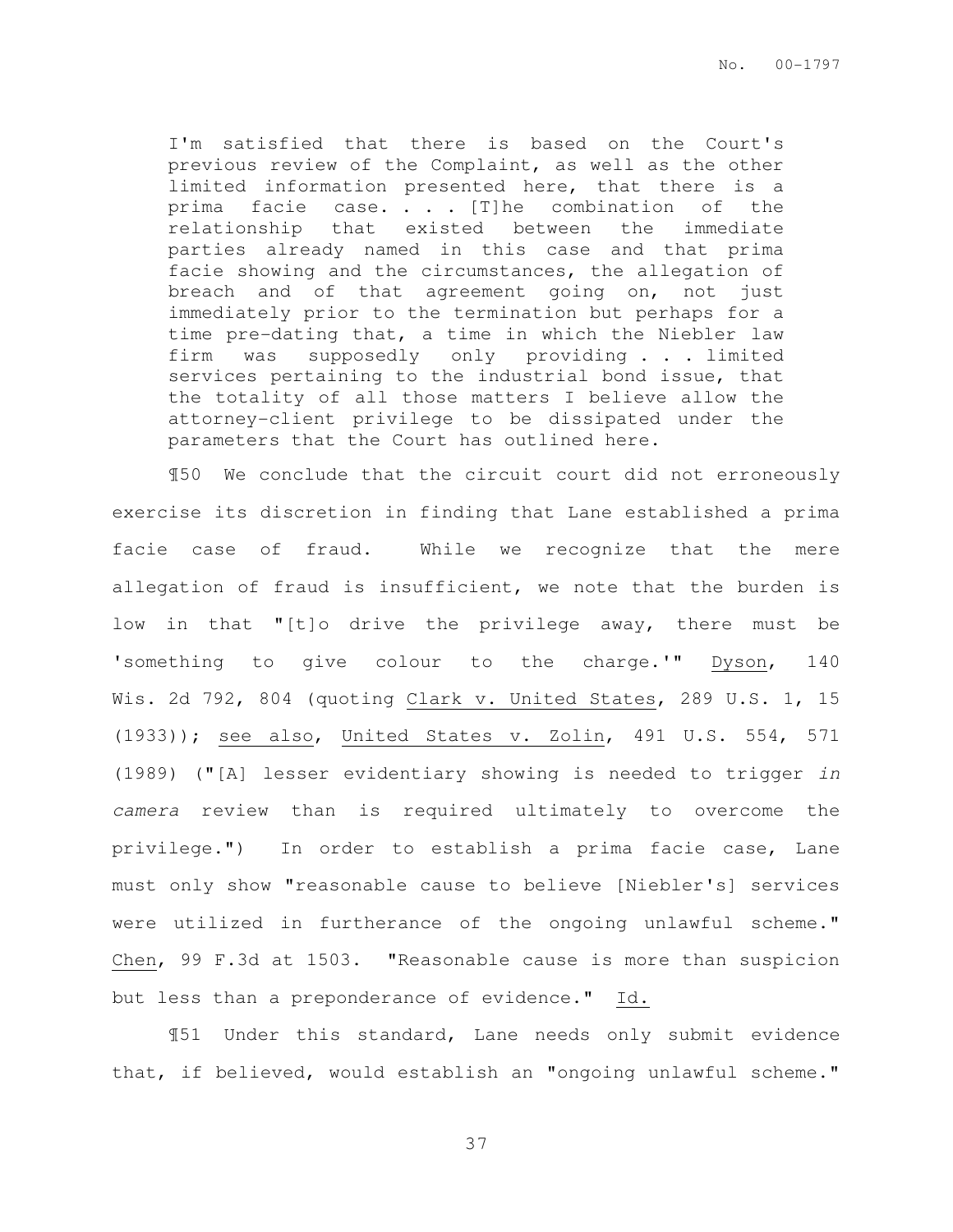I'm satisfied that there is based on the Court's previous review of the Complaint, as well as the other limited information presented here, that there is a prima facie case. . . . [T]he combination of the relationship that existed between the immediate parties already named in this case and that prima facie showing and the circumstances, the allegation of breach and of that agreement going on, not just immediately prior to the termination but perhaps for a time pre-dating that, a time in which the Niebler law firm was supposedly only providing . . . limited services pertaining to the industrial bond issue, that the totality of all those matters I believe allow the attorney-client privilege to be dissipated under the parameters that the Court has outlined here.

¶50 We conclude that the circuit court did not erroneously exercise its discretion in finding that Lane established a prima facie case of fraud. While we recognize that the mere allegation of fraud is insufficient, we note that the burden is low in that "[t]o drive the privilege away, there must be 'something to give colour to the charge.'" Dyson, 140 Wis. 2d 792, 804 (quoting Clark v. United States, 289 U.S. 1, 15 (1933)); see also, United States v. Zolin, 491 U.S. 554, 571 (1989) ("[A] lesser evidentiary showing is needed to trigger in camera review than is required ultimately to overcome the privilege.") In order to establish a prima facie case, Lane must only show "reasonable cause to believe [Niebler's] services were utilized in furtherance of the ongoing unlawful scheme." Chen, 99 F.3d at 1503. "Reasonable cause is more than suspicion but less than a preponderance of evidence." Id.

¶51 Under this standard, Lane needs only submit evidence that, if believed, would establish an "ongoing unlawful scheme."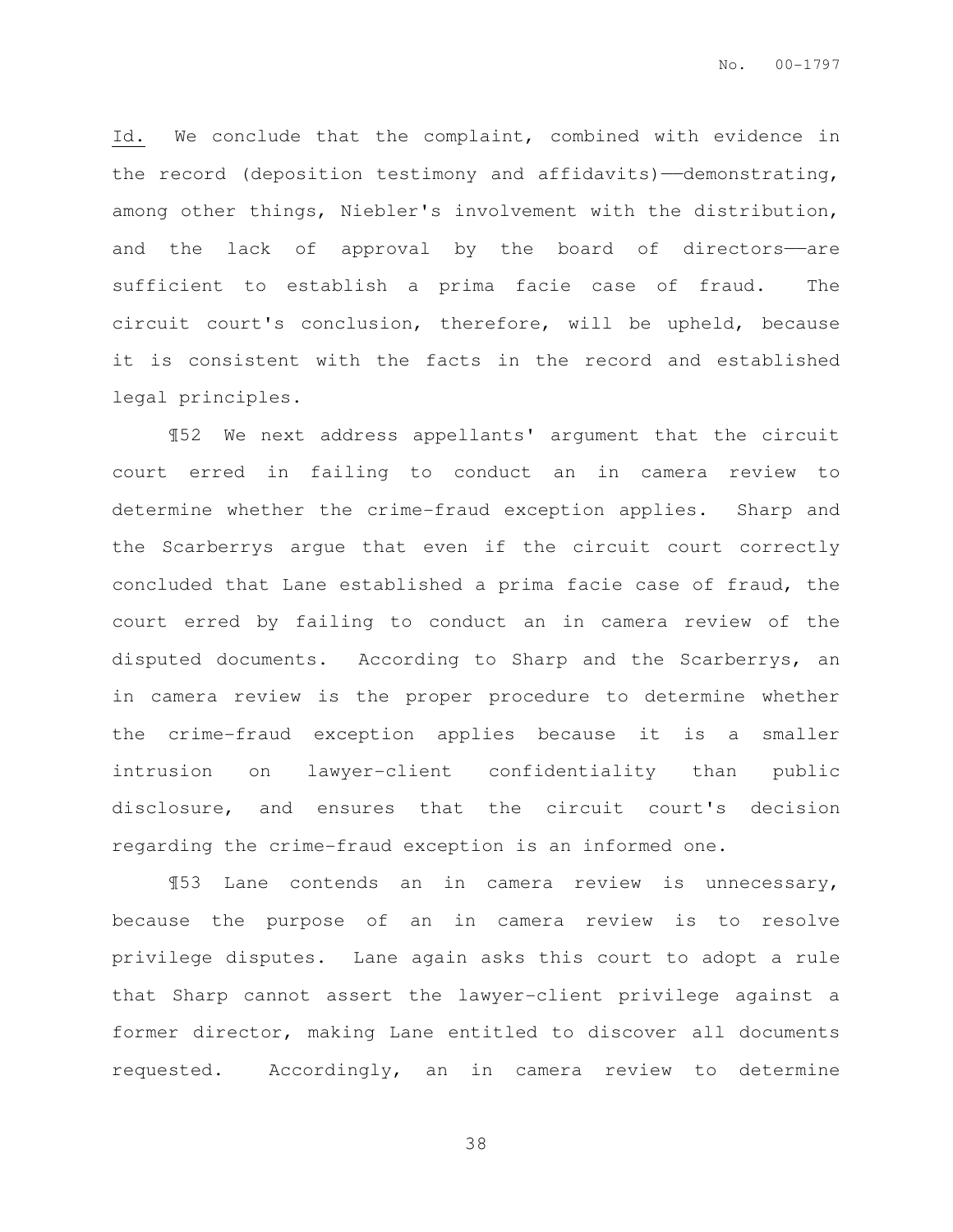Id. We conclude that the complaint, combined with evidence in the record (deposition testimony and affidavits)-demonstrating, among other things, Niebler's involvement with the distribution, and the lack of approval by the board of directors——are sufficient to establish a prima facie case of fraud. The circuit court's conclusion, therefore, will be upheld, because it is consistent with the facts in the record and established legal principles.

¶52 We next address appellants' argument that the circuit court erred in failing to conduct an in camera review to determine whether the crime-fraud exception applies. Sharp and the Scarberrys argue that even if the circuit court correctly concluded that Lane established a prima facie case of fraud, the court erred by failing to conduct an in camera review of the disputed documents. According to Sharp and the Scarberrys, an in camera review is the proper procedure to determine whether the crime-fraud exception applies because it is a smaller intrusion on lawyer-client confidentiality than public disclosure, and ensures that the circuit court's decision regarding the crime-fraud exception is an informed one.

¶53 Lane contends an in camera review is unnecessary, because the purpose of an in camera review is to resolve privilege disputes. Lane again asks this court to adopt a rule that Sharp cannot assert the lawyer-client privilege against a former director, making Lane entitled to discover all documents requested. Accordingly, an in camera review to determine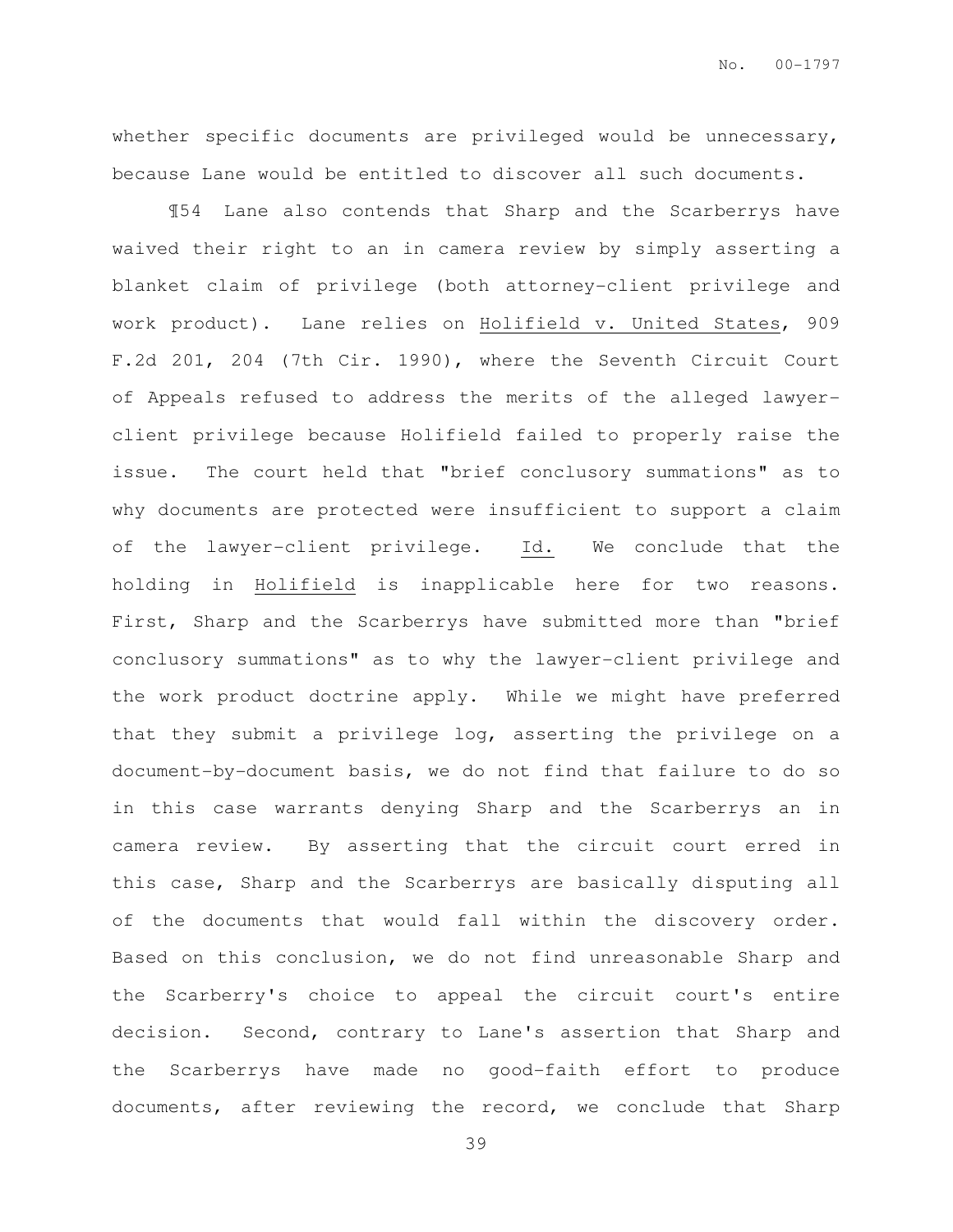whether specific documents are privileged would be unnecessary, because Lane would be entitled to discover all such documents.

¶54 Lane also contends that Sharp and the Scarberrys have waived their right to an in camera review by simply asserting a blanket claim of privilege (both attorney-client privilege and work product). Lane relies on Holifield v. United States, 909 F.2d 201, 204 (7th Cir. 1990), where the Seventh Circuit Court of Appeals refused to address the merits of the alleged lawyerclient privilege because Holifield failed to properly raise the issue. The court held that "brief conclusory summations" as to why documents are protected were insufficient to support a claim of the lawyer-client privilege. Id. We conclude that the holding in Holifield is inapplicable here for two reasons. First, Sharp and the Scarberrys have submitted more than "brief conclusory summations" as to why the lawyer-client privilege and the work product doctrine apply. While we might have preferred that they submit a privilege log, asserting the privilege on a document-by-document basis, we do not find that failure to do so in this case warrants denying Sharp and the Scarberrys an in camera review. By asserting that the circuit court erred in this case, Sharp and the Scarberrys are basically disputing all of the documents that would fall within the discovery order. Based on this conclusion, we do not find unreasonable Sharp and the Scarberry's choice to appeal the circuit court's entire decision. Second, contrary to Lane's assertion that Sharp and the Scarberrys have made no good-faith effort to produce documents, after reviewing the record, we conclude that Sharp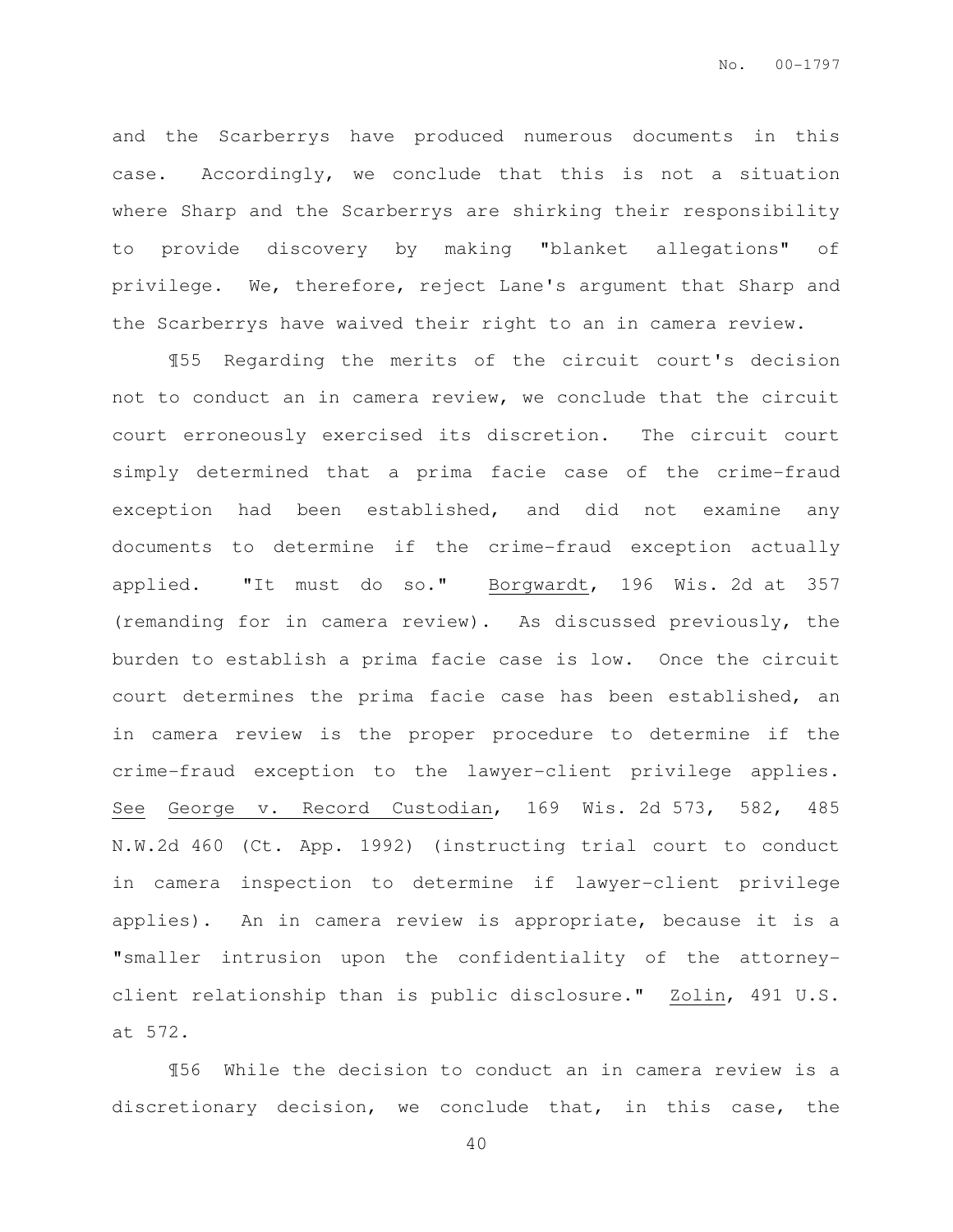and the Scarberrys have produced numerous documents in this case. Accordingly, we conclude that this is not a situation where Sharp and the Scarberrys are shirking their responsibility to provide discovery by making "blanket allegations" of privilege. We, therefore, reject Lane's argument that Sharp and the Scarberrys have waived their right to an in camera review.

¶55 Regarding the merits of the circuit court's decision not to conduct an in camera review, we conclude that the circuit court erroneously exercised its discretion. The circuit court simply determined that a prima facie case of the crime-fraud exception had been established, and did not examine any documents to determine if the crime-fraud exception actually applied. "It must do so." Borgwardt, 196 Wis. 2d at 357 (remanding for in camera review). As discussed previously, the burden to establish a prima facie case is low. Once the circuit court determines the prima facie case has been established, an in camera review is the proper procedure to determine if the crime-fraud exception to the lawyer-client privilege applies. See George v. Record Custodian, 169 Wis. 2d 573, 582, 485 N.W.2d 460 (Ct. App. 1992) (instructing trial court to conduct in camera inspection to determine if lawyer-client privilege applies). An in camera review is appropriate, because it is a "smaller intrusion upon the confidentiality of the attorneyclient relationship than is public disclosure." Zolin, 491 U.S. at 572.

¶56 While the decision to conduct an in camera review is a discretionary decision, we conclude that, in this case, the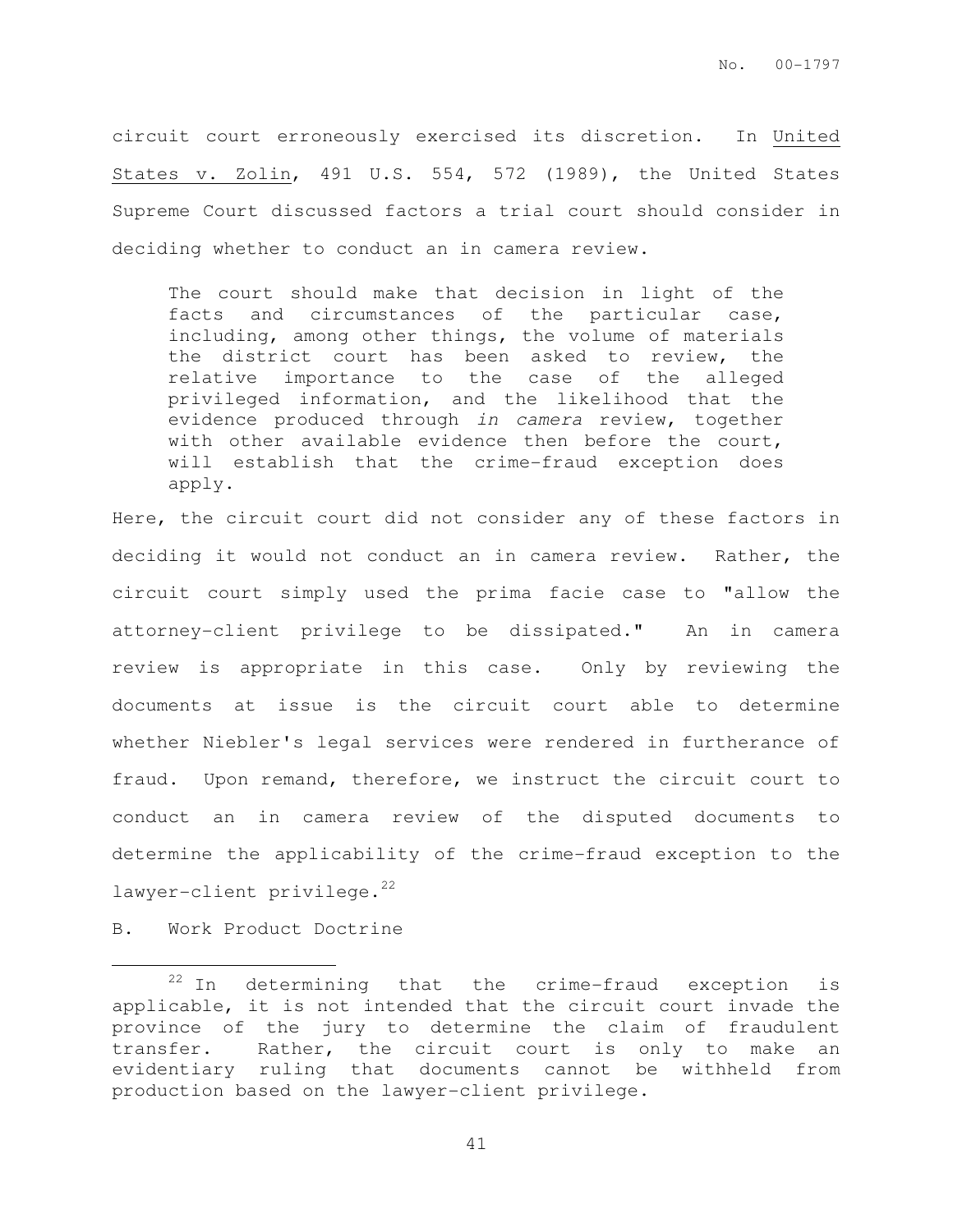circuit court erroneously exercised its discretion. In United States v. Zolin, 491 U.S. 554, 572 (1989), the United States Supreme Court discussed factors a trial court should consider in deciding whether to conduct an in camera review.

The court should make that decision in light of the facts and circumstances of the particular case, including, among other things, the volume of materials the district court has been asked to review, the relative importance to the case of the alleged privileged information, and the likelihood that the evidence produced through in camera review, together with other available evidence then before the court, will establish that the crime-fraud exception does apply.

Here, the circuit court did not consider any of these factors in deciding it would not conduct an in camera review. Rather, the circuit court simply used the prima facie case to "allow the attorney-client privilege to be dissipated." An in camera review is appropriate in this case. Only by reviewing the documents at issue is the circuit court able to determine whether Niebler's legal services were rendered in furtherance of fraud. Upon remand, therefore, we instruct the circuit court to conduct an in camera review of the disputed documents to determine the applicability of the crime-fraud exception to the  $lawyer$ -client privilege.<sup>22</sup>

B. Work Product Doctrine

 $\overline{a}$ 

 $22$  In determining that the crime-fraud exception is applicable, it is not intended that the circuit court invade the province of the jury to determine the claim of fraudulent transfer. Rather, the circuit court is only to make an evidentiary ruling that documents cannot be withheld from production based on the lawyer-client privilege.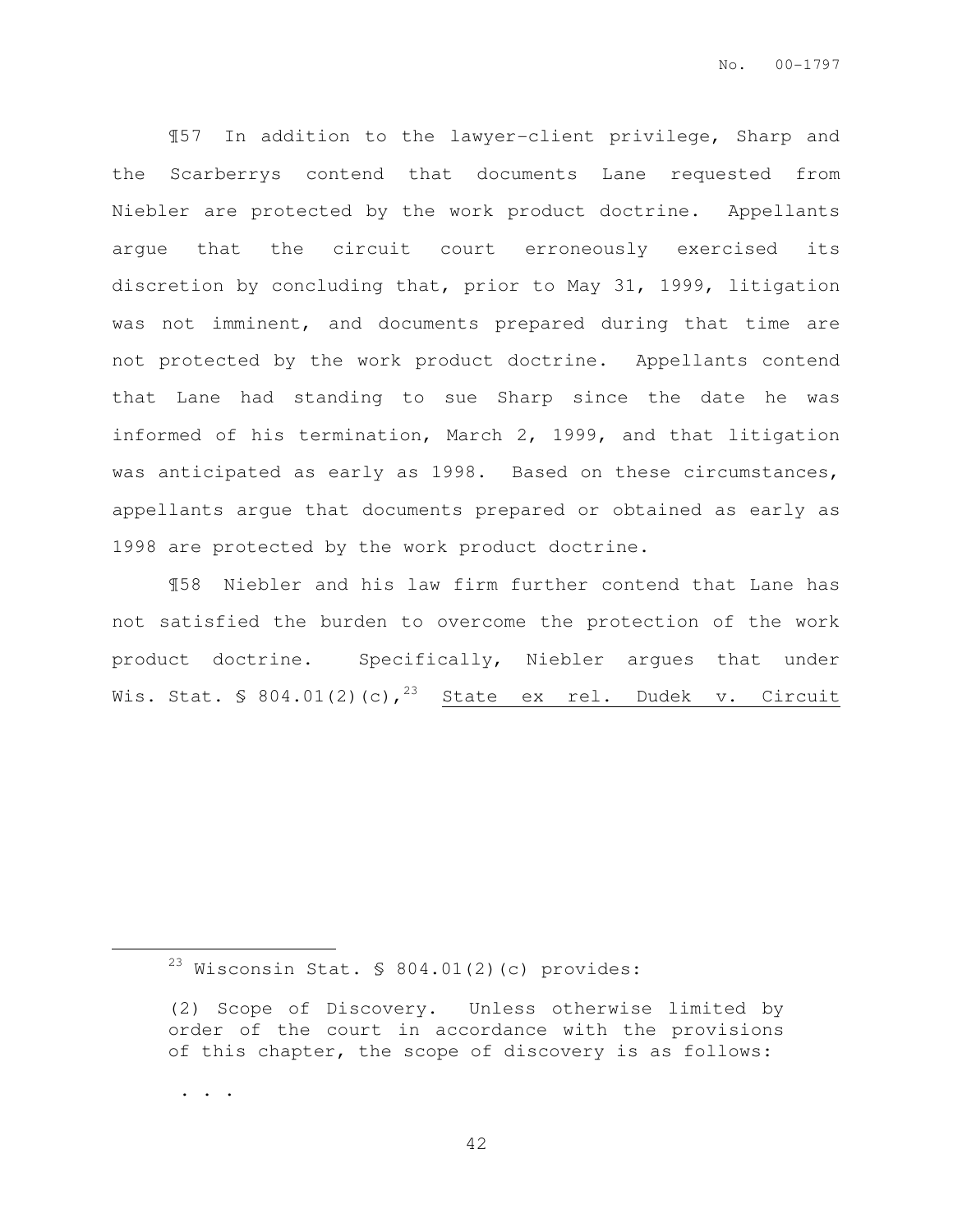¶57 In addition to the lawyer-client privilege, Sharp and the Scarberrys contend that documents Lane requested from Niebler are protected by the work product doctrine. Appellants argue that the circuit court erroneously exercised its discretion by concluding that, prior to May 31, 1999, litigation was not imminent, and documents prepared during that time are not protected by the work product doctrine. Appellants contend that Lane had standing to sue Sharp since the date he was informed of his termination, March 2, 1999, and that litigation was anticipated as early as 1998. Based on these circumstances, appellants argue that documents prepared or obtained as early as 1998 are protected by the work product doctrine.

¶58 Niebler and his law firm further contend that Lane has not satisfied the burden to overcome the protection of the work product doctrine. Specifically, Niebler argues that under Wis. Stat. § 804.01(2)(c),  $23$  State ex rel. Dudek v. Circuit

. . .

 $23$  Wisconsin Stat. § 804.01(2)(c) provides:

<sup>(2)</sup> Scope of Discovery. Unless otherwise limited by order of the court in accordance with the provisions of this chapter, the scope of discovery is as follows: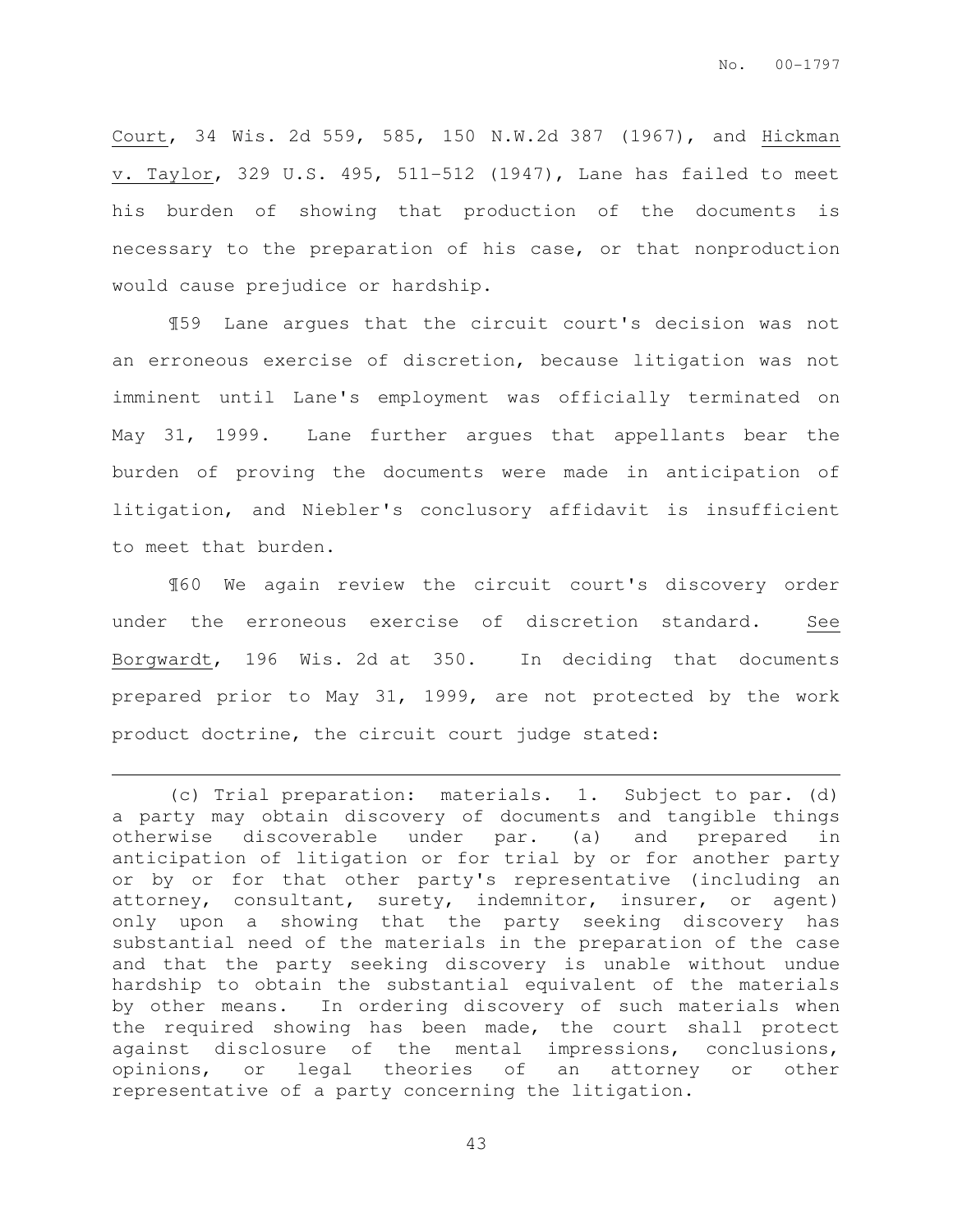Court, 34 Wis. 2d 559, 585, 150 N.W.2d 387 (1967), and Hickman v. Taylor, 329 U.S. 495, 511-512 (1947), Lane has failed to meet his burden of showing that production of the documents is necessary to the preparation of his case, or that nonproduction would cause prejudice or hardship.

¶59 Lane argues that the circuit court's decision was not an erroneous exercise of discretion, because litigation was not imminent until Lane's employment was officially terminated on May 31, 1999. Lane further argues that appellants bear the burden of proving the documents were made in anticipation of litigation, and Niebler's conclusory affidavit is insufficient to meet that burden.

¶60 We again review the circuit court's discovery order under the erroneous exercise of discretion standard. See Borgwardt, 196 Wis. 2d at 350. In deciding that documents prepared prior to May 31, 1999, are not protected by the work product doctrine, the circuit court judge stated:

 $\overline{a}$ 

<sup>(</sup>c) Trial preparation: materials. 1. Subject to par. (d) a party may obtain discovery of documents and tangible things otherwise discoverable under par. (a) and prepared in anticipation of litigation or for trial by or for another party or by or for that other party's representative (including an attorney, consultant, surety, indemnitor, insurer, or agent) only upon a showing that the party seeking discovery has substantial need of the materials in the preparation of the case and that the party seeking discovery is unable without undue hardship to obtain the substantial equivalent of the materials by other means. In ordering discovery of such materials when the required showing has been made, the court shall protect against disclosure of the mental impressions, conclusions, opinions, or legal theories of an attorney or other representative of a party concerning the litigation.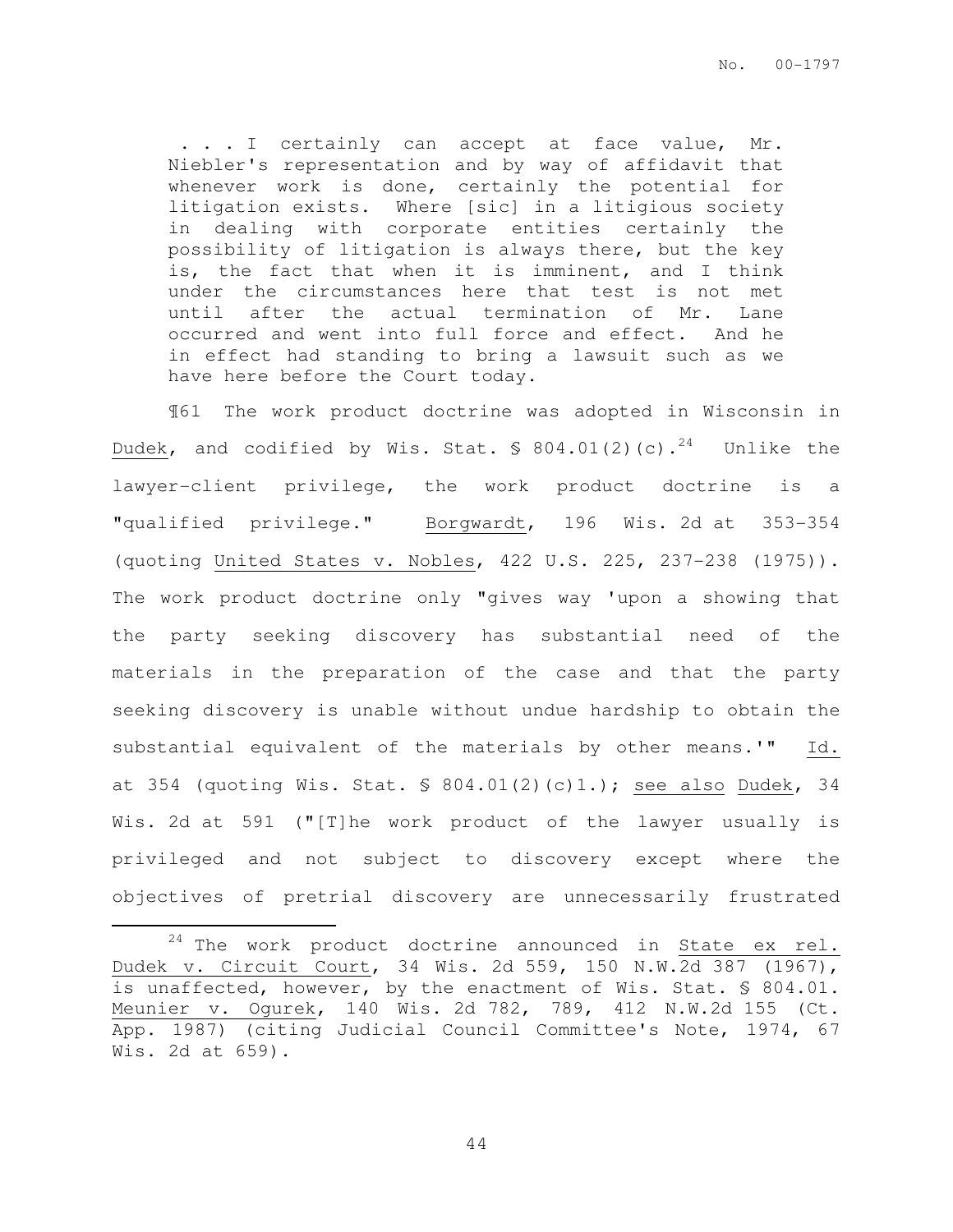. . . I certainly can accept at face value, Mr. Niebler's representation and by way of affidavit that whenever work is done, certainly the potential for litigation exists. Where [sic] in a litigious society in dealing with corporate entities certainly the possibility of litigation is always there, but the key is, the fact that when it is imminent, and I think under the circumstances here that test is not met until after the actual termination of Mr. Lane occurred and went into full force and effect. And he in effect had standing to bring a lawsuit such as we have here before the Court today.

¶61 The work product doctrine was adopted in Wisconsin in Dudek, and codified by Wis. Stat.  $\$$  804.01(2)(c).<sup>24</sup> Unlike the lawyer-client privilege, the work product doctrine is a "qualified privilege." Borgwardt, 196 Wis. 2d at 353-354 (quoting United States v. Nobles, 422 U.S. 225, 237-238 (1975)). The work product doctrine only "gives way 'upon a showing that the party seeking discovery has substantial need of the materials in the preparation of the case and that the party seeking discovery is unable without undue hardship to obtain the substantial equivalent of the materials by other means.'" Id. at 354 (quoting Wis. Stat.  $\$ 804.01(2)(c)1.$ ); see also Dudek, 34 Wis. 2d at 591 ("[T]he work product of the lawyer usually is privileged and not subject to discovery except where the objectives of pretrial discovery are unnecessarily frustrated

 $\overline{a}$ 

 $24$  The work product doctrine announced in  $State$  ex rel. Dudek v. Circuit Court, 34 Wis. 2d 559, 150 N.W.2d 387 (1967), is unaffected, however, by the enactment of Wis. Stat. § 804.01. Meunier v. Ogurek, 140 Wis. 2d 782, 789, 412 N.W.2d 155 (Ct. App. 1987) (citing Judicial Council Committee's Note, 1974, 67 Wis. 2d at 659).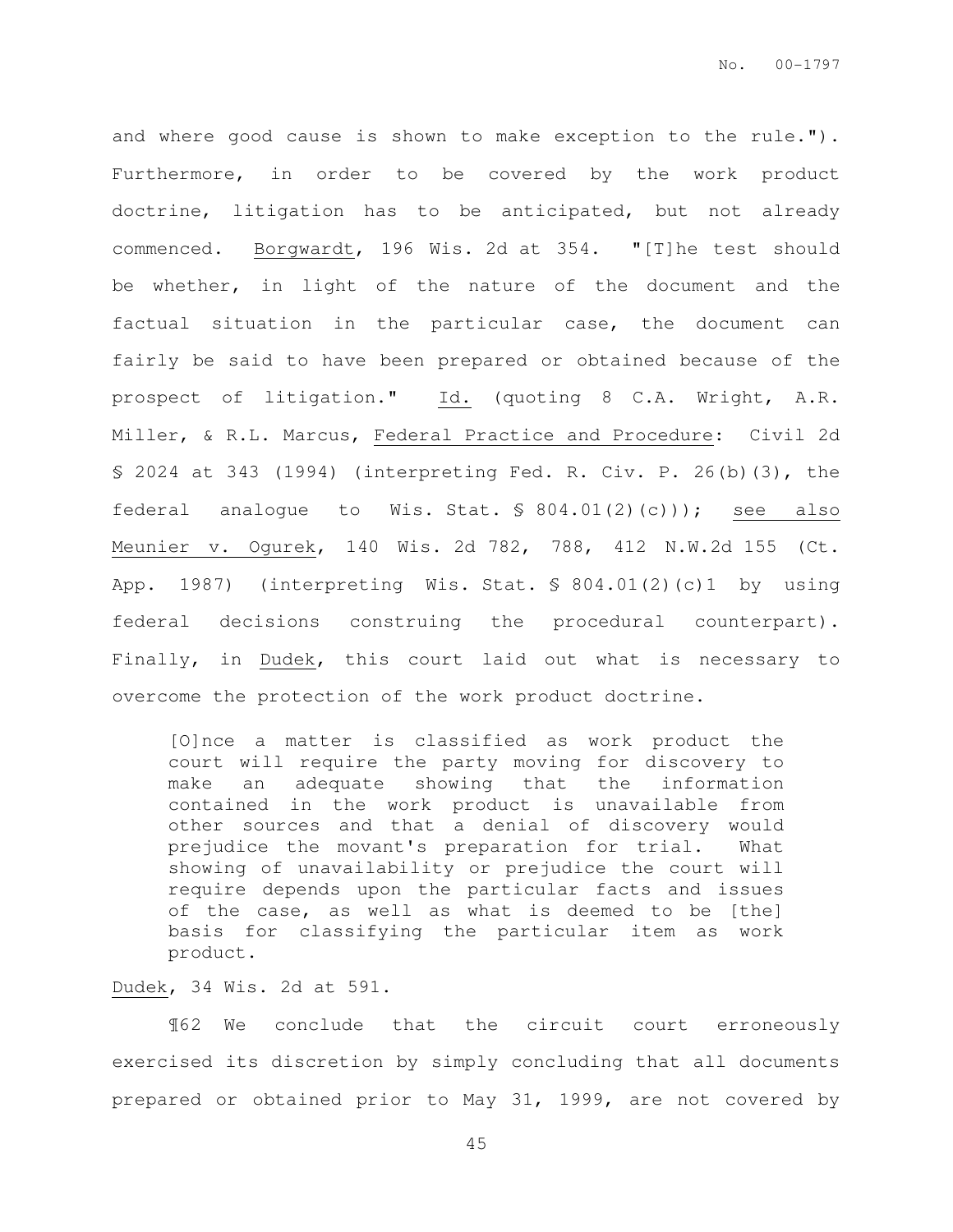and where good cause is shown to make exception to the rule."). Furthermore, in order to be covered by the work product doctrine, litigation has to be anticipated, but not already commenced. Borgwardt, 196 Wis. 2d at 354. "[T]he test should be whether, in light of the nature of the document and the factual situation in the particular case, the document can fairly be said to have been prepared or obtained because of the prospect of litigation." Id. (quoting 8 C.A. Wright, A.R. Miller, & R.L. Marcus, Federal Practice and Procedure: Civil 2d § 2024 at 343 (1994) (interpreting Fed. R. Civ. P. 26(b)(3), the federal analogue to Wis. Stat. § 804.01(2)(c))); see also Meunier v. Ogurek, 140 Wis. 2d 782, 788, 412 N.W.2d 155 (Ct. App. 1987) (interpreting Wis. Stat. § 804.01(2)(c)1 by using federal decisions construing the procedural counterpart). Finally, in Dudek, this court laid out what is necessary to overcome the protection of the work product doctrine.

[O]nce a matter is classified as work product the court will require the party moving for discovery to make an adequate showing that the information contained in the work product is unavailable from other sources and that a denial of discovery would prejudice the movant's preparation for trial. What showing of unavailability or prejudice the court will require depends upon the particular facts and issues of the case, as well as what is deemed to be [the] basis for classifying the particular item as work product.

#### Dudek, 34 Wis. 2d at 591.

¶62 We conclude that the circuit court erroneously exercised its discretion by simply concluding that all documents prepared or obtained prior to May 31, 1999, are not covered by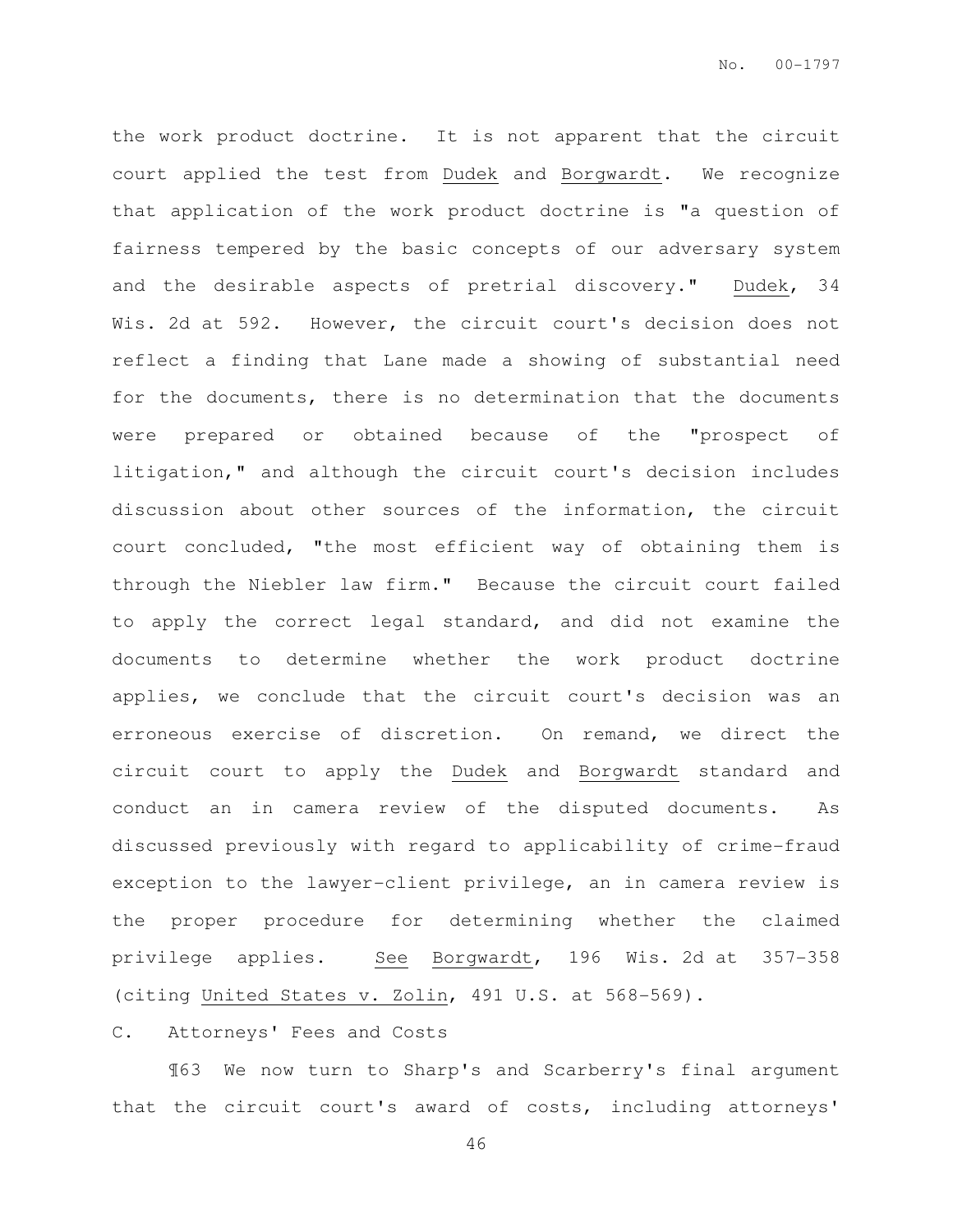the work product doctrine. It is not apparent that the circuit court applied the test from Dudek and Borgwardt. We recognize that application of the work product doctrine is "a question of fairness tempered by the basic concepts of our adversary system and the desirable aspects of pretrial discovery." Dudek, 34 Wis. 2d at 592. However, the circuit court's decision does not reflect a finding that Lane made a showing of substantial need for the documents, there is no determination that the documents were prepared or obtained because of the "prospect of litigation," and although the circuit court's decision includes discussion about other sources of the information, the circuit court concluded, "the most efficient way of obtaining them is through the Niebler law firm." Because the circuit court failed to apply the correct legal standard, and did not examine the documents to determine whether the work product doctrine applies, we conclude that the circuit court's decision was an erroneous exercise of discretion. On remand, we direct the circuit court to apply the Dudek and Borgwardt standard and conduct an in camera review of the disputed documents. As discussed previously with regard to applicability of crime-fraud exception to the lawyer-client privilege, an in camera review is the proper procedure for determining whether the claimed privilege applies. See Borgwardt, 196 Wis. 2d at 357-358 (citing United States v. Zolin, 491 U.S. at 568-569).

#### C. Attorneys' Fees and Costs

¶63 We now turn to Sharp's and Scarberry's final argument that the circuit court's award of costs, including attorneys'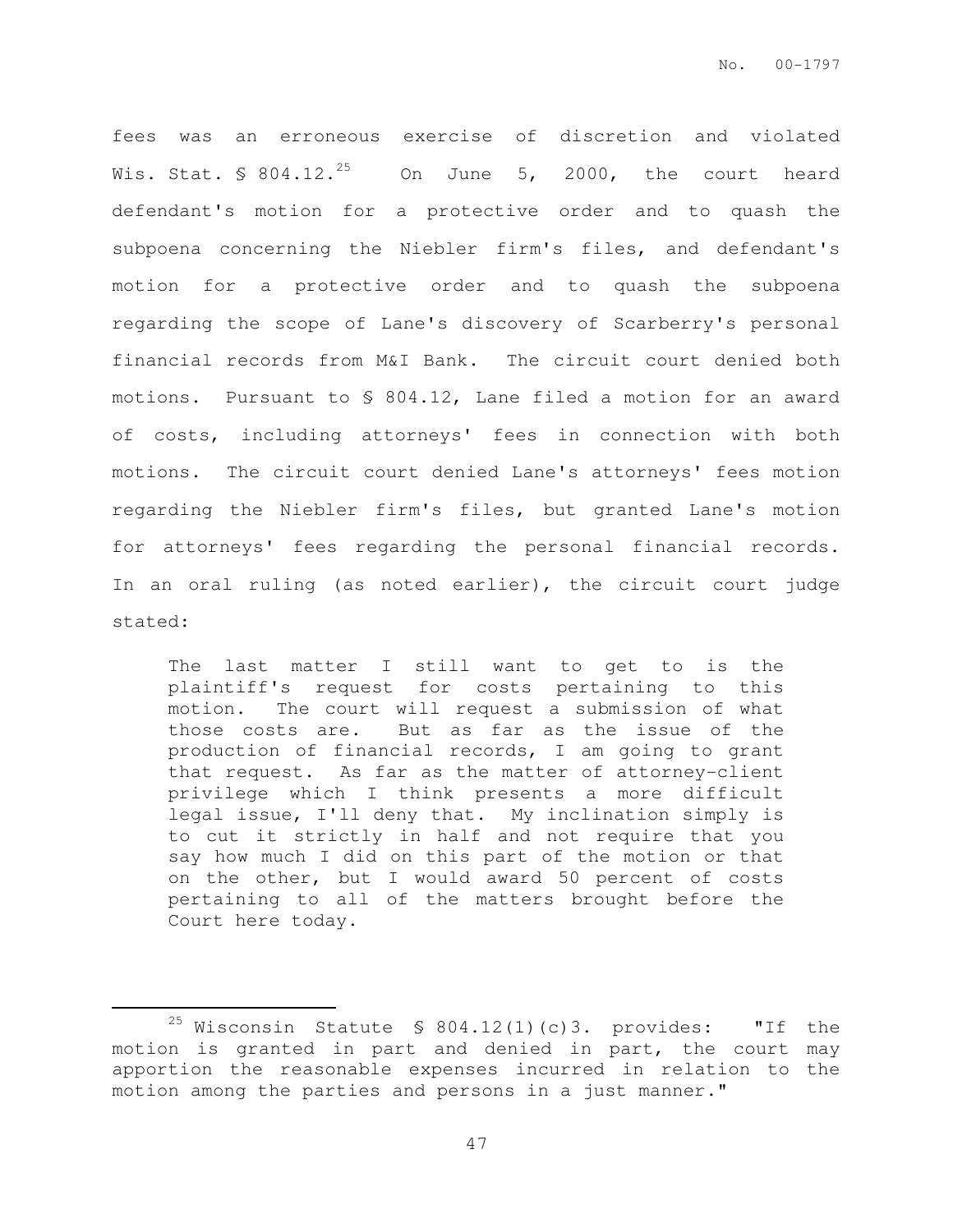fees was an erroneous exercise of discretion and violated Wis. Stat. § 804.12.<sup>25</sup> On June 5, 2000, the court heard defendant's motion for a protective order and to quash the subpoena concerning the Niebler firm's files, and defendant's motion for a protective order and to quash the subpoena regarding the scope of Lane's discovery of Scarberry's personal financial records from M&I Bank. The circuit court denied both motions. Pursuant to § 804.12, Lane filed a motion for an award of costs, including attorneys' fees in connection with both motions. The circuit court denied Lane's attorneys' fees motion regarding the Niebler firm's files, but granted Lane's motion for attorneys' fees regarding the personal financial records. In an oral ruling (as noted earlier), the circuit court judge stated:

The last matter I still want to get to is the plaintiff's request for costs pertaining to this motion. The court will request a submission of what those costs are. But as far as the issue of the production of financial records, I am going to grant that request. As far as the matter of attorney-client privilege which I think presents a more difficult legal issue, I'll deny that. My inclination simply is to cut it strictly in half and not require that you say how much I did on this part of the motion or that on the other, but I would award 50 percent of costs pertaining to all of the matters brought before the Court here today.

<sup>&</sup>lt;sup>25</sup> Wisconsin Statute § 804.12(1)(c)3. provides: "If the motion is granted in part and denied in part, the court may apportion the reasonable expenses incurred in relation to the motion among the parties and persons in a just manner."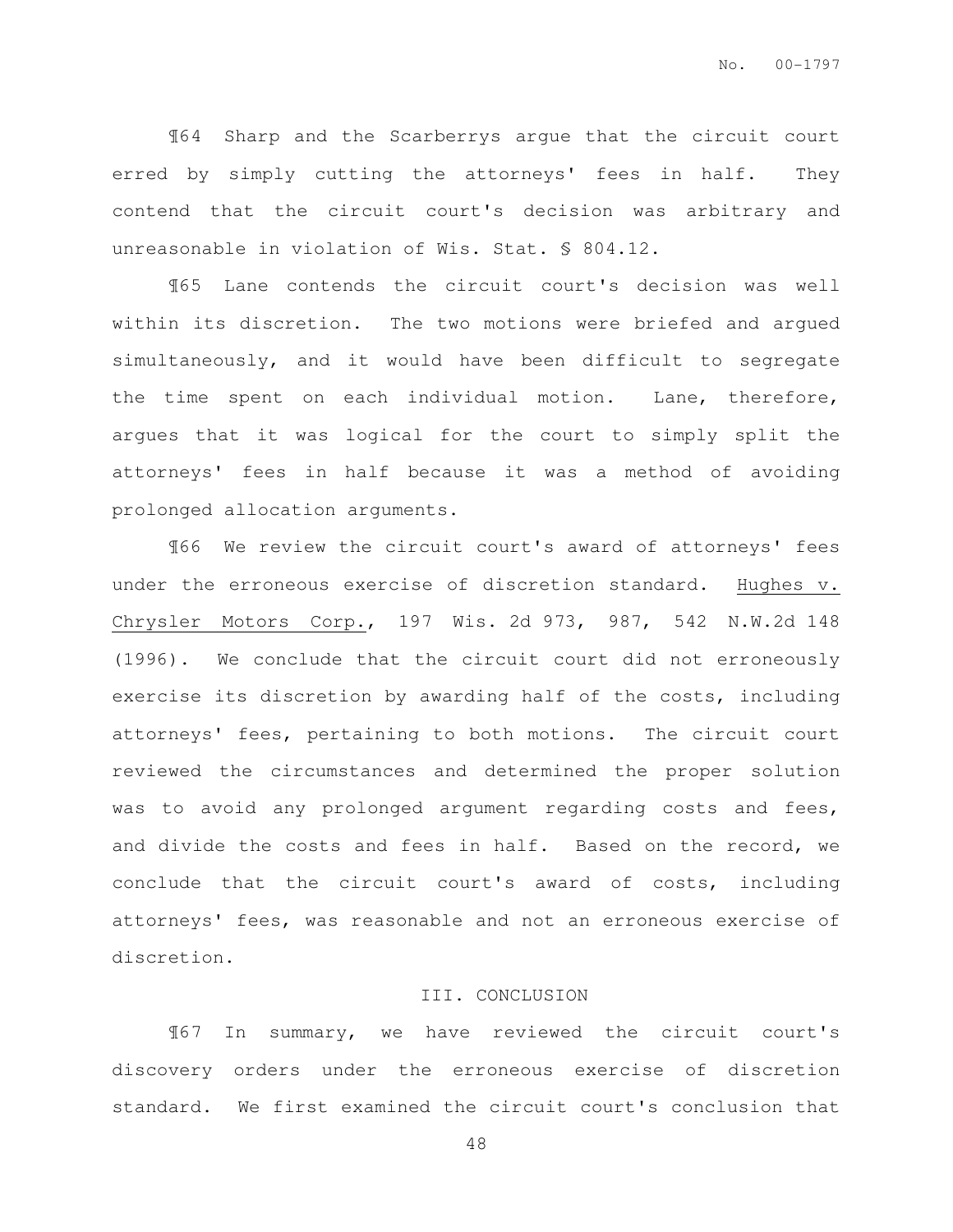¶64 Sharp and the Scarberrys argue that the circuit court erred by simply cutting the attorneys' fees in half. They contend that the circuit court's decision was arbitrary and unreasonable in violation of Wis. Stat. § 804.12.

¶65 Lane contends the circuit court's decision was well within its discretion. The two motions were briefed and argued simultaneously, and it would have been difficult to segregate the time spent on each individual motion. Lane, therefore, argues that it was logical for the court to simply split the attorneys' fees in half because it was a method of avoiding prolonged allocation arguments.

¶66 We review the circuit court's award of attorneys' fees under the erroneous exercise of discretion standard. Hughes v. Chrysler Motors Corp., 197 Wis. 2d 973, 987, 542 N.W.2d 148 (1996). We conclude that the circuit court did not erroneously exercise its discretion by awarding half of the costs, including attorneys' fees, pertaining to both motions. The circuit court reviewed the circumstances and determined the proper solution was to avoid any prolonged argument regarding costs and fees, and divide the costs and fees in half. Based on the record, we conclude that the circuit court's award of costs, including attorneys' fees, was reasonable and not an erroneous exercise of discretion.

#### III. CONCLUSION

¶67 In summary, we have reviewed the circuit court's discovery orders under the erroneous exercise of discretion standard. We first examined the circuit court's conclusion that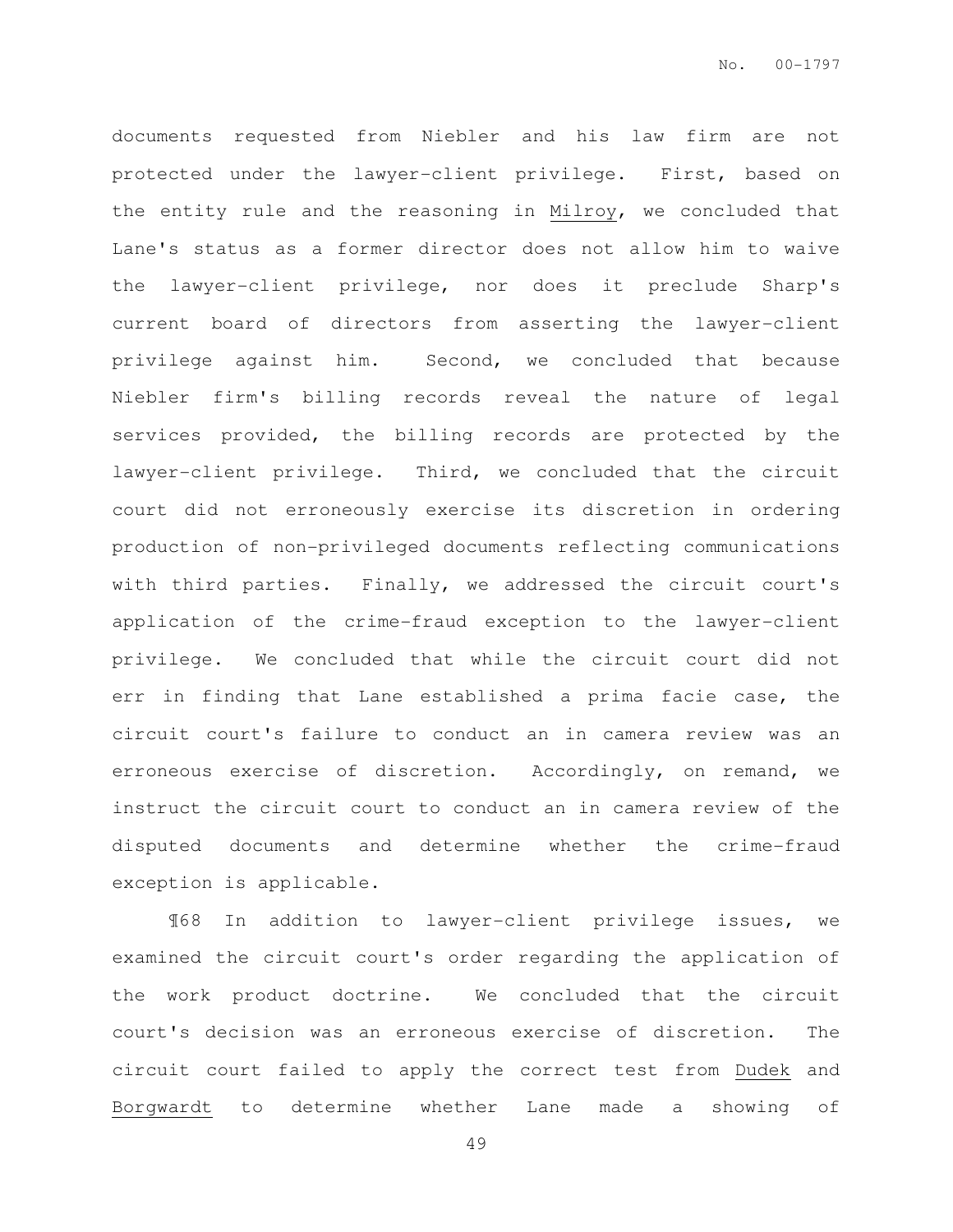documents requested from Niebler and his law firm are not protected under the lawyer-client privilege. First, based on the entity rule and the reasoning in Milroy, we concluded that Lane's status as a former director does not allow him to waive the lawyer-client privilege, nor does it preclude Sharp's current board of directors from asserting the lawyer-client privilege against him. Second, we concluded that because Niebler firm's billing records reveal the nature of legal services provided, the billing records are protected by the lawyer-client privilege. Third, we concluded that the circuit court did not erroneously exercise its discretion in ordering production of non-privileged documents reflecting communications with third parties. Finally, we addressed the circuit court's application of the crime-fraud exception to the lawyer-client privilege. We concluded that while the circuit court did not err in finding that Lane established a prima facie case, the circuit court's failure to conduct an in camera review was an erroneous exercise of discretion. Accordingly, on remand, we instruct the circuit court to conduct an in camera review of the disputed documents and determine whether the crime-fraud exception is applicable.

¶68 In addition to lawyer-client privilege issues, we examined the circuit court's order regarding the application of the work product doctrine. We concluded that the circuit court's decision was an erroneous exercise of discretion. The circuit court failed to apply the correct test from Dudek and Borgwardt to determine whether Lane made a showing of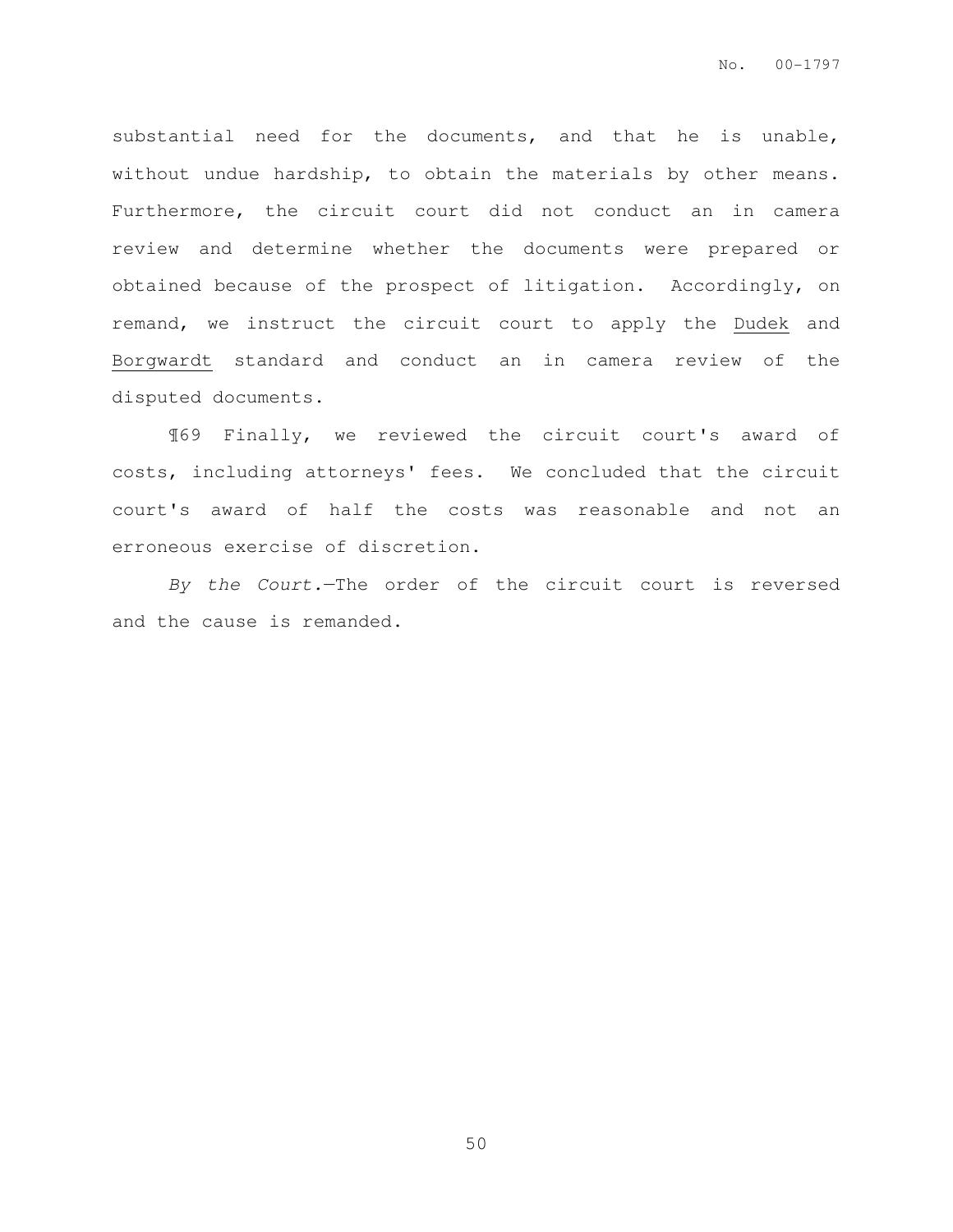substantial need for the documents, and that he is unable, without undue hardship, to obtain the materials by other means. Furthermore, the circuit court did not conduct an in camera review and determine whether the documents were prepared or obtained because of the prospect of litigation. Accordingly, on remand, we instruct the circuit court to apply the Dudek and Borgwardt standard and conduct an in camera review of the disputed documents.

¶69 Finally, we reviewed the circuit court's award of costs, including attorneys' fees. We concluded that the circuit court's award of half the costs was reasonable and not an erroneous exercise of discretion.

By the Court.—The order of the circuit court is reversed and the cause is remanded.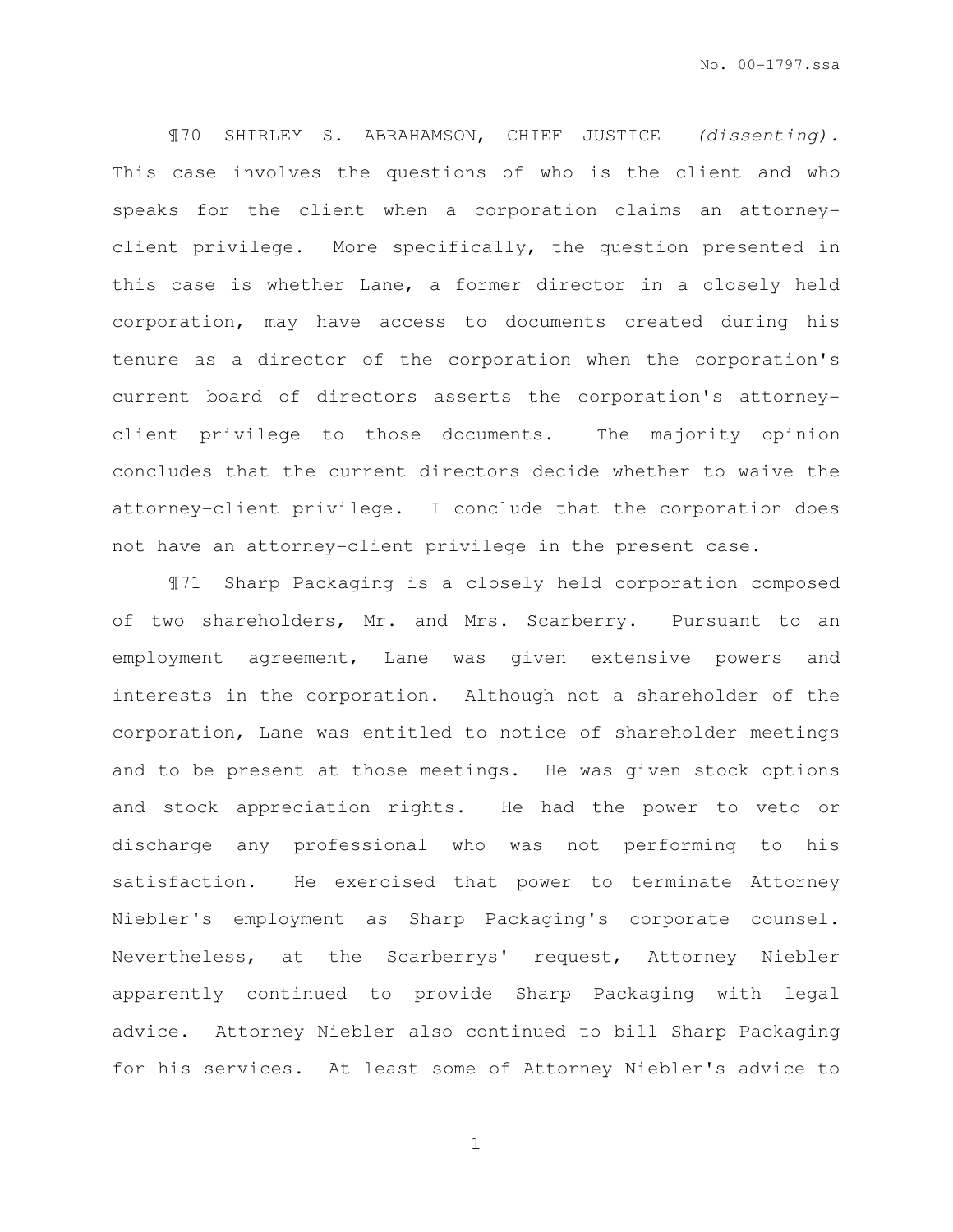¶70 SHIRLEY S. ABRAHAMSON, CHIEF JUSTICE (dissenting). This case involves the questions of who is the client and who speaks for the client when a corporation claims an attorneyclient privilege. More specifically, the question presented in this case is whether Lane, a former director in a closely held corporation, may have access to documents created during his tenure as a director of the corporation when the corporation's current board of directors asserts the corporation's attorneyclient privilege to those documents. The majority opinion concludes that the current directors decide whether to waive the attorney-client privilege. I conclude that the corporation does not have an attorney-client privilege in the present case.

¶71 Sharp Packaging is a closely held corporation composed of two shareholders, Mr. and Mrs. Scarberry. Pursuant to an employment agreement, Lane was given extensive powers and interests in the corporation. Although not a shareholder of the corporation, Lane was entitled to notice of shareholder meetings and to be present at those meetings. He was given stock options and stock appreciation rights. He had the power to veto or discharge any professional who was not performing to his satisfaction. He exercised that power to terminate Attorney Niebler's employment as Sharp Packaging's corporate counsel. Nevertheless, at the Scarberrys' request, Attorney Niebler apparently continued to provide Sharp Packaging with legal advice. Attorney Niebler also continued to bill Sharp Packaging for his services. At least some of Attorney Niebler's advice to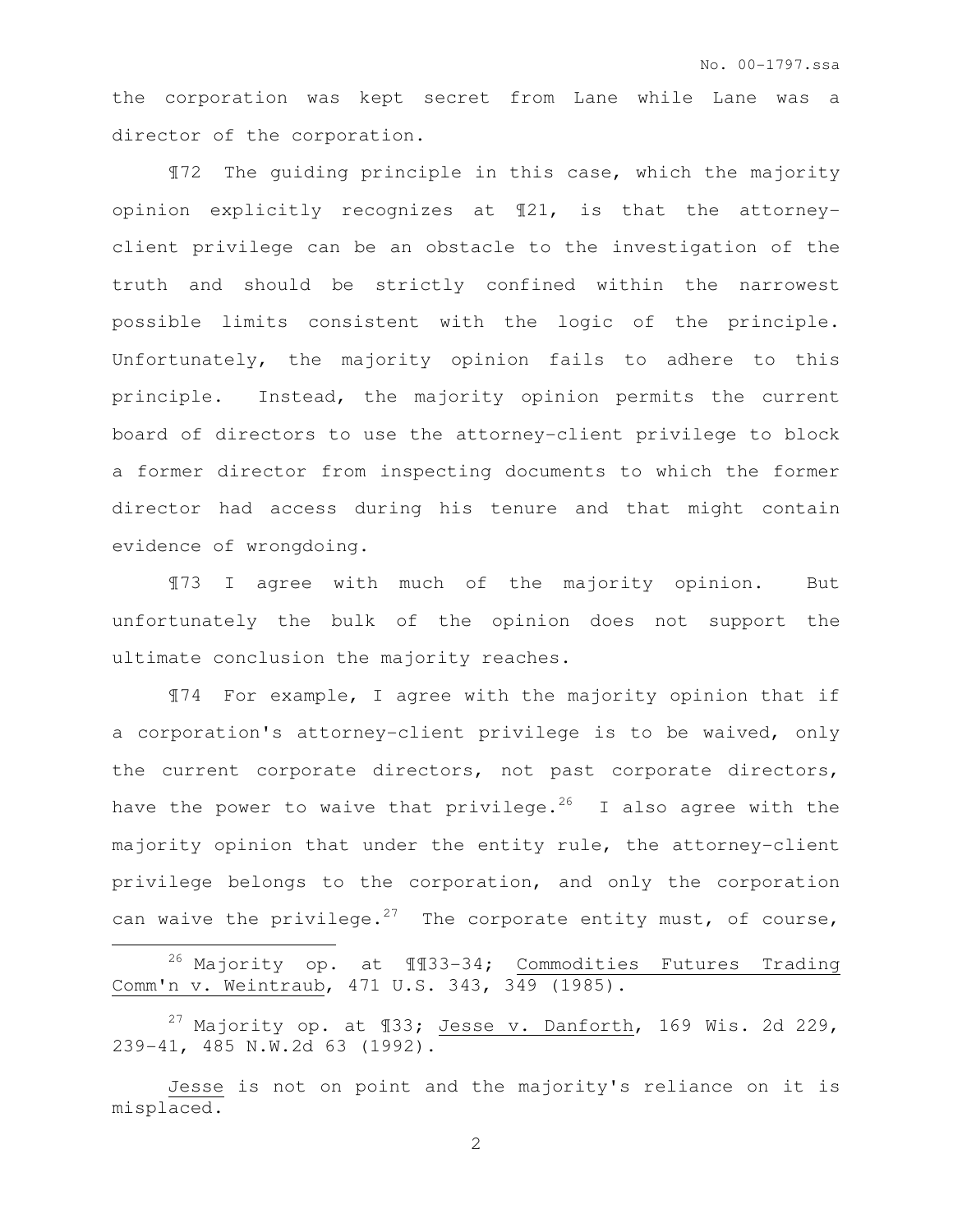the corporation was kept secret from Lane while Lane was a director of the corporation.

¶72 The guiding principle in this case, which the majority opinion explicitly recognizes at ¶21, is that the attorneyclient privilege can be an obstacle to the investigation of the truth and should be strictly confined within the narrowest possible limits consistent with the logic of the principle. Unfortunately, the majority opinion fails to adhere to this principle. Instead, the majority opinion permits the current board of directors to use the attorney-client privilege to block a former director from inspecting documents to which the former director had access during his tenure and that might contain evidence of wrongdoing.

¶73 I agree with much of the majority opinion. But unfortunately the bulk of the opinion does not support the ultimate conclusion the majority reaches.

¶74 For example, I agree with the majority opinion that if a corporation's attorney-client privilege is to be waived, only the current corporate directors, not past corporate directors, have the power to waive that privilege.<sup>26</sup> I also agree with the majority opinion that under the entity rule, the attorney-client privilege belongs to the corporation, and only the corporation can waive the privilege.<sup>27</sup> The corporate entity must, of course,

<sup>26</sup> Majority op. at ¶¶33-34; Commodities Futures Trading Comm'n v. Weintraub, 471 U.S. 343, 349 (1985).

 $\overline{a}$ 

<sup>27</sup> Majority op. at  $\text{\textsterling}33;$  Jesse v. Danforth, 169 Wis. 2d 229, 239-41, 485 N.W.2d 63 (1992).

Jesse is not on point and the majority's reliance on it is misplaced.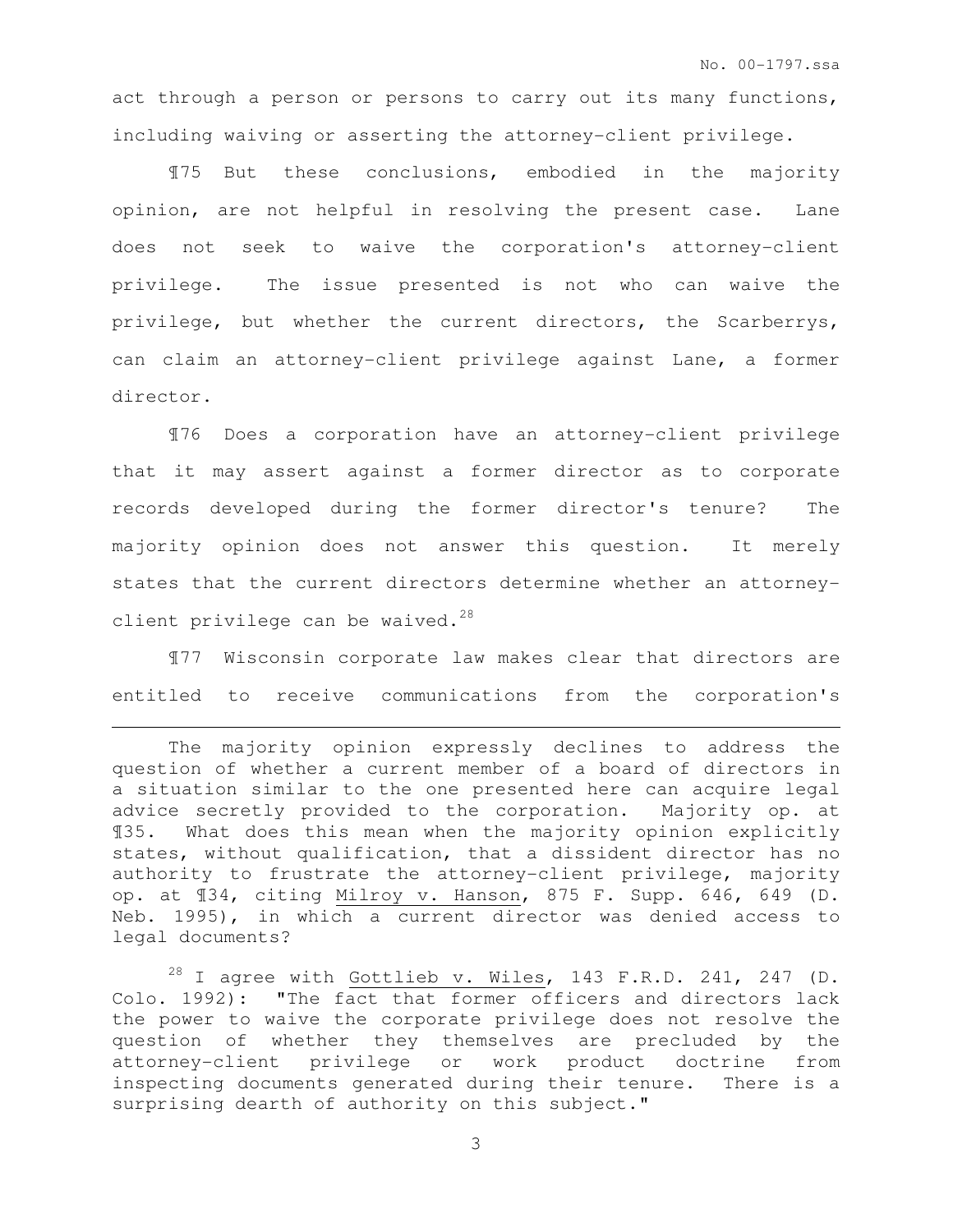act through a person or persons to carry out its many functions, including waiving or asserting the attorney-client privilege.

¶75 But these conclusions, embodied in the majority opinion, are not helpful in resolving the present case. Lane does not seek to waive the corporation's attorney-client privilege. The issue presented is not who can waive the privilege, but whether the current directors, the Scarberrys, can claim an attorney-client privilege against Lane, a former director.

¶76 Does a corporation have an attorney-client privilege that it may assert against a former director as to corporate records developed during the former director's tenure? The majority opinion does not answer this question. It merely states that the current directors determine whether an attorneyclient privilege can be waived. $28$ 

¶77 Wisconsin corporate law makes clear that directors are entitled to receive communications from the corporation's

 $\overline{a}$ 

The majority opinion expressly declines to address the question of whether a current member of a board of directors in a situation similar to the one presented here can acquire legal advice secretly provided to the corporation. Majority op. at ¶35. What does this mean when the majority opinion explicitly states, without qualification, that a dissident director has no authority to frustrate the attorney-client privilege, majority op. at ¶34, citing Milroy v. Hanson, 875 F. Supp. 646, 649 (D. Neb. 1995), in which a current director was denied access to legal documents?

 $28$  I agree with Gottlieb v. Wiles, 143 F.R.D. 241, 247 (D. Colo. 1992): "The fact that former officers and directors lack the power to waive the corporate privilege does not resolve the question of whether they themselves are precluded by the attorney-client privilege or work product doctrine from inspecting documents generated during their tenure. There is a surprising dearth of authority on this subject."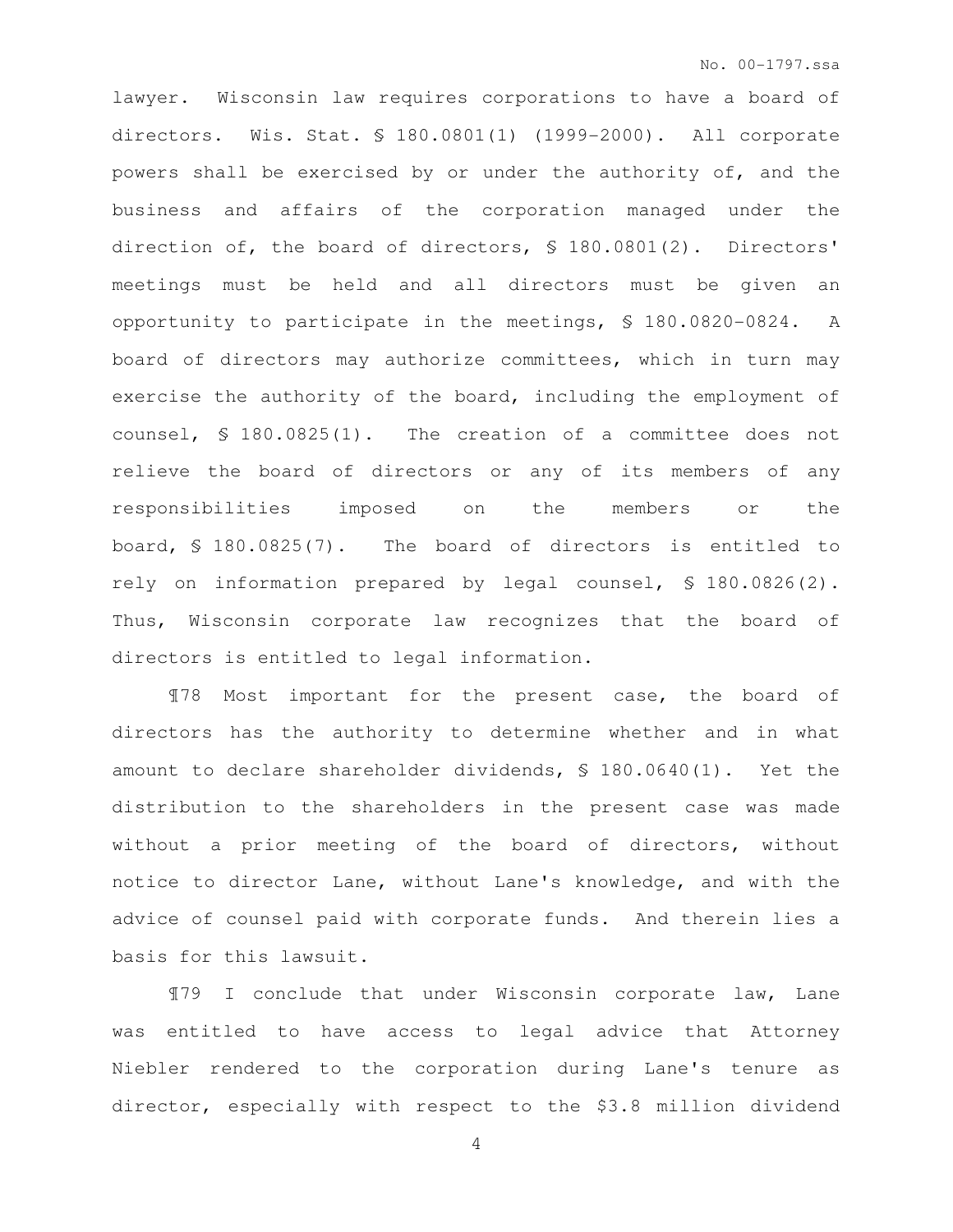lawyer. Wisconsin law requires corporations to have a board of directors. Wis. Stat. § 180.0801(1) (1999-2000). All corporate powers shall be exercised by or under the authority of, and the business and affairs of the corporation managed under the direction of, the board of directors, § 180.0801(2). Directors' meetings must be held and all directors must be given an opportunity to participate in the meetings, § 180.0820-0824. A board of directors may authorize committees, which in turn may exercise the authority of the board, including the employment of counsel, § 180.0825(1). The creation of a committee does not relieve the board of directors or any of its members of any responsibilities imposed on the members or the board, § 180.0825(7). The board of directors is entitled to rely on information prepared by legal counsel, § 180.0826(2). Thus, Wisconsin corporate law recognizes that the board of directors is entitled to legal information.

¶78 Most important for the present case, the board of directors has the authority to determine whether and in what amount to declare shareholder dividends, § 180.0640(1). Yet the distribution to the shareholders in the present case was made without a prior meeting of the board of directors, without notice to director Lane, without Lane's knowledge, and with the advice of counsel paid with corporate funds. And therein lies a basis for this lawsuit.

¶79 I conclude that under Wisconsin corporate law, Lane was entitled to have access to legal advice that Attorney Niebler rendered to the corporation during Lane's tenure as director, especially with respect to the \$3.8 million dividend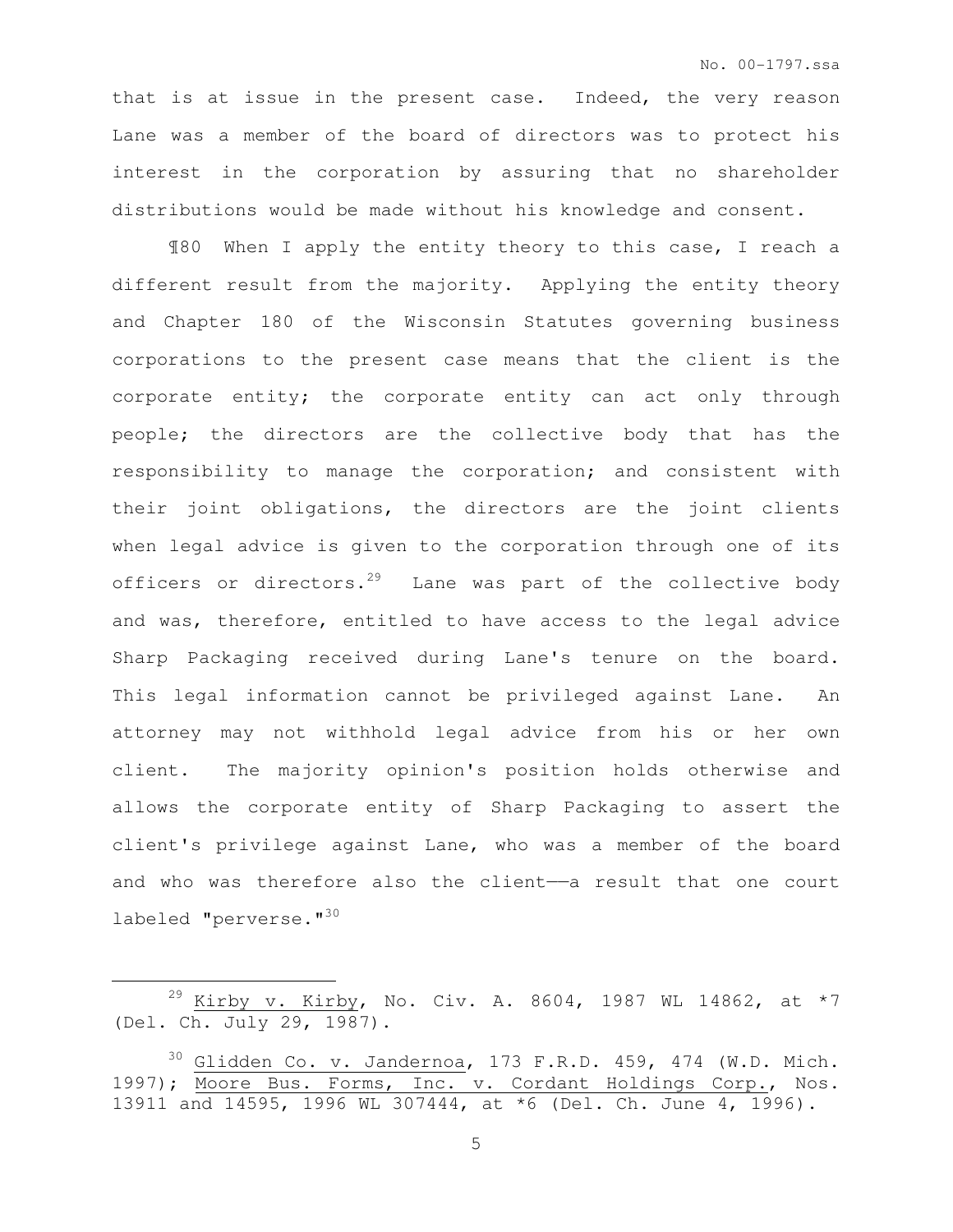that is at issue in the present case. Indeed, the very reason Lane was a member of the board of directors was to protect his interest in the corporation by assuring that no shareholder distributions would be made without his knowledge and consent.

¶80 When I apply the entity theory to this case, I reach a different result from the majority. Applying the entity theory and Chapter 180 of the Wisconsin Statutes governing business corporations to the present case means that the client is the corporate entity; the corporate entity can act only through people; the directors are the collective body that has the responsibility to manage the corporation; and consistent with their joint obligations, the directors are the joint clients when legal advice is given to the corporation through one of its officers or directors.<sup>29</sup> Lane was part of the collective body and was, therefore, entitled to have access to the legal advice Sharp Packaging received during Lane's tenure on the board. This legal information cannot be privileged against Lane. An attorney may not withhold legal advice from his or her own client. The majority opinion's position holds otherwise and allows the corporate entity of Sharp Packaging to assert the client's privilege against Lane, who was a member of the board and who was therefore also the client-a result that one court labeled "perverse."<sup>30</sup>

<sup>&</sup>lt;sup>29</sup> Kirby v. Kirby, No. Civ. A. 8604, 1987 WL 14862, at \*7 (Del. Ch. July 29, 1987).

 $30$  Glidden Co. v. Jandernoa, 173 F.R.D. 459, 474 (W.D. Mich. 1997); Moore Bus. Forms, Inc. v. Cordant Holdings Corp., Nos. 13911 and 14595, 1996 WL 307444, at \*6 (Del. Ch. June 4, 1996).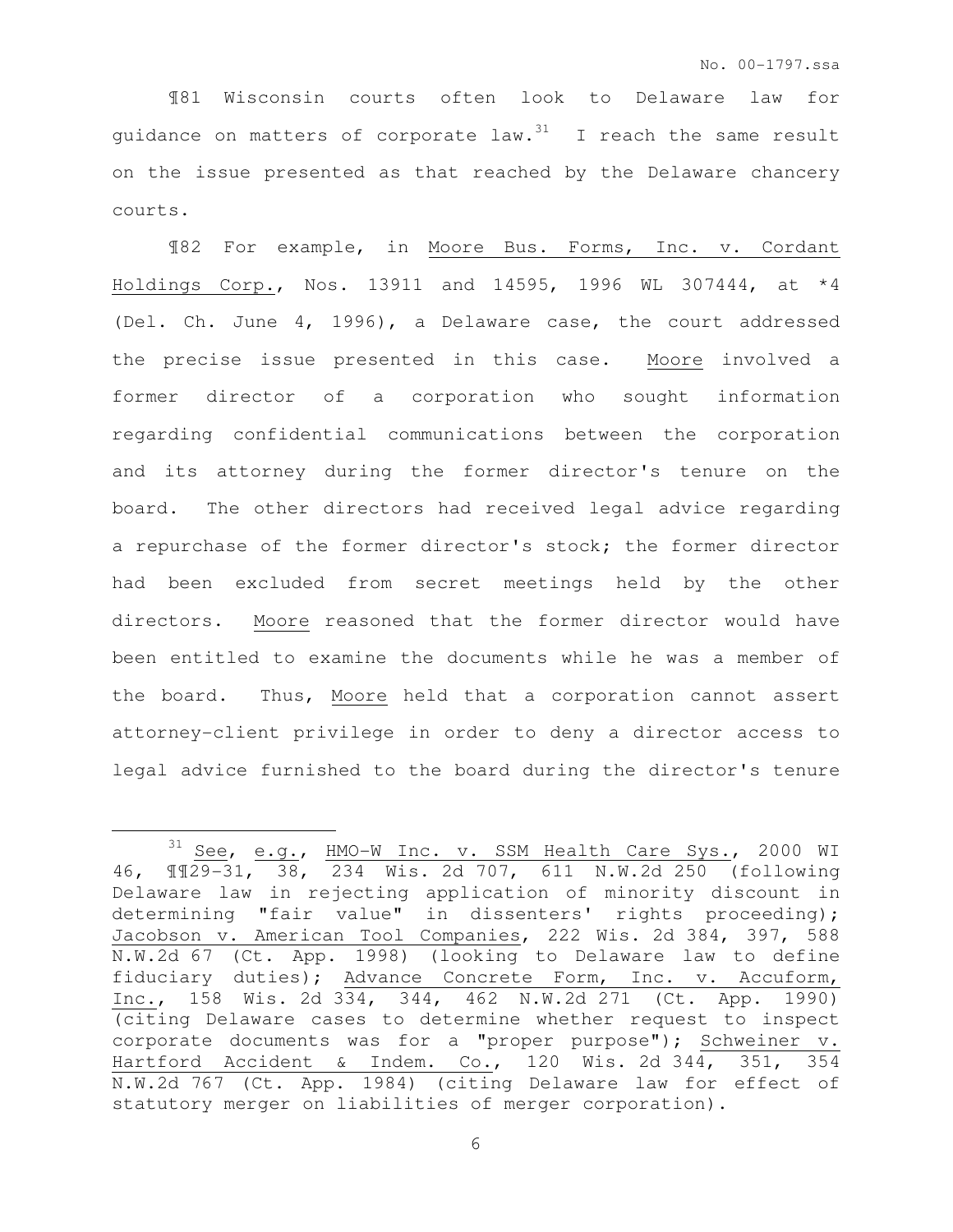¶81 Wisconsin courts often look to Delaware law for guidance on matters of corporate  $law.^{31}$  I reach the same result on the issue presented as that reached by the Delaware chancery courts.

¶82 For example, in Moore Bus. Forms, Inc. v. Cordant Holdings Corp., Nos. 13911 and 14595, 1996 WL 307444, at \*4 (Del. Ch. June 4, 1996), a Delaware case, the court addressed the precise issue presented in this case. Moore involved a former director of a corporation who sought information regarding confidential communications between the corporation and its attorney during the former director's tenure on the board. The other directors had received legal advice regarding a repurchase of the former director's stock; the former director had been excluded from secret meetings held by the other directors. Moore reasoned that the former director would have been entitled to examine the documents while he was a member of the board. Thus, Moore held that a corporation cannot assert attorney-client privilege in order to deny a director access to legal advice furnished to the board during the director's tenure

 $\overline{a}$ 

<sup>31</sup> See, e.g., HMO-W Inc. v. SSM Health Care Sys., 2000 WI 46, ¶¶29-31, 38, 234 Wis. 2d 707, 611 N.W.2d 250 (following Delaware law in rejecting application of minority discount in determining "fair value" in dissenters' rights proceeding); Jacobson v. American Tool Companies, 222 Wis. 2d 384, 397, 588 N.W.2d 67 (Ct. App. 1998) (looking to Delaware law to define fiduciary duties); Advance Concrete Form, Inc. v. Accuform, Inc., 158 Wis. 2d 334, 344, 462 N.W.2d 271 (Ct. App. 1990) (citing Delaware cases to determine whether request to inspect corporate documents was for a "proper purpose"); Schweiner v. Hartford Accident & Indem. Co., 120 Wis. 2d 344, 351, 354 N.W.2d 767 (Ct. App. 1984) (citing Delaware law for effect of statutory merger on liabilities of merger corporation).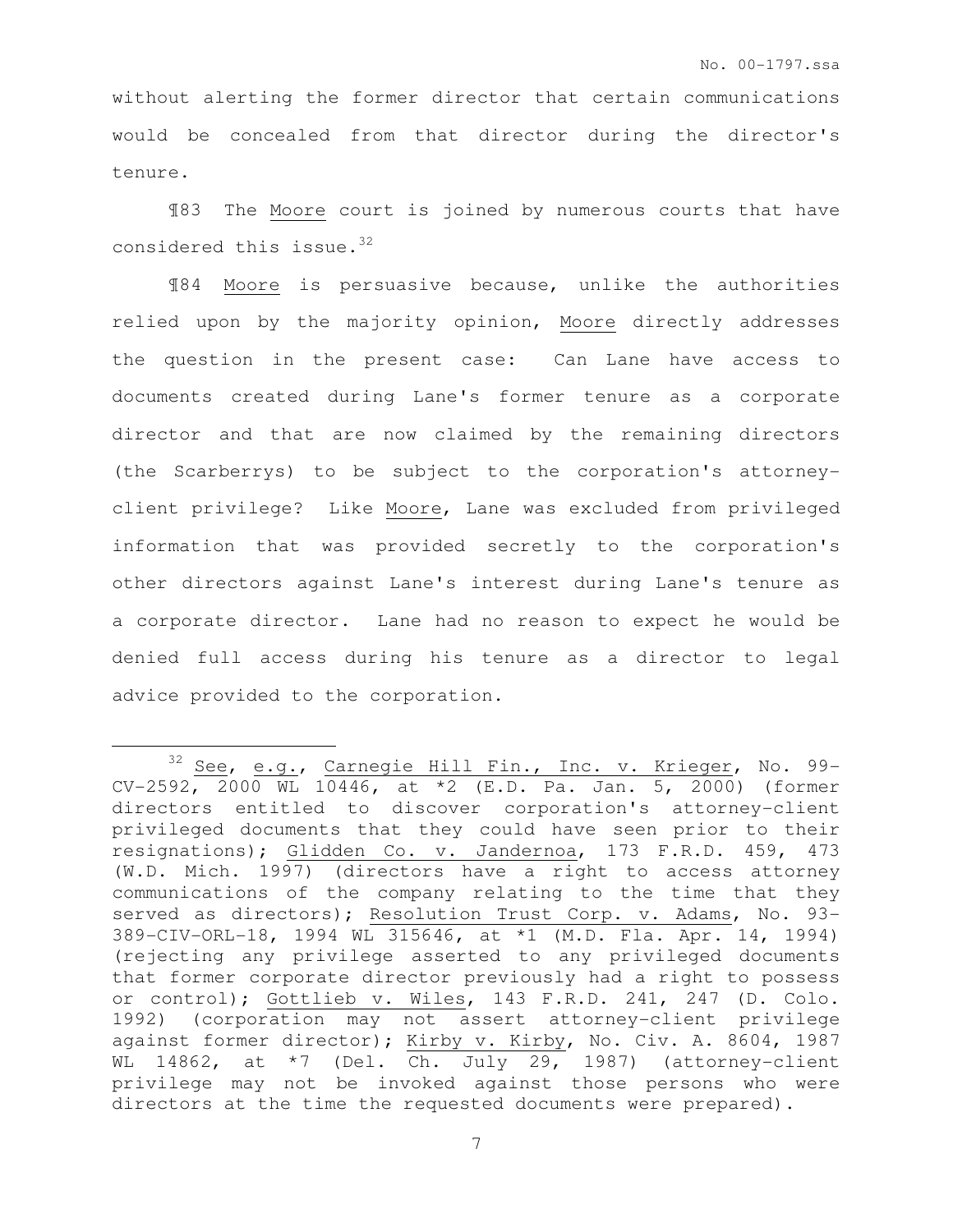without alerting the former director that certain communications would be concealed from that director during the director's tenure.

¶83 The Moore court is joined by numerous courts that have considered this issue.<sup>32</sup>

¶84 Moore is persuasive because, unlike the authorities relied upon by the majority opinion, Moore directly addresses the question in the present case: Can Lane have access to documents created during Lane's former tenure as a corporate director and that are now claimed by the remaining directors (the Scarberrys) to be subject to the corporation's attorneyclient privilege? Like Moore, Lane was excluded from privileged information that was provided secretly to the corporation's other directors against Lane's interest during Lane's tenure as a corporate director. Lane had no reason to expect he would be denied full access during his tenure as a director to legal advice provided to the corporation.

 $32$  See, e.g., Carnegie Hill Fin., Inc. v. Krieger, No. 99-CV-2592, 2000 WL 10446, at \*2 (E.D. Pa. Jan. 5, 2000) (former directors entitled to discover corporation's attorney-client privileged documents that they could have seen prior to their resignations); Glidden Co. v. Jandernoa, 173 F.R.D. 459, 473 (W.D. Mich. 1997) (directors have a right to access attorney communications of the company relating to the time that they served as directors); Resolution Trust Corp. v. Adams, No. 93-389-CIV-ORL-18, 1994 WL 315646, at \*1 (M.D. Fla. Apr. 14, 1994) (rejecting any privilege asserted to any privileged documents that former corporate director previously had a right to possess or control); Gottlieb v. Wiles, 143 F.R.D. 241, 247 (D. Colo. 1992) (corporation may not assert attorney-client privilege against former director); Kirby v. Kirby, No. Civ. A. 8604, 1987 WL 14862, at \*7 (Del. Ch. July 29, 1987) (attorney-client privilege may not be invoked against those persons who were directors at the time the requested documents were prepared).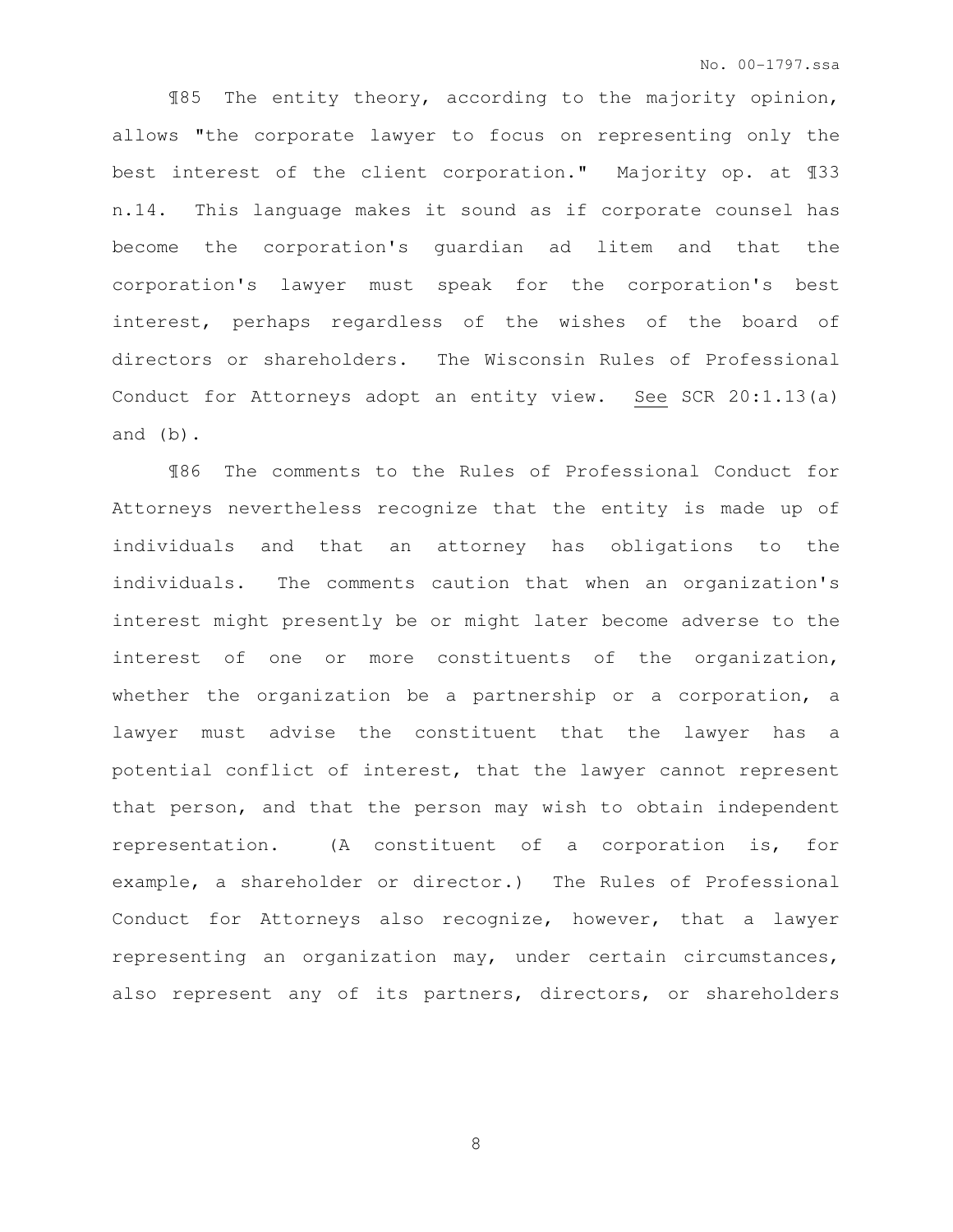¶85 The entity theory, according to the majority opinion, allows "the corporate lawyer to focus on representing only the best interest of the client corporation." Majority op. at ¶33 n.14. This language makes it sound as if corporate counsel has become the corporation's guardian ad litem and that the corporation's lawyer must speak for the corporation's best interest, perhaps regardless of the wishes of the board of directors or shareholders. The Wisconsin Rules of Professional Conduct for Attorneys adopt an entity view. See SCR 20:1.13(a) and (b).

¶86 The comments to the Rules of Professional Conduct for Attorneys nevertheless recognize that the entity is made up of individuals and that an attorney has obligations to the individuals. The comments caution that when an organization's interest might presently be or might later become adverse to the interest of one or more constituents of the organization, whether the organization be a partnership or a corporation, a lawyer must advise the constituent that the lawyer has a potential conflict of interest, that the lawyer cannot represent that person, and that the person may wish to obtain independent representation. (A constituent of a corporation is, for example, a shareholder or director.) The Rules of Professional Conduct for Attorneys also recognize, however, that a lawyer representing an organization may, under certain circumstances, also represent any of its partners, directors, or shareholders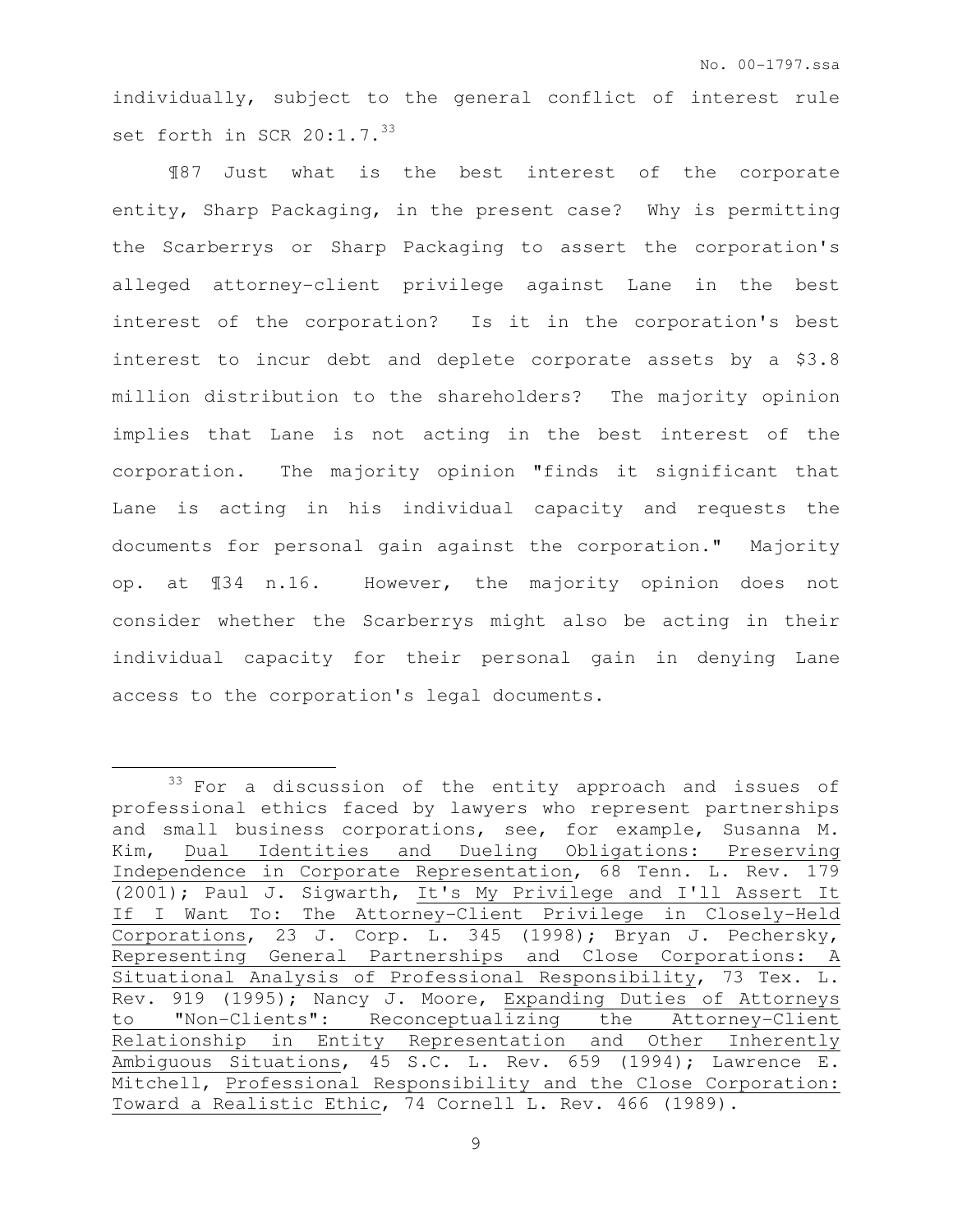individually, subject to the general conflict of interest rule set forth in SCR  $20:1.7.^{33}$ 

¶87 Just what is the best interest of the corporate entity, Sharp Packaging, in the present case? Why is permitting the Scarberrys or Sharp Packaging to assert the corporation's alleged attorney-client privilege against Lane in the best interest of the corporation? Is it in the corporation's best interest to incur debt and deplete corporate assets by a \$3.8 million distribution to the shareholders? The majority opinion implies that Lane is not acting in the best interest of the corporation. The majority opinion "finds it significant that Lane is acting in his individual capacity and requests the documents for personal gain against the corporation." Majority op. at ¶34 n.16. However, the majority opinion does not consider whether the Scarberrys might also be acting in their individual capacity for their personal gain in denying Lane access to the corporation's legal documents.

<sup>&</sup>lt;sup>33</sup> For a discussion of the entity approach and issues of professional ethics faced by lawyers who represent partnerships and small business corporations, see, for example, Susanna M. Kim, Dual Identities and Dueling Obligations: Preserving Independence in Corporate Representation, 68 Tenn. L. Rev. 179 (2001); Paul J. Sigwarth, It's My Privilege and I'll Assert It If I Want To: The Attorney-Client Privilege in Closely-Held Corporations, 23 J. Corp. L. 345 (1998); Bryan J. Pechersky, Representing General Partnerships and Close Corporations: A Situational Analysis of Professional Responsibility, 73 Tex. L. Rev. 919 (1995); Nancy J. Moore, Expanding Duties of Attorneys to "Non-Clients": Reconceptualizing the Attorney-Client Relationship in Entity Representation and Other Inherently Ambiguous Situations, 45 S.C. L. Rev. 659 (1994); Lawrence E. Mitchell, Professional Responsibility and the Close Corporation: Toward a Realistic Ethic, 74 Cornell L. Rev. 466 (1989).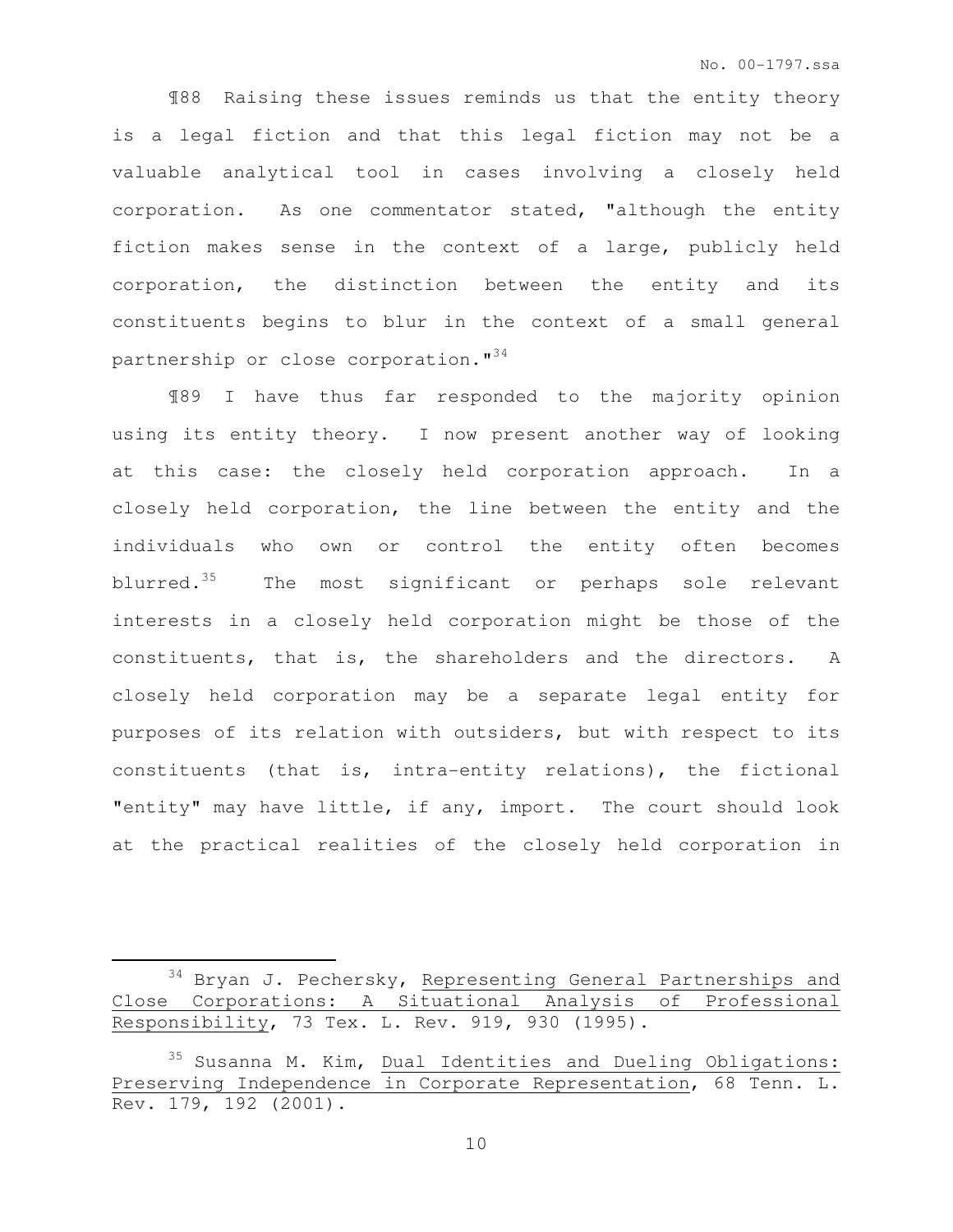¶88 Raising these issues reminds us that the entity theory is a legal fiction and that this legal fiction may not be a valuable analytical tool in cases involving a closely held corporation. As one commentator stated, "although the entity fiction makes sense in the context of a large, publicly held corporation, the distinction between the entity and its constituents begins to blur in the context of a small general partnership or close corporation."<sup>34</sup>

¶89 I have thus far responded to the majority opinion using its entity theory. I now present another way of looking at this case: the closely held corporation approach. In a closely held corporation, the line between the entity and the individuals who own or control the entity often becomes blurred. $35$  The most significant or perhaps sole relevant interests in a closely held corporation might be those of the constituents, that is, the shareholders and the directors. A closely held corporation may be a separate legal entity for purposes of its relation with outsiders, but with respect to its constituents (that is, intra-entity relations), the fictional "entity" may have little, if any, import. The court should look at the practical realities of the closely held corporation in

 $\overline{a}$ 

<sup>34</sup> Bryan J. Pechersky, Representing General Partnerships and Close Corporations: A Situational Analysis of Professional Responsibility, 73 Tex. L. Rev. 919, 930 (1995).

<sup>35</sup> Susanna M. Kim, Dual Identities and Dueling Obligations: Preserving Independence in Corporate Representation, 68 Tenn. L. Rev. 179, 192 (2001).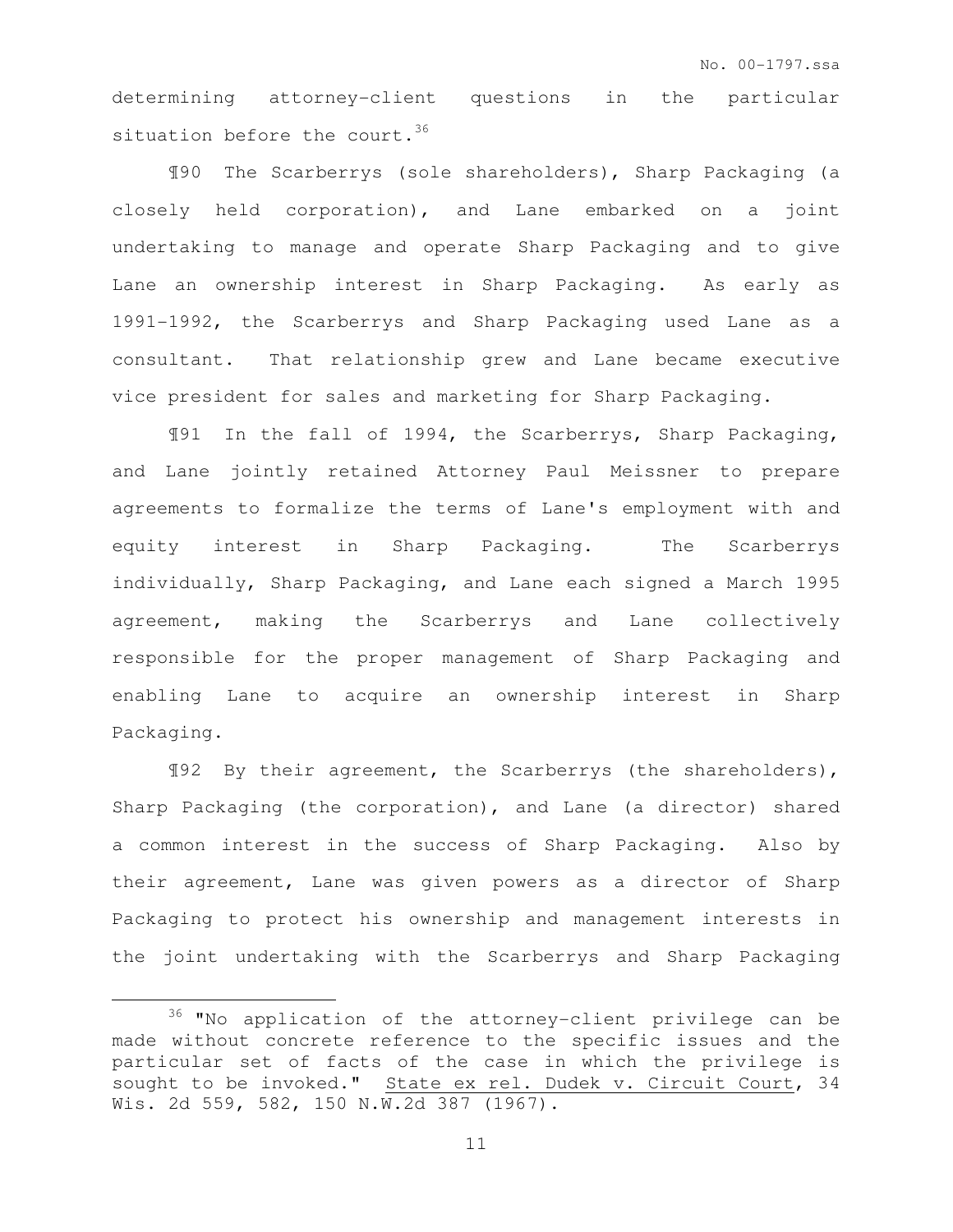determining attorney-client questions in the particular situation before the court.<sup>36</sup>

¶90 The Scarberrys (sole shareholders), Sharp Packaging (a closely held corporation), and Lane embarked on a joint undertaking to manage and operate Sharp Packaging and to give Lane an ownership interest in Sharp Packaging. As early as 1991-1992, the Scarberrys and Sharp Packaging used Lane as a consultant. That relationship grew and Lane became executive vice president for sales and marketing for Sharp Packaging.

¶91 In the fall of 1994, the Scarberrys, Sharp Packaging, and Lane jointly retained Attorney Paul Meissner to prepare agreements to formalize the terms of Lane's employment with and equity interest in Sharp Packaging. The Scarberrys individually, Sharp Packaging, and Lane each signed a March 1995 agreement, making the Scarberrys and Lane collectively responsible for the proper management of Sharp Packaging and enabling Lane to acquire an ownership interest in Sharp Packaging.

¶92 By their agreement, the Scarberrys (the shareholders), Sharp Packaging (the corporation), and Lane (a director) shared a common interest in the success of Sharp Packaging. Also by their agreement, Lane was given powers as a director of Sharp Packaging to protect his ownership and management interests in the joint undertaking with the Scarberrys and Sharp Packaging

<sup>36</sup> "No application of the attorney-client privilege can be made without concrete reference to the specific issues and the particular set of facts of the case in which the privilege is sought to be invoked." State ex rel. Dudek v. Circuit Court, 34 Wis. 2d 559, 582, 150 N.W.2d 387 (1967).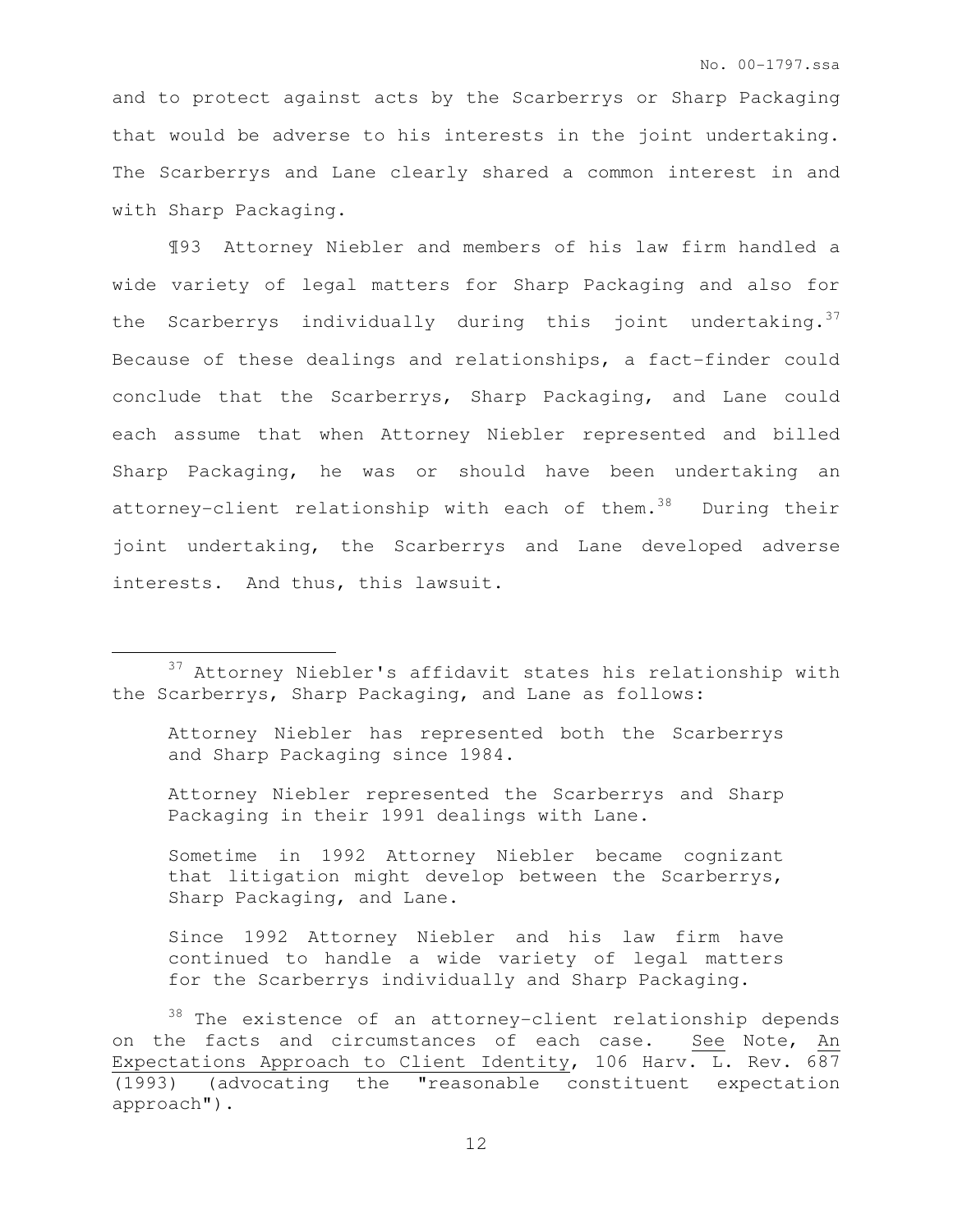and to protect against acts by the Scarberrys or Sharp Packaging that would be adverse to his interests in the joint undertaking. The Scarberrys and Lane clearly shared a common interest in and with Sharp Packaging.

¶93 Attorney Niebler and members of his law firm handled a wide variety of legal matters for Sharp Packaging and also for the Scarberrys individually during this joint undertaking.  $37$ Because of these dealings and relationships, a fact-finder could conclude that the Scarberrys, Sharp Packaging, and Lane could each assume that when Attorney Niebler represented and billed Sharp Packaging, he was or should have been undertaking an attorney-client relationship with each of them. $38$  During their joint undertaking, the Scarberrys and Lane developed adverse interests. And thus, this lawsuit.

 $\overline{a}$ 

Attorney Niebler has represented both the Scarberrys and Sharp Packaging since 1984.

Attorney Niebler represented the Scarberrys and Sharp Packaging in their 1991 dealings with Lane.

Sometime in 1992 Attorney Niebler became cognizant that litigation might develop between the Scarberrys, Sharp Packaging, and Lane.

Since 1992 Attorney Niebler and his law firm have continued to handle a wide variety of legal matters for the Scarberrys individually and Sharp Packaging.

38 The existence of an attorney-client relationship depends on the facts and circumstances of each case. See Note, An Expectations Approach to Client Identity, 106 Harv. L. Rev. 687 (1993) (advocating the "reasonable constituent expectation approach").

<sup>37</sup> Attorney Niebler's affidavit states his relationship with the Scarberrys, Sharp Packaging, and Lane as follows: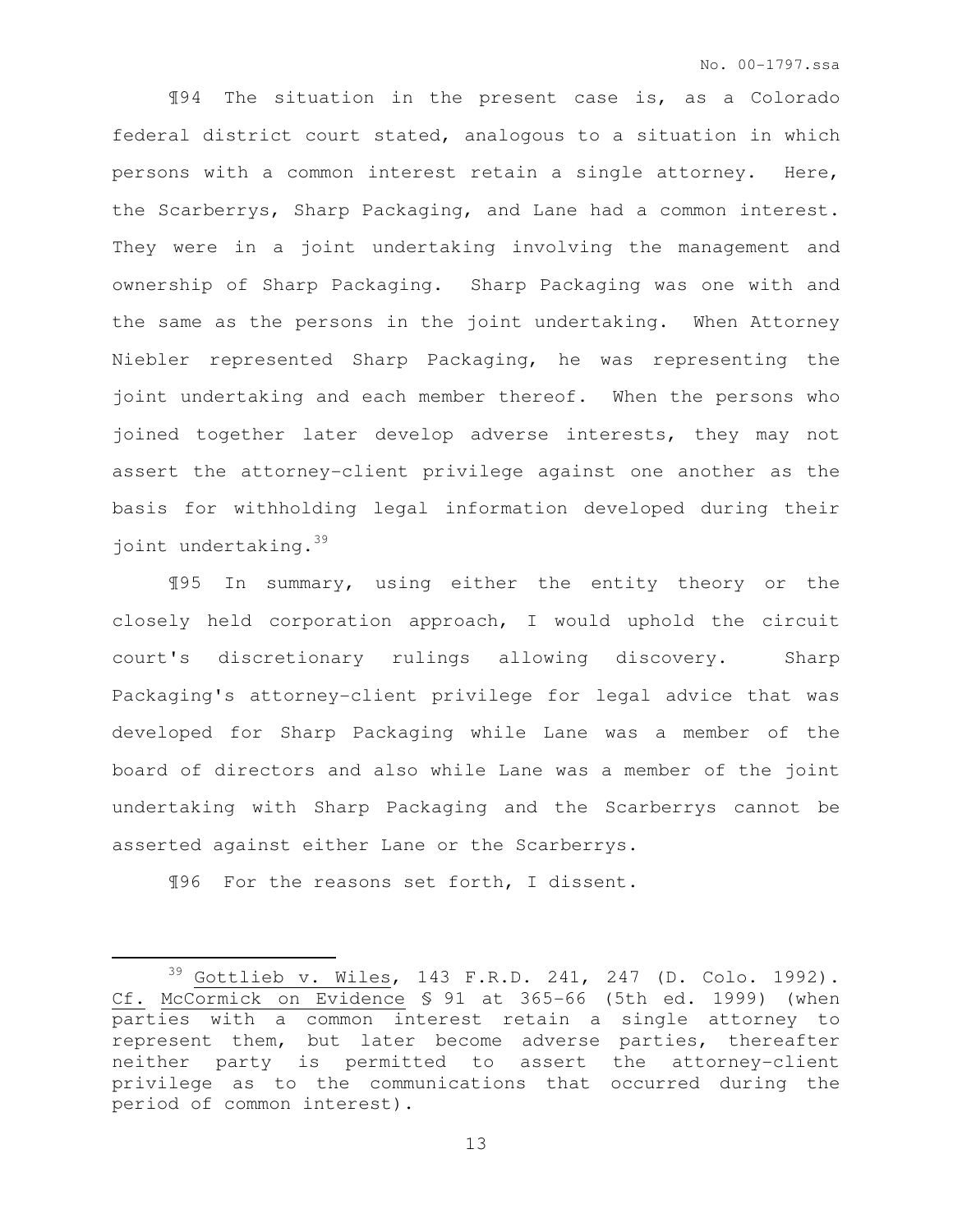¶94 The situation in the present case is, as a Colorado federal district court stated, analogous to a situation in which persons with a common interest retain a single attorney**.** Here, the Scarberrys, Sharp Packaging, and Lane had a common interest. They were in a joint undertaking involving the management and ownership of Sharp Packaging. Sharp Packaging was one with and the same as the persons in the joint undertaking. When Attorney Niebler represented Sharp Packaging, he was representing the joint undertaking and each member thereof. When the persons who joined together later develop adverse interests, they may not assert the attorney-client privilege against one another as the basis for withholding legal information developed during their joint undertaking.<sup>39</sup>

¶95 In summary, using either the entity theory or the closely held corporation approach, I would uphold the circuit court's discretionary rulings allowing discovery. Sharp Packaging's attorney-client privilege for legal advice that was developed for Sharp Packaging while Lane was a member of the board of directors and also while Lane was a member of the joint undertaking with Sharp Packaging and the Scarberrys cannot be asserted against either Lane or the Scarberrys.

¶96 For the reasons set forth, I dissent.

 $\overline{a}$ 

 $39$  Gottlieb v. Wiles, 143 F.R.D. 241, 247 (D. Colo. 1992). Cf. McCormick on Evidence § 91 at 365-66 (5th ed. 1999) (when parties with a common interest retain a single attorney to represent them, but later become adverse parties, thereafter neither party is permitted to assert the attorney-client privilege as to the communications that occurred during the period of common interest).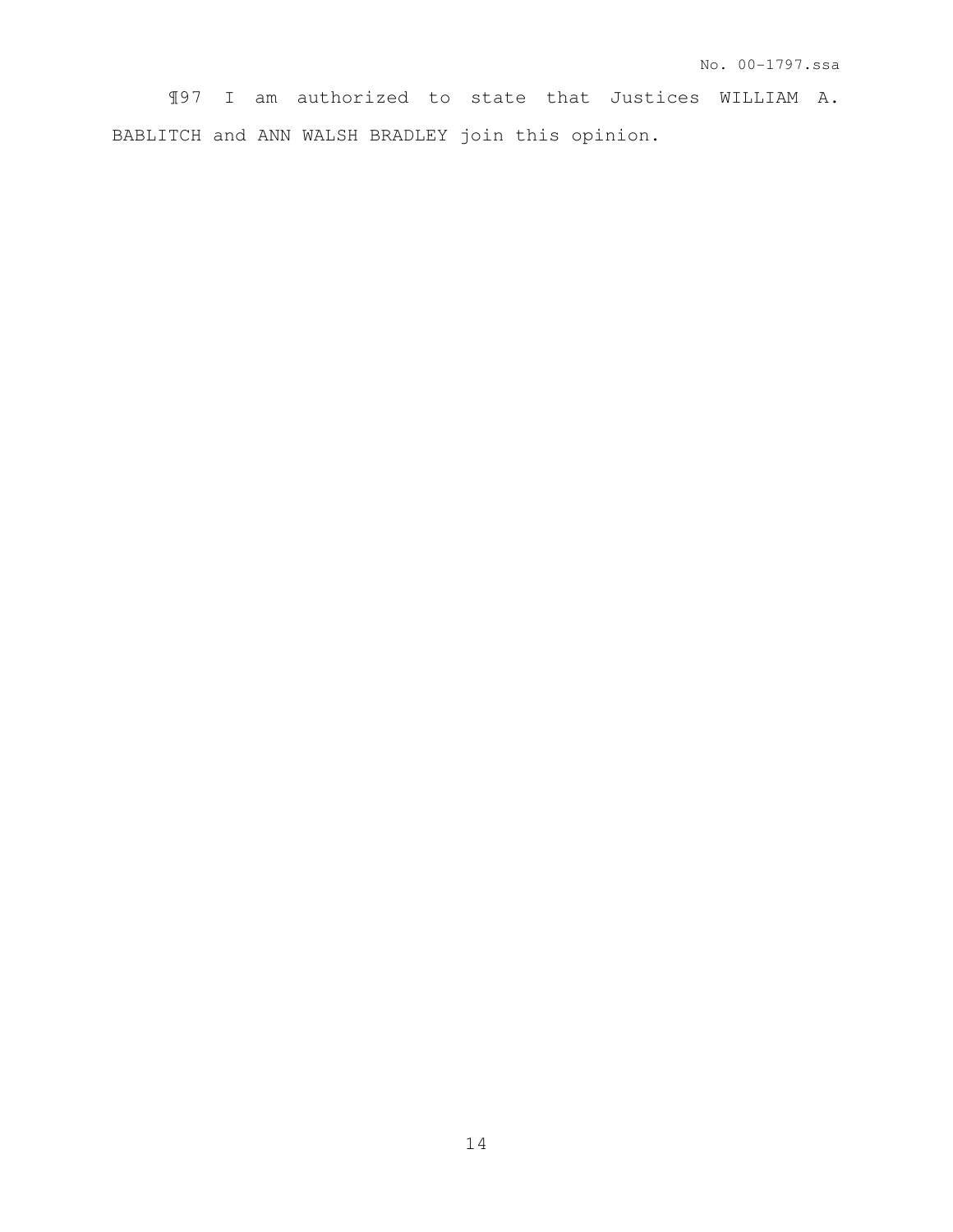¶97 I am authorized to state that Justices WILLIAM A. BABLITCH and ANN WALSH BRADLEY join this opinion.